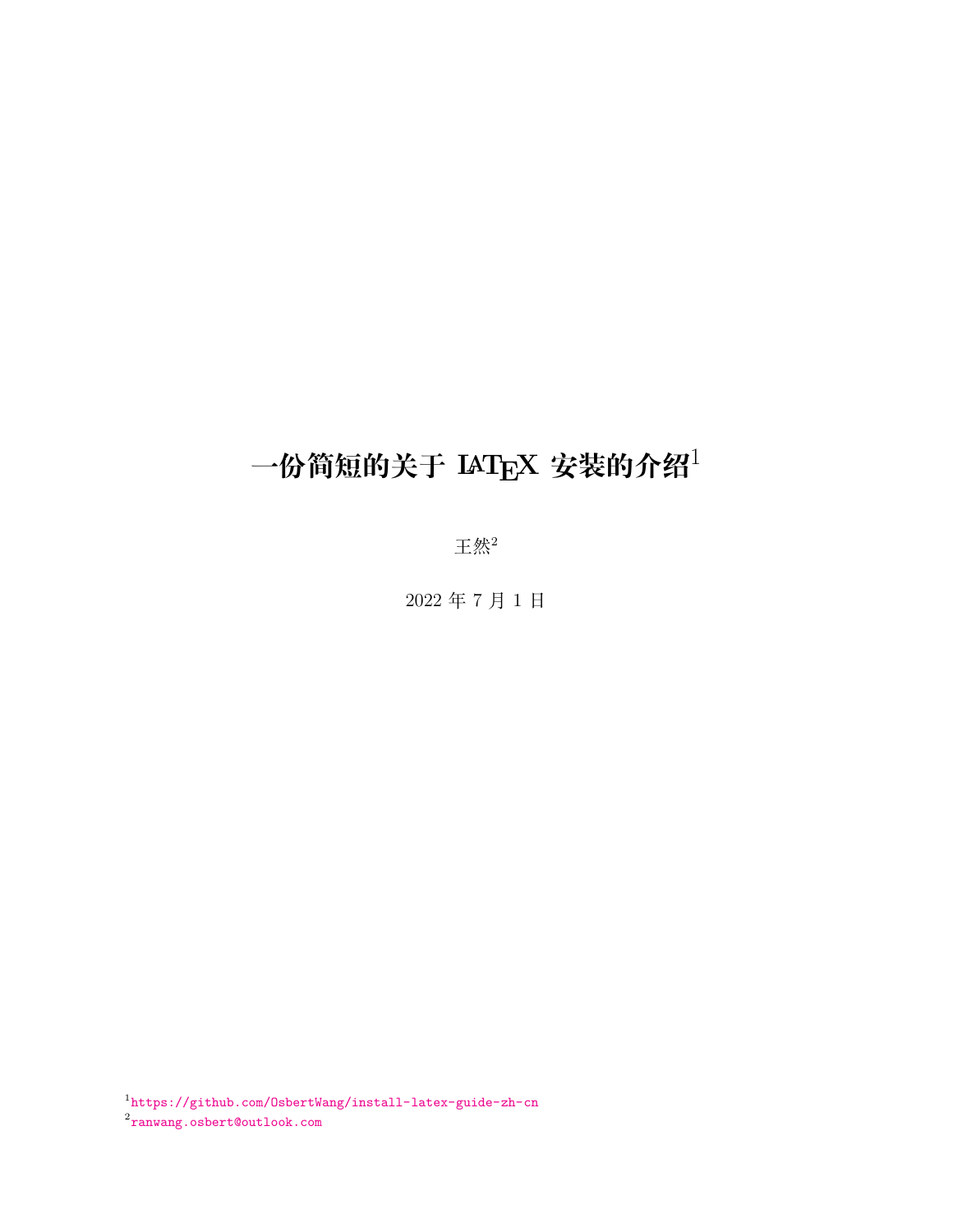# **一份简短的关于 <sup>L</sup>ATEX 安装的介绍**<sup>1</sup>

王然<sup>2</sup>

2022 年 7 月 1 日

1 <https://github.com/OsbertWang/install-latex-guide-zh-cn>  $^{2}$ [ranwang.osbert@outlook.com](mailto:ranwang.osbert@outlook.com)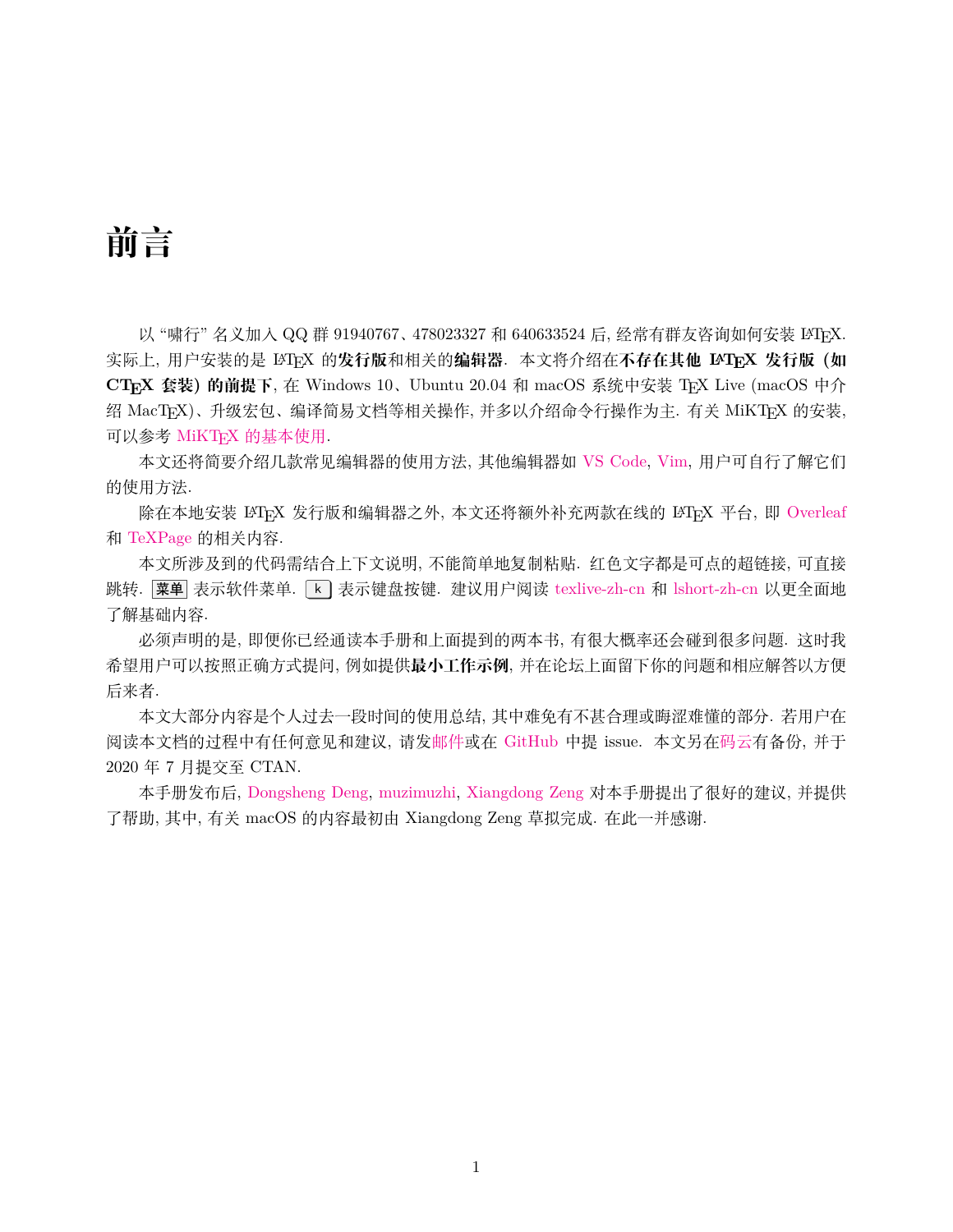# **前言**

以 "啸行" 名义加入 QQ 群 91940767、478023327 和 640633524 后, 经常有群友咨询如何安装 LATEX. 实际上, 用户安装的是 LATEX 的**发行版**和相关的**编辑器**. 本文将介绍在**不存在其他 LATEX 发行版 (如** CTFX 套装) 的前提下, 在 Windows 10、Ubuntu 20.04 和 macOS 系统中安装 TFX Live (macOS 中介 绍 MacTEX)、升级宏包、编译简易文档等相关操作, 并多以介绍命令行操作为主. 有关 MiKTEX 的安装, 可以参考 MiKTFX [的基本使用](https://camusecao.top/2020-05-09/MiKTeX/).

本文还将简要介绍几款常见编辑器的使用方法, 其他编辑器如 [VS Code,](https://code.visualstudio.com/) [Vim](https://www.vim.org/), 用户可自行了解它们 的使用方法.

除在本地安装 LATFX 发行版和编辑器之外, 本文还将额外补充两款在线的 LATFX 平台, 即 [Overleaf](http://www.overleaf.com) 和 [TeXPage](https://www.texpage.com/) 的相关内容.

本文所涉及到的代码需结合上下文说明, 不能简单地复制粘贴. 红色文字都是可点的超链接, 可直接 跳转. 菜单 表示软件菜单. [k] 表示键盘按键. 建议用户阅读 [texlive-zh-cn](https://www.tug.org/texlive/doc/texlive-zh-cn/texlive-zh-cn.pdf) 和 [lshort-zh-cn](http://mirrors.ctan.org/info/lshort/chinese/lshort-zh-cn.pdf) 以更全面地 了解基础内容.

必须声明的是, 即便你已经通读本手册和上面提到的两本书, 有很大概率还会碰到很多问题. 这时我 希望用户可以按照正确方式提问, 例如提供**最小工作示例**, 并在论坛上面留下你的问题和相应解答以方便 后来者.

本文大部分内容是个人过去一段时间的使用总结, 其中难免有不甚合理或晦涩难懂的部分. 若用户在 阅读本文档的过程中有任何意见和建议, 请[发邮件或](mailto:ranwang.osbert@outlook.com)在 [GitHub](https://github.com/OsbertWang/install-latex-guide-zh-cn/) 中提 issue. 本文另[在码云有](https://gitee.com/OsbertWang/install-latex-guide-zh-cn)备份, 并于 2020 年 7 月提交至 CTAN.

本手册发布后, [Dongsheng Deng,](https://github.com/EthanDeng) [muzimuzhi](https://github.com/muzimuzhi), [Xiangdong Zeng](https://github.com/stone-zeng) 对本手册提出了很好的建议, 并提供 了帮助, 其中, 有关 macOS 的内容最初由 Xiangdong Zeng 草拟完成. 在此一并感谢.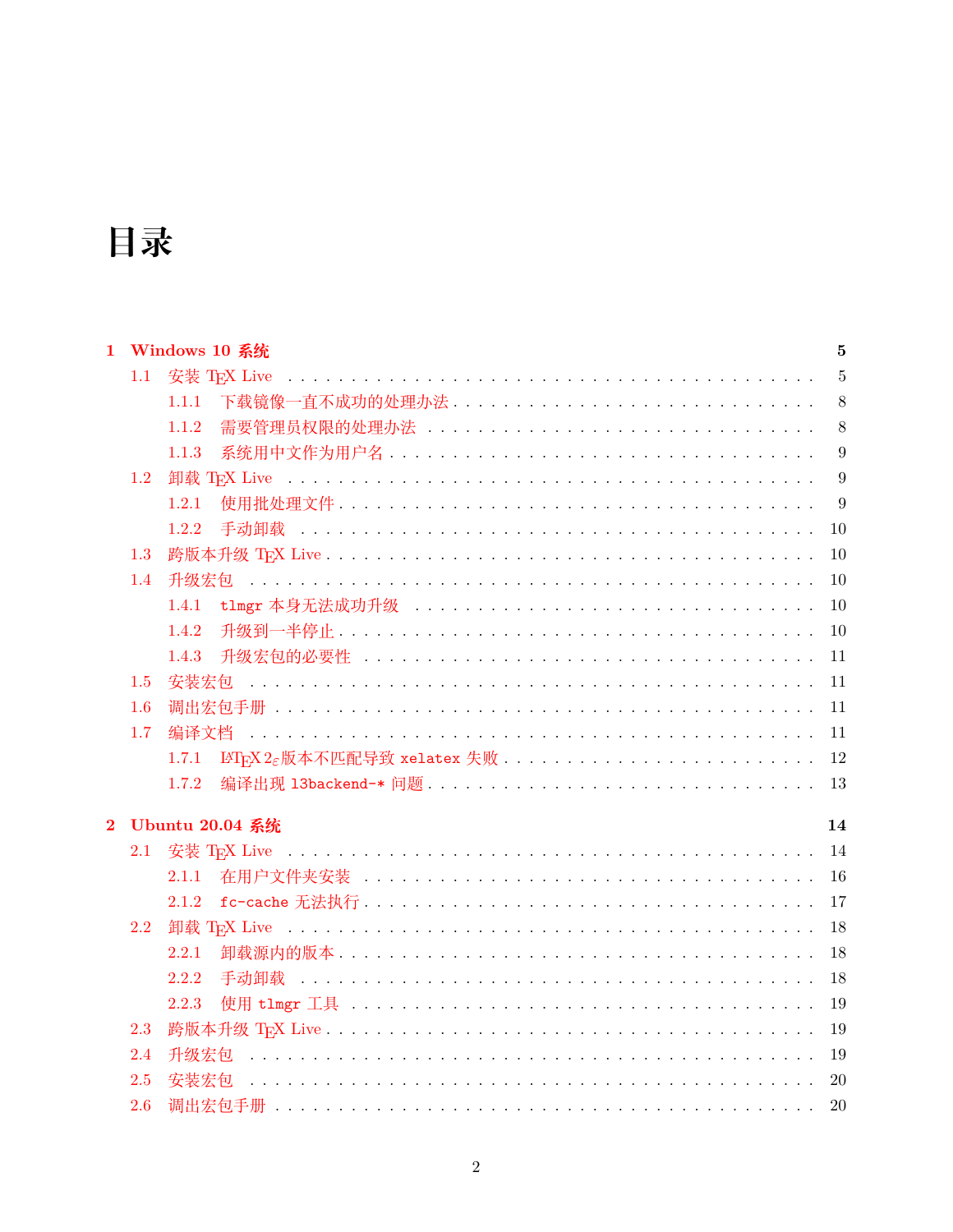# 目录

|                |     | 1 Windows 10 系统         | 5              |
|----------------|-----|-------------------------|----------------|
|                | 1.1 |                         | $\overline{5}$ |
|                |     | 下载镜像一直不成功的处理办法<br>1.1.1 | 8              |
|                |     | 1.1.2                   | 8              |
|                |     | 1.1.3                   | 9              |
|                | 1.2 |                         | 9              |
|                |     | 1.2.1                   | 9              |
|                |     | 1.2.2                   | 10             |
|                | 1.3 |                         | 10             |
|                | 1.4 |                         | 10             |
|                |     | 1.4.1                   | 10             |
|                |     | 1.4.2                   | 10             |
|                |     | 1.4.3                   | 11             |
|                | 1.5 |                         | 11             |
|                | 1.6 |                         | 11             |
|                | 1.7 |                         | 11             |
|                |     | 1.7.1                   | 12             |
|                |     | 1.7.2                   | 13             |
| $\overline{2}$ |     | <b>Ubuntu 20.04 系统</b>  | 14             |
|                | 2.1 |                         | 14             |
|                |     | 2.1.1                   | 16             |
|                |     | 2.1.2                   | 17             |
|                | 2.2 |                         | 18             |
|                |     | 2.2.1                   | 18             |
|                |     | 2.2.2<br>手动卸载           | 18             |
|                |     | 2.2.3                   | 19             |
|                | 2.3 |                         | 19             |
|                | 2.4 |                         | 19             |
|                | 2.5 | 安装宏包                    | 20             |
|                | 2.6 |                         | 20             |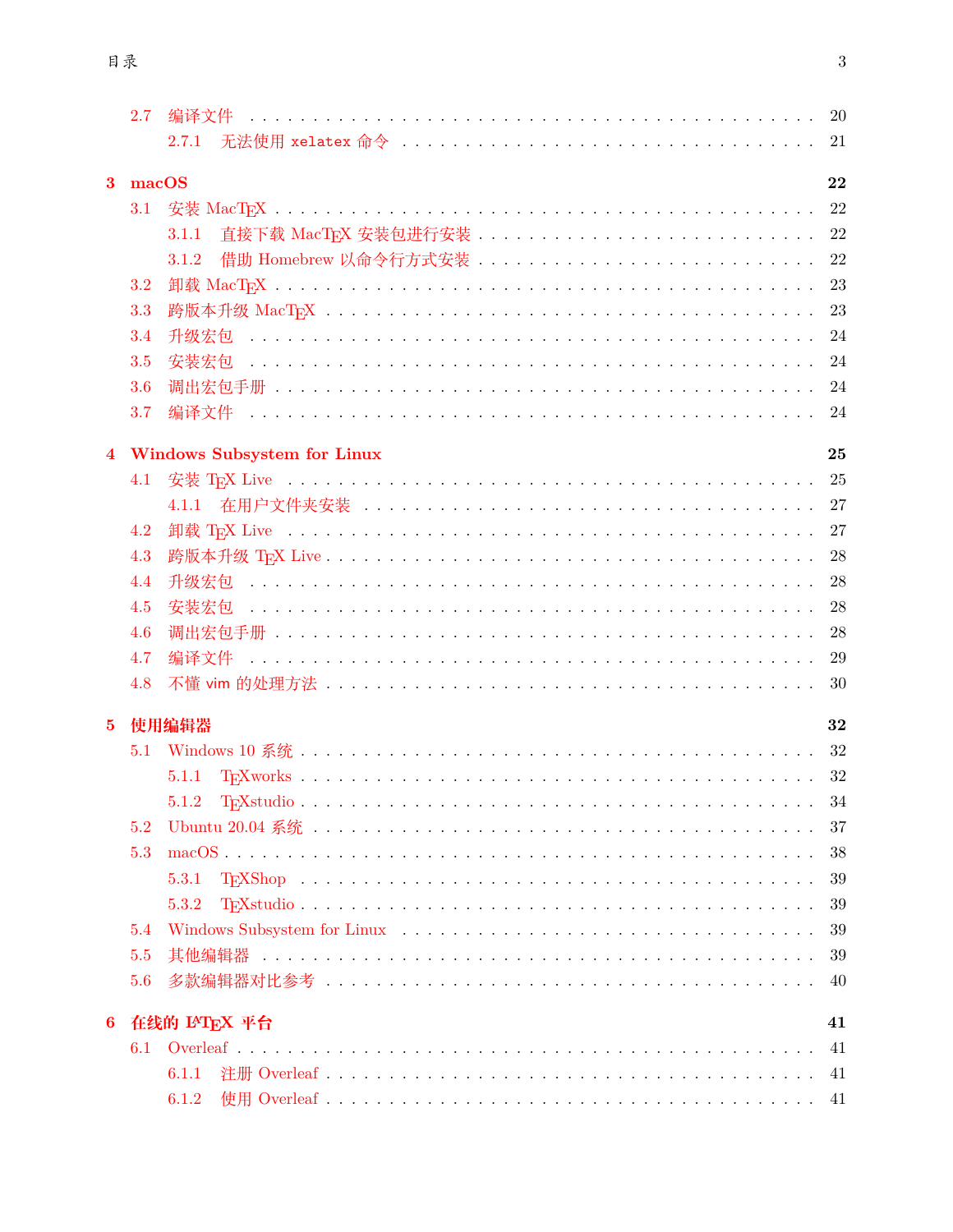|              | 2.7   |                               |    |
|--------------|-------|-------------------------------|----|
|              |       | 2.7.1                         |    |
|              |       |                               |    |
| $\mathbf{3}$ | macOS |                               | 22 |
|              | 3.1   |                               |    |
|              |       | 3.1.1                         |    |
|              |       | 3.1.2                         | 22 |
|              | 3.2   |                               |    |
|              | 3.3   |                               |    |
|              | 3.4   |                               | 24 |
|              | 3.5   |                               | 24 |
|              | 3.6   |                               |    |
|              | 3.7   |                               |    |
|              |       | 4 Windows Subsystem for Linux | 25 |
|              |       |                               |    |
|              | 4.1   |                               |    |
|              |       |                               |    |
|              | 4.2   |                               |    |
|              | 4.3   |                               |    |
|              | 4.4   |                               | 28 |
|              | 4.5   |                               |    |
|              | 4.6   |                               | 28 |
|              | 4.7   |                               | 29 |
|              | 4.8   |                               |    |
| $5^{\circ}$  |       | 使用编辑器                         | 32 |
|              | 5.1   |                               |    |
|              |       | 5.1.1                         |    |
|              |       |                               |    |
|              | 5.2   |                               | 37 |
|              | 5.3   |                               | 38 |
|              |       | 5.3.1                         | 39 |
|              |       | 5.3.2                         | 39 |
|              | 5.4   |                               | 39 |
|              | 5.5   |                               | 39 |
|              |       |                               | 40 |
|              | 5.6   |                               |    |
| $6^{\circ}$  |       | 在线的 IAT <sub>E</sub> X 平台     | 41 |
|              | 6.1   |                               | 41 |
|              |       | 6.1.1                         | 41 |
|              |       | 6.1.2                         | 41 |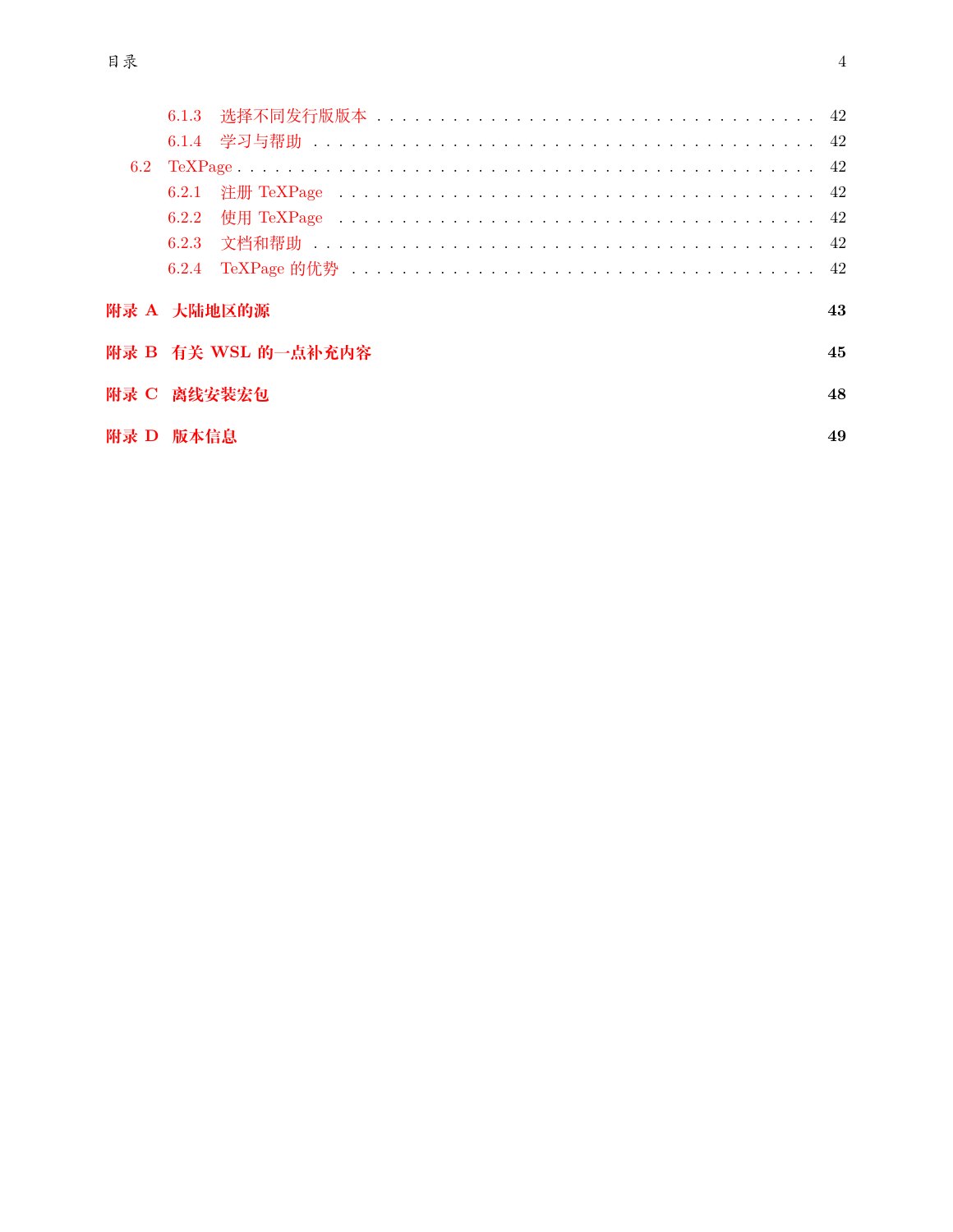|           | 6.2.1 |                     |    |
|-----------|-------|---------------------|----|
|           | 6.2.2 |                     |    |
|           |       |                     |    |
|           |       |                     |    |
|           |       | 附录 A 大陆地区的源         | 43 |
|           |       | 附录 B 有关 WSL 的一点补充内容 | 45 |
|           |       | 附录 C 离线安装宏包         | 48 |
| 附录 D 版本信息 |       |                     | 49 |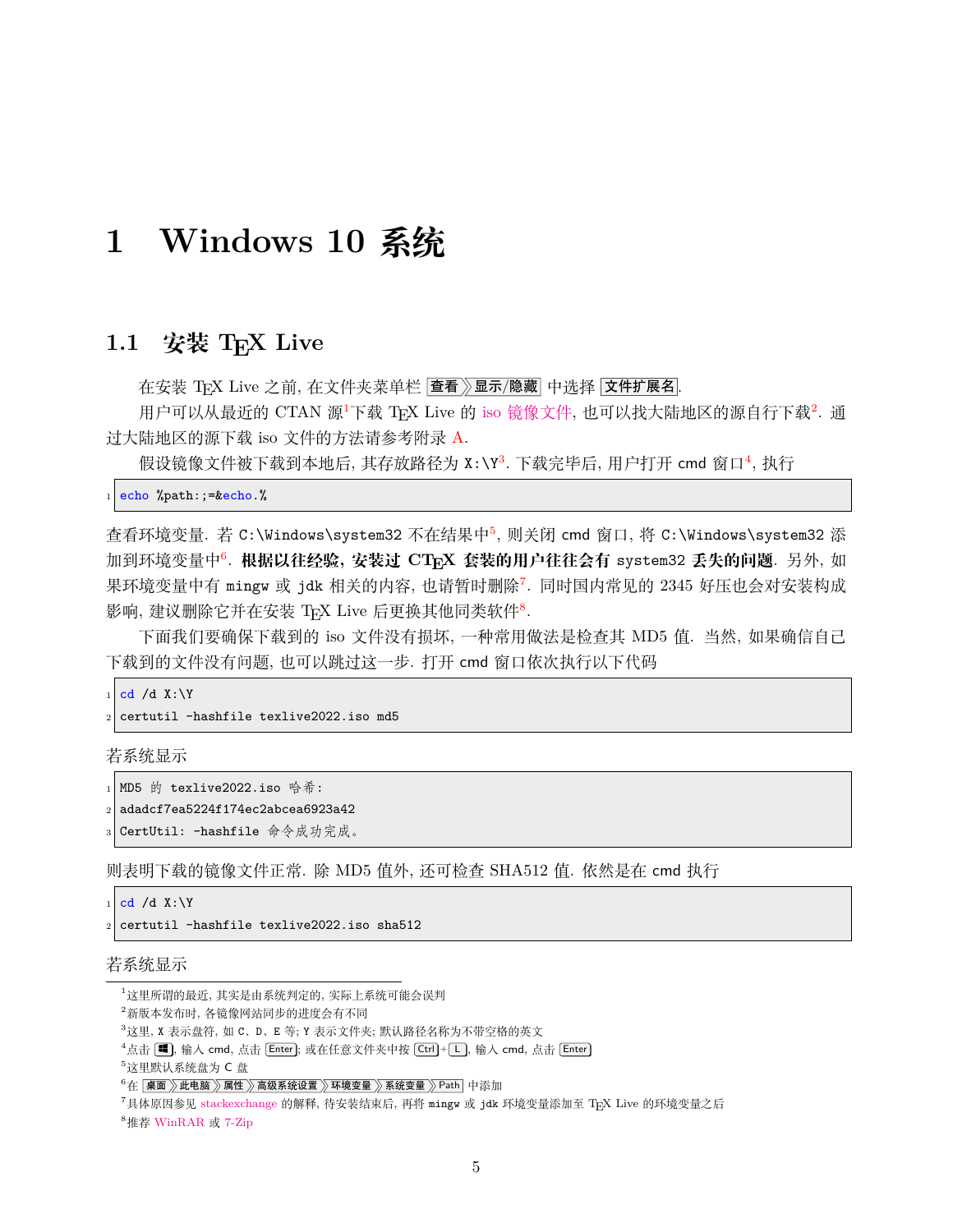# <span id="page-5-0"></span>**1 Windows 10 系统**

## <span id="page-5-1"></span>1.1 安装 **T<sub>E</sub>X** Live

在安装 TFX Live 之前, 在文件夹菜单栏 查看》显示/隐藏 中选择 文件扩展名.

用户可以从最近的 CTAN 源<sup>[1](#page-5-2)</sup>下载 TEX Live 的 iso [镜像文件](https://mirrors.ctan.org/systems/texlive/Images/texlive2022.iso), 也可以找大陆地区的源自行下载<sup>[2](#page-5-3)</sup>. 通 过大陆地区的源下载 iso 文件的方法请参考附录 [A](#page-43-0).

假设镜像文件被下载到本地后, 其存放路径为 X:\Y<sup>[3](#page-5-4)</sup>. 下载完毕后, 用户打开 cmd 窗口[4](#page-5-5), 执行

```
_1 echo %path:;=&echo.%
```
查看环境变量. 若 C:\Windows\system32 不在结果中<sup>[5](#page-5-6)</sup>, 则关闭 cmd 窗口, 将 C:\Windows\system32 添 加到环境变量中<sup>[6](#page-5-7)</sup>. <mark>根据以往经验, 安装过 CT<sub>E</sub>X 套装的用户往往会有 system32 <mark>丢失的问题</mark>. 另外, 如</mark> 果环境变量中有 mingw 或 jdk 相关的内容, 也请暂时删除<sup>[7](#page-5-8)</sup>. 同时国内常见的 2345 好压也会对安装构成 影响, 建议删除它并在安装 TEX Live 后更换其他同类软件<sup>[8](#page-5-9)</sup>.

下面我们要确保下载到的 iso 文件没有损坏, 一种常用做法是检查其 MD5 值. 当然, 如果确信自己 下载到的文件没有问题, 也可以跳过这一步. 打开 cmd 窗口依次执行以下代码

```
cd /d X:\Y
```
certutil -hashfile texlive2022.iso md5

若系统显示

```
_1 MD5 的 texlive2022.iso 哈希:
```

```
2 adadcf7ea5224f174ec2abcea6923a42
```
CertUtil: -hashfile 命令成功完成。

则表明下载的镜像文件正常. 除 MD5 值外, 还可检查 SHA512 值. 依然是在 cmd 执行

 $cd$  /d X:\Y

<sup>2</sup> certutil -hashfile texlive2022.iso sha512

#### 若系统显示

<span id="page-5-9"></span><sup>8</sup>推荐 [WinRAR](http://www.winrar.com.cn/) 或 [7-Zip](https://www.7-zip.org/)

<span id="page-5-2"></span><sup>1</sup>这里所谓的最近, 其实是由系统判定的, 实际上系统可能会误判

<span id="page-5-3"></span><sup>2</sup>新版本发布时, 各镜像网站同步的进度会有不同

<span id="page-5-4"></span><sup>3</sup>这里, X 表示盘符, 如 C、D、E 等; Y 表示文件夹; 默认路径名称为不带空格的英文

<span id="page-5-5"></span> ${}^4$ 点击  $\blacksquare$ , 输入 cmd, 点击 Enter]; 或在任意文件夹中按  $\boxed{\mathsf{Ctrl}}$  +  $\boxed{\mathsf{L}}$ , 输入 cmd, 点击  $\boxed{\mathsf{Enter}}$ 

<span id="page-5-6"></span> $5$ 这里默认系统盘为 C 盘

<span id="page-5-7"></span> $^6$ 在 桌面 》此电脑 》属性 》高级系统设置 》环境变量 》系统变量 》Path 中添加

<span id="page-5-8"></span><sup>7</sup>具体原因参见 [stackexchange](https://tex.stackexchange.com/questions/445086/error-installing-latest-version-of-tex-live-on-windows-10) 的解释, 待安装结束后, 再将 mingw 或 jdk 环境变量添加至 TEX Live 的环境变量之后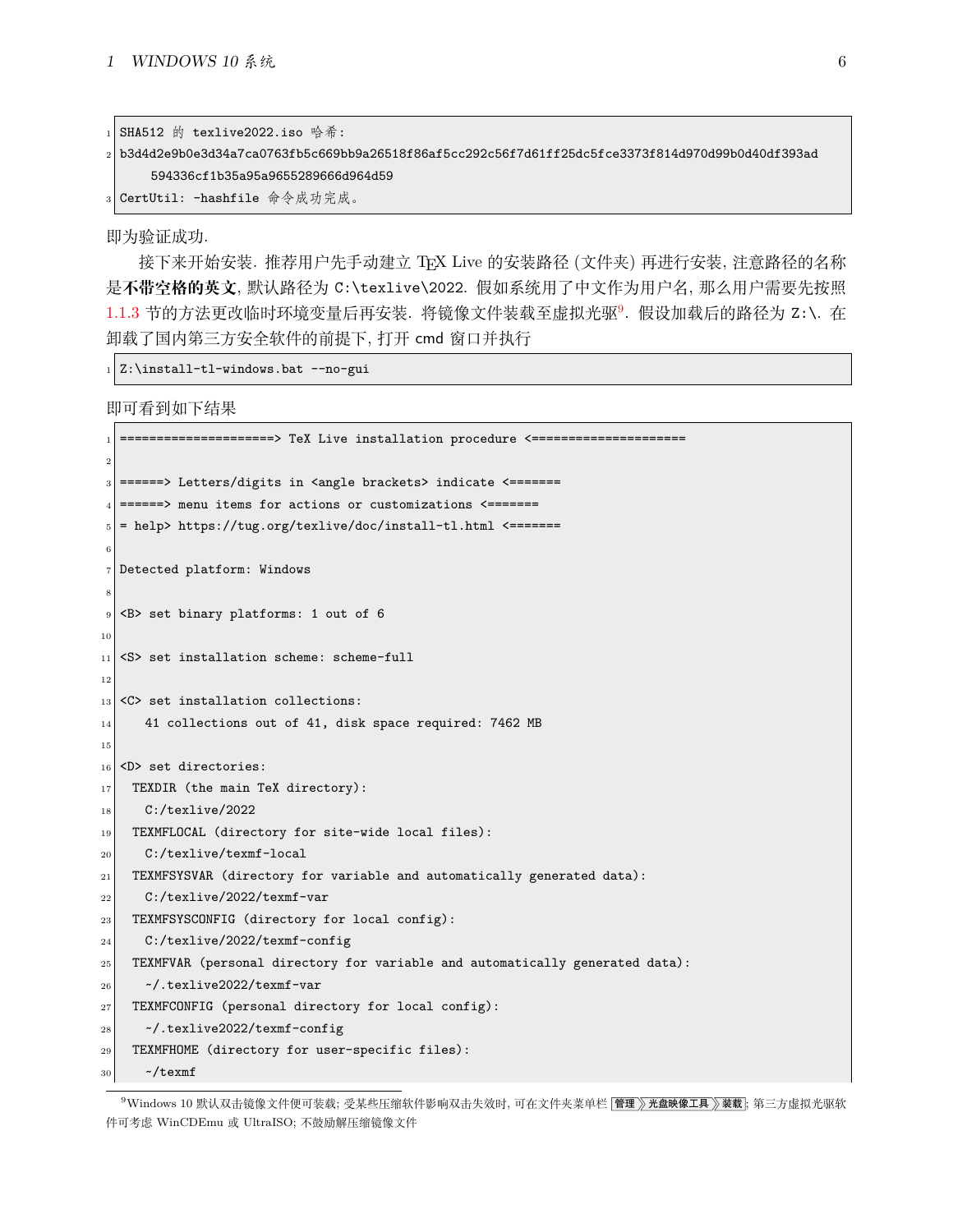| 1 SHA512 的 texlive2022.iso 哈希:                                                                      |
|-----------------------------------------------------------------------------------------------------|
| 2 b3d4d2e9b0e3d34a7ca0763fb5c669bb9a26518f86af5cc292c56f7d61ff25dc5fce3373f814d970d99b0d40df393ad_2 |
| 594336cf1b35a95a9655289666d964d59                                                                   |
| 3 CertUtil: -hashfile 命令成功完成。                                                                       |

即为验证成功.

 $\Box$ 

接下来开始安装. 推荐用户先手动建立 TFX Live 的安装路径 (文件夹) 再进行安装, 注意路径的名称 是**不带空格的英文**, 默认路径为 C:\texlive\2022. 假如系统用了中文作为用户名, 那么用户需要先按照 [1.1.3](#page-9-0) 节的方法更改临时环境变量后再安装. 将镜像文件装载至虚拟光驱[9](#page-6-0). 假设加载后的路径为 Z:\. 在 卸载了国内第三方安全软件的前提下, 打开 cmd 窗口并执行

 $_1$  Z:\install-tl-windows.bat --no-gui

即可看到如下结果

```
========> TeX Live installation procedure <===============
 2
_3 ======> Letters/digits in <angle brackets> indicate <=======
_4 ======> menu items for actions or customizations <=======
  5 = help> https://tug.org/texlive/doc/install-tl.html <=======
 6
7 Detected platform: Windows
 8
  9 <B> set binary platforms: 1 out of 6
10
_{11} <S> set installation scheme: scheme-full
12
_{13} <C> set installation collections:
14 41 collections out of 41, disk space required: 7462 MB
15
16 <D> set directories:
17 TEXDIR (the main TeX directory):
18 C:/texlive/2022
19 TEXMFLOCAL (directory for site-wide local files):
20 C:/texlive/texmf-local
|21| TEXMFSYSVAR (directory for variable and automatically generated data):
22 C:/texlive/2022/texmf-var
23 TEXMFSYSCONFIG (directory for local config):
24 C:/texlive/2022/texmf-config
25 TEXMFVAR (personal directory for variable and automatically generated data):
26 \sim /.texlive2022/texmf-var
27 TEXMFCONFIG (personal directory for local config):
28 ~/.texlive2022/texmf-config
29 TEXMFHOME (directory for user-specific files):
30 \sim/texmf
```
<span id="page-6-0"></span><sup>9</sup>Windows 10 默认双击镜像文件便可装载; 受某些压缩软件影响双击失效时, 可在文件夹菜单栏 [管理 》)光盘映像工具 》装载; 第三方虚拟光驱软 件可考虑 WinCDEmu 或 UltraISO; 不鼓励解压缩镜像文件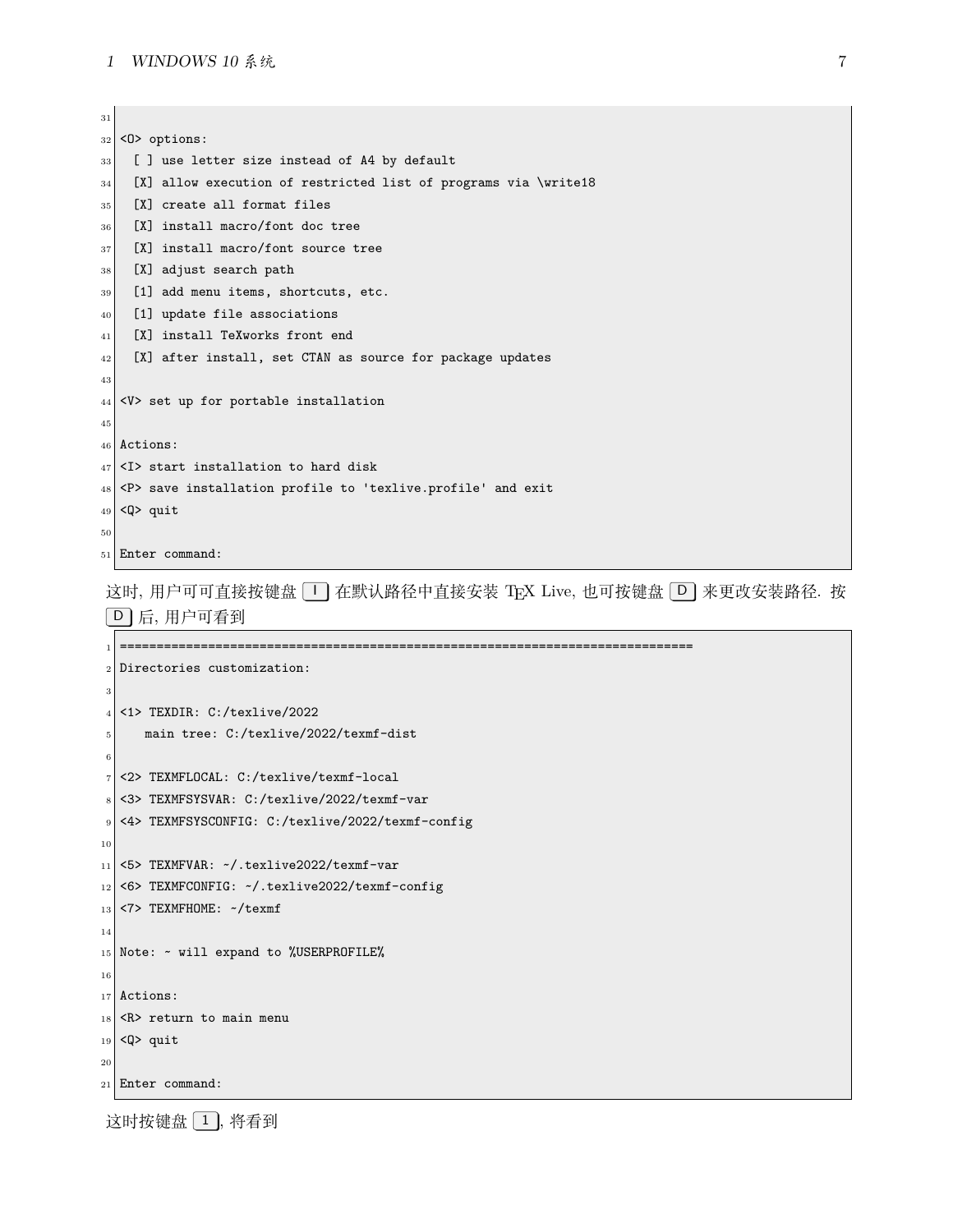#### *1 WINDOWS 10* 系统 7

 <0> options: [ ] use letter size instead of A4 by default [X] allow execution of restricted list of programs via \write18 [X] create all format files [X] install macro/font doc tree [X] install macro/font source tree 38 [X] adjust search path [1] add menu items, shortcuts, etc. 40 [1] update file associations 41 [X] install TeXworks front end [X] after install, set CTAN as source for package updates <V> set up for portable installation Actions: <I> start installation to hard disk <P> save installation profile to 'texlive.profile' and exit  $_{49}$  <Q> quit Enter command:

这时, 用户可可直接按键盘 [1] 在默认路径中直接安装 TFX Live, 也可按键盘 [D] 来更改安装路径. 按 D 后, 用户可看到

```
1 ==============================================================================
2 Directories customization:
3
_4 <1> TEXDIR: C:/texlive/2022
      5 main tree: C:/texlive/2022/texmf-dist
 6
7 <2> TEXMFLOCAL: C:/texlive/texmf-local
8 <3> TEXMFSYSVAR: C:/texlive/2022/texmf-var
9 <4> TEXMFSYSCONFIG: C:/texlive/2022/texmf-config
10
_{11} <5> TEXMFVAR: \sim/.texlive2022/texmf-var
12 <6> TEXMFCONFIG: ~/.texlive2022/texmf-config
_{13} <7> TEXMFHOME: ~/texmf
14
15 Note: \sim will expand to %USERPROFILE%
16
17 Actions:
18 <R> return to main menu
_{19} <Q> quit
20
21 Enter command:
```
这时按键盘 1, 将看到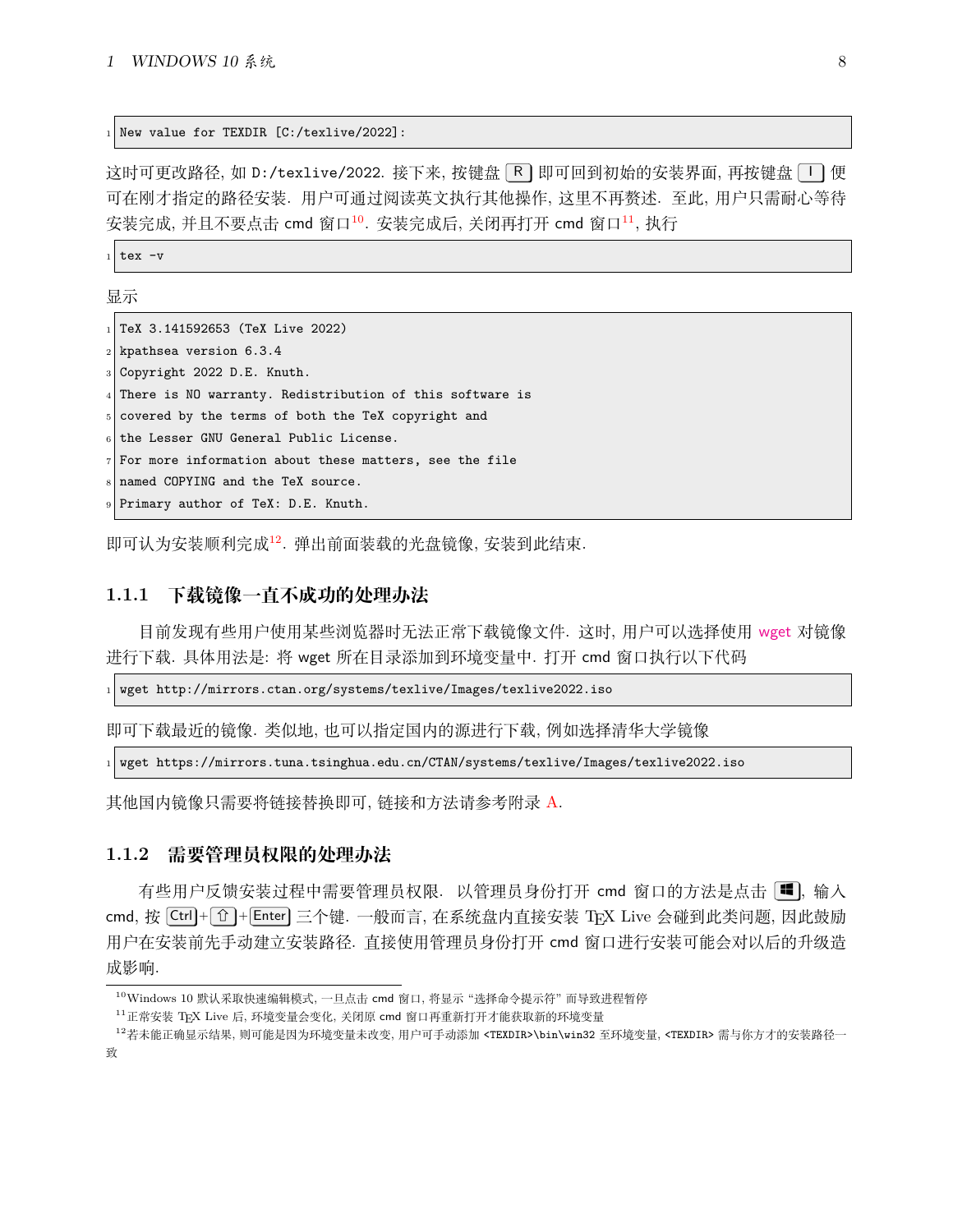<sup>1</sup> New value for TEXDIR [C:/texlive/2022]:

这时可更改路径, 如 D:/texlive/2022. 接下来, 按键盘 R 即可回到初始的安装界面, 再按键盘 I 图便 可在刚才指定的路径安装. 用户可通过阅读英文执行其他操作, 这里不再赘述. 至此, 用户只需耐心等待 安装完成, 并且不要点击 cmd 窗口<sup>[10](#page-8-2)</sup>. 安装完成后, 关闭再打开 cmd 窗口<sup>[11](#page-8-3)</sup>, 执行

 $_{1}$  tex -v

显示

| $_1$  TeX 3.141592653 (TeX Live 2022)                      |
|------------------------------------------------------------|
| $_2$ kpathsea version 6.3.4                                |
| $_3$ Copyright 2022 D.E. Knuth.                            |
| 4 There is NO warranty. Redistribution of this software is |
| 5 covered by the terms of both the TeX copyright and       |
| $_6$ the Lesser GNU General Public License.                |
| $7$ For more information about these matters, see the file |
| 8 named COPYING and the TeX source.                        |
| 9 Primary author of TeX: D.E. Knuth.                       |
|                                                            |

即可认为安装顺利完成[12](#page-8-4). 弹出前面装载的光盘镜像, 安装到此结束.

#### <span id="page-8-0"></span>**1.1.1 下载镜像一直不成功的处理办法**

目前发现有些用户使用某些浏览器时无法正常下载镜像文件. 这时, 用户可以选择使用 [wget](https://eternallybored.org/misc/wget/) 对镜像 进行下载. 具体用法是: 将 wget 所在目录添加到环境变量中. 打开 cmd 窗口执行以下代码

 $_1$  wget http://mirrors.ctan.org/systems/texlive/Images/texlive2022.iso

即可下载最近的镜像. 类似地, 也可以指定国内的源进行下载, 例如选择清华大学镜像

<sup>1</sup> wget https://mirrors.tuna.tsinghua.edu.cn/CTAN/systems/texlive/Images/texlive2022.iso

其他国内镜像只需要将链接替换即可, 链接和方法请参考附录 [A.](#page-43-0)

#### <span id="page-8-1"></span>**1.1.2 需要管理员权限的处理办法**

有些用户反馈安装过程中需要管理员权限. 以管理员身份打开 cmd 窗口的方法是点击 | cmd, 按  $[Ctr] + [T] + [Enter]$  三个键. 一般而言, 在系统盘内直接安装 TFX Live 会碰到此类问题, 因此鼓励 用户在安装前先手动建立安装路径. 直接使用管理员身份打开 cmd 窗口进行安装可能会对以后的升级造 成影响.

<span id="page-8-2"></span><sup>10</sup>Windows 10 默认采取快速编辑模式, 一旦点击 cmd 窗口, 将显示 "选择命令提示符" 而导致进程暂停

<span id="page-8-4"></span><span id="page-8-3"></span><sup>11</sup>正常安装 TEX Live 后, 环境变量会变化, 关闭原 cmd 窗口再重新打开才能获取新的环境变量

<sup>12</sup>若未能正确显示结果, 则可能是因为环境变量未改变, 用户可手动添加 <TEXDIR>\bin\win32 至环境变量, <TEXDIR> 需与你方才的安装路径一 致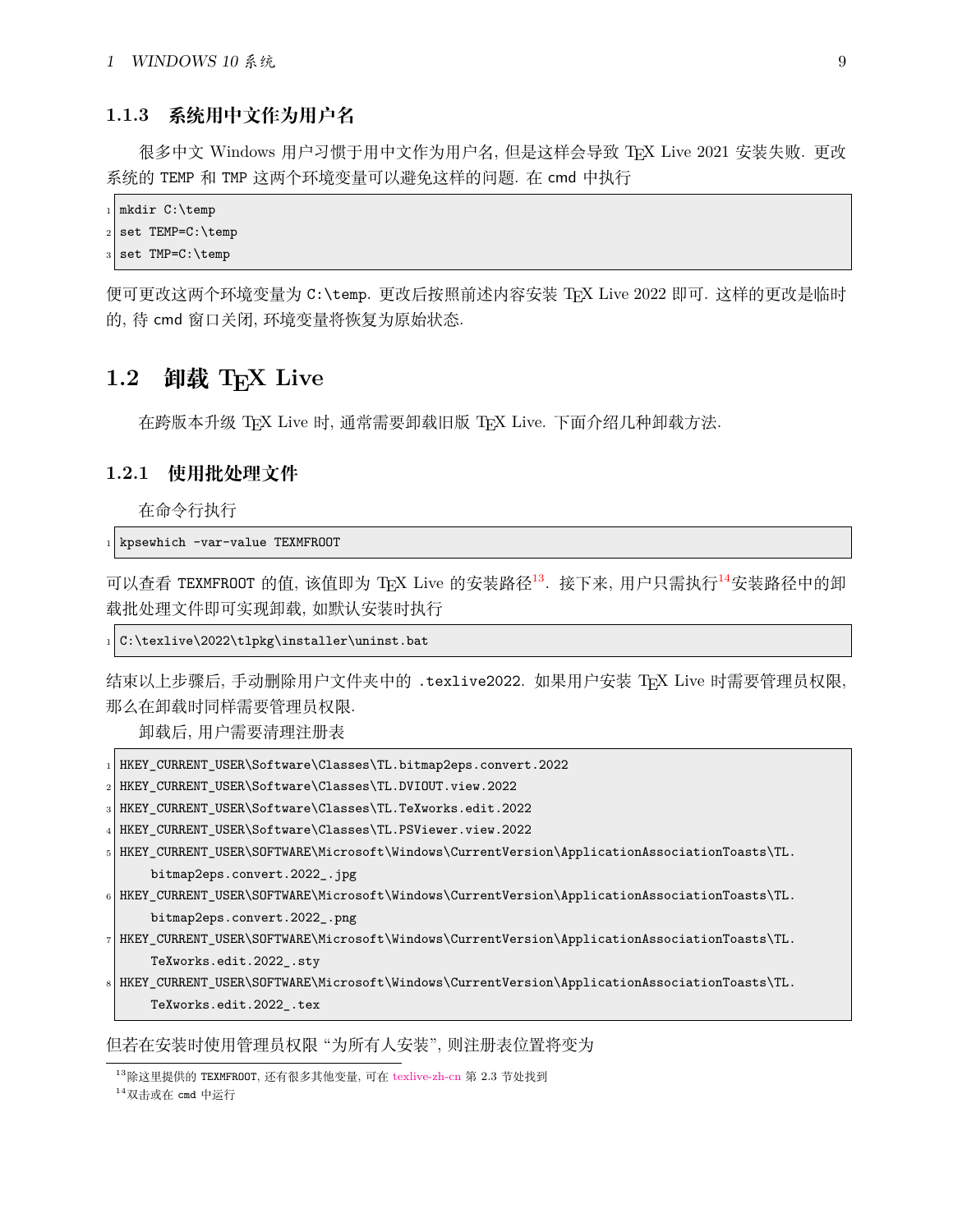### <span id="page-9-0"></span>**1.1.3 系统用中文作为用户名**

很多中文 Windows 用户习惯于用中文作为用户名, 但是这样会导致 TEX Live 2021 安装失败. 更改 系统的 TEMP 和 TMP 这两个环境变量可以避免这样的问题. 在 cmd 中执行

```
_1 mkdir C:\temp
2 set TEMP=C:\temp
```

```
set TMP=C:\temp
```
便可更改这两个环境变量为 C:\temp. 更改后按照前述内容安装 TEX Live 2022 即可. 这样的更改是临时 的, 待 cmd 窗口关闭, 环境变量将恢复为原始状态.

# <span id="page-9-1"></span>1.2 卸载 TFX Live

在跨版本升级 TEX Live 时, 通常需要卸载旧版 TEX Live. 下面介绍几种卸载方法.

### <span id="page-9-2"></span>**1.2.1 使用批处理文件**

在命令行执行

 $_1$  kpsewhich -var-value TEXMFROOT

可以查看 TEXMFROOT 的值, 该值即为 TEX Live 的安装路径<sup>[13](#page-9-3)</sup>. 接下来, 用户只需执行<sup>[14](#page-9-4)</sup>安装路径中的卸 载批处理文件即可实现卸载, 如默认安装时执行

 $_1$  C:\texlive\2022\tlpkg\installer\uninst.bat

结束以上步骤后, 手动删除用户文件夹中的 .texlive2022. 如果用户安装 TpX Live 时需要管理员权限, 那么在卸载时同样需要管理员权限.

卸载后, 用户需要清理注册表

| HKEY_CURRENT_USER\Software\Classes\TL.bitmap2eps.convert.2022                                                                              |
|--------------------------------------------------------------------------------------------------------------------------------------------|
| $_2$   HKEY_CURRENT_USER\Software\Classes\TL.DVIOUT.view.2022                                                                              |
| 3  HKEY_CURRENT_USER\Software\Classes\TL.TeXworks.edit.2022                                                                                |
| 4  HKEY CURRENT USER\Software\Classes\TL.PSViewer.view.2022                                                                                |
| .FiHKEY_CURRENT_USER\SOFTWARE\Microsoft\Windows\CurrentVersion\ApplicationAssociationToasts\TL.                                            |
| bitmap2eps.convert.2022_.jpg                                                                                                               |
| $_6$  HKEY_CURRENT_USER\SOFTWARE\Microsoft\Windows\CurrentVersion\ApplicationAssociationToasts\TL.                                         |
| bitmap2eps.convert.2022_.png                                                                                                               |
| $_{7}\mid$ HKEY_CURRENT_USER\SOFTWARE\Microsoft\Windows\CurrentVersion\ApplicationAssociationToasts\TL.                                    |
| TeXworks.edit.2022_.sty                                                                                                                    |
| $\mathrm{s} \mid \mathrm{HKEV\_CURRENT\_USER\set{N}IdC}$ and $\mathrm{V}Indows\_CurrentVersion\left(AnpholizationAssociationToasts\right)$ |
|                                                                                                                                            |

TeXworks.edit.2022\_.tex

但若在安装时使用管理员权限 "为所有人安装", 则注册表位置将变为

<span id="page-9-3"></span><sup>13</sup>除这里提供的 TEXMFROOT, 还有很多其他变量, 可在 [texlive-zh-cn](https://www.tug.org/texlive/doc/texlive-zh-cn/texlive-zh-cn.pdf) 第 2.3 节处找到

<span id="page-9-4"></span> $14$  双击或在 cmd 中运行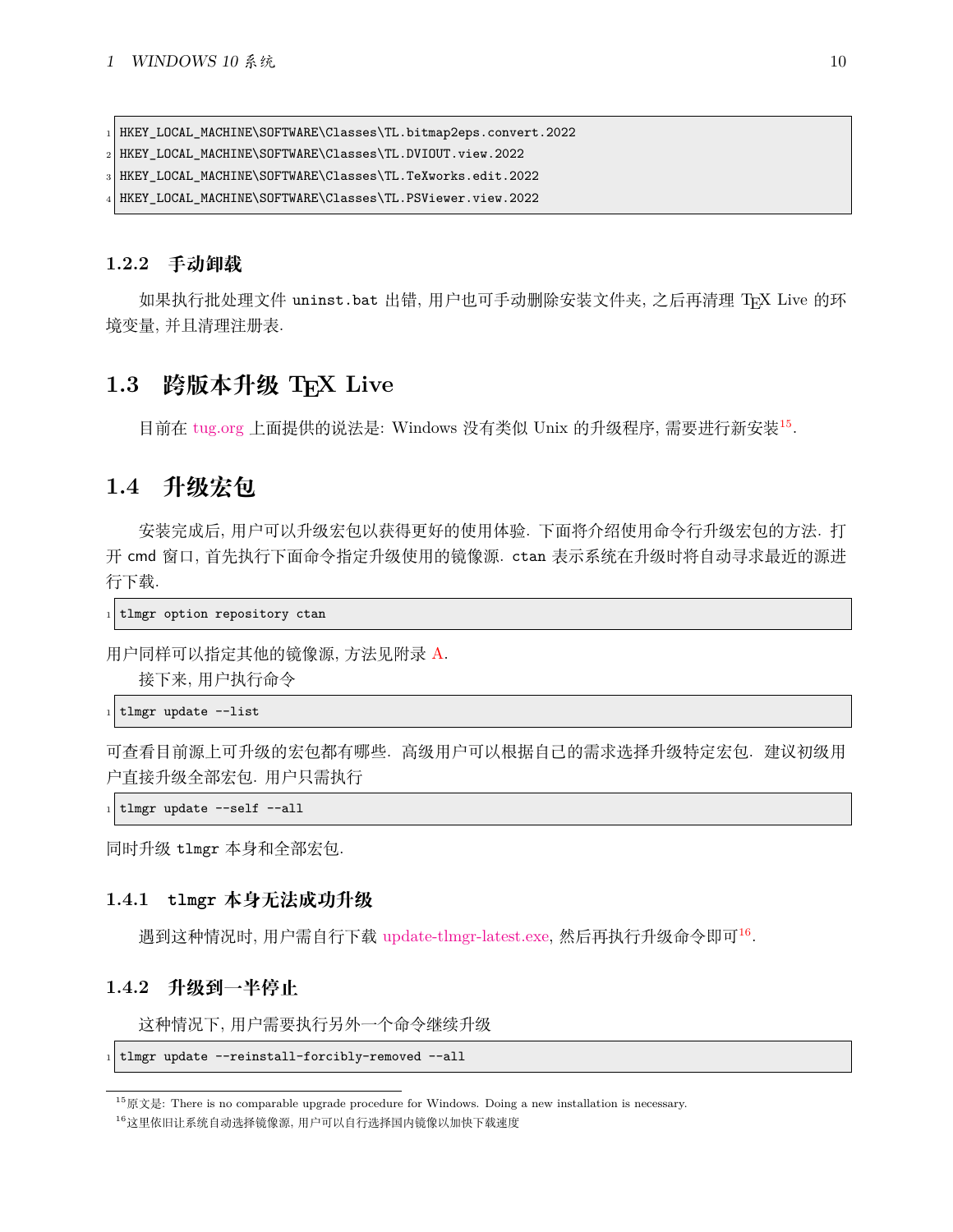1 HKEY\_LOCAL\_MACHINE\SOFTWARE\Classes\TL.bitmap2eps.convert.2022

<sup>2</sup> HKEY\_LOCAL\_MACHINE\SOFTWARE\Classes\TL.DVIOUT.view.2022

<sup>3</sup> HKEY\_LOCAL\_MACHINE\SOFTWARE\Classes\TL.TeXworks.edit.2022

HKEY\_LOCAL\_MACHINE\SOFTWARE\Classes\TL.PSViewer.view.2022

#### <span id="page-10-0"></span>**1.2.2 手动卸载**

如果执行批处理文件 uninst.bat 出错, 用户也可手动删除安装文件夹, 之后再清理 TFX Live 的环 境变量, 并且清理注册表.

### <span id="page-10-1"></span>**1.3 跨版本升级 TEX Live**

目前在 [tug.org](https://www.tug.org/texlive/upgrade.html) 上面提供的说法是: Windows 没有类似 Unix 的升级程序, 需要进行新安装[15](#page-10-5).

# <span id="page-10-2"></span>**1.4 升级宏包**

安装完成后, 用户可以升级宏包以获得更好的使用体验. 下面将介绍使用命令行升级宏包的方法. 打 开 cmd 窗口, 首先执行下面命令指定升级使用的镜像源. ctan 表示系统在升级时将自动寻求最近的源进 行下载.

 $_1$  tlmgr option repository ctan

用户同样可以指定其他的镜像源, 方法见附录 [A](#page-43-0).

接下来, 用户执行命令

 $_1$  tlmgr update --list

可查看目前源上可升级的宏包都有哪些. 高级用户可以根据自己的需求选择升级特定宏包. 建议初级用 户直接升级全部宏包. 用户只需执行

| tlmgr update --self --all

同时升级 tlmgr 本身和全部宏包.

### <span id="page-10-3"></span>**1.4.1 tlmgr 本身无法成功升级**

遇到这种情况时, 用户需自行下载 [update-tlmgr-latest.exe,](https://mirrors.ctan.org/systems/texlive/tlnet/update-tlmgr-latest.exe) 然后再执行升级命令即可[16](#page-10-6) .

### <span id="page-10-4"></span>**1.4.2 升级到一半停止**

这种情况下, 用户需要执行另外一个命令继续升级

```
tlmgr update --reinstall-forcibly-removed --all
```
<span id="page-10-5"></span> $^{15}$ 原文是: There is no comparable upgrade procedure for Windows. Doing a new installation is necessary.

<span id="page-10-6"></span><sup>16</sup>这里依旧让系统自动选择镜像源, 用户可以自行选择国内镜像以加快下载速度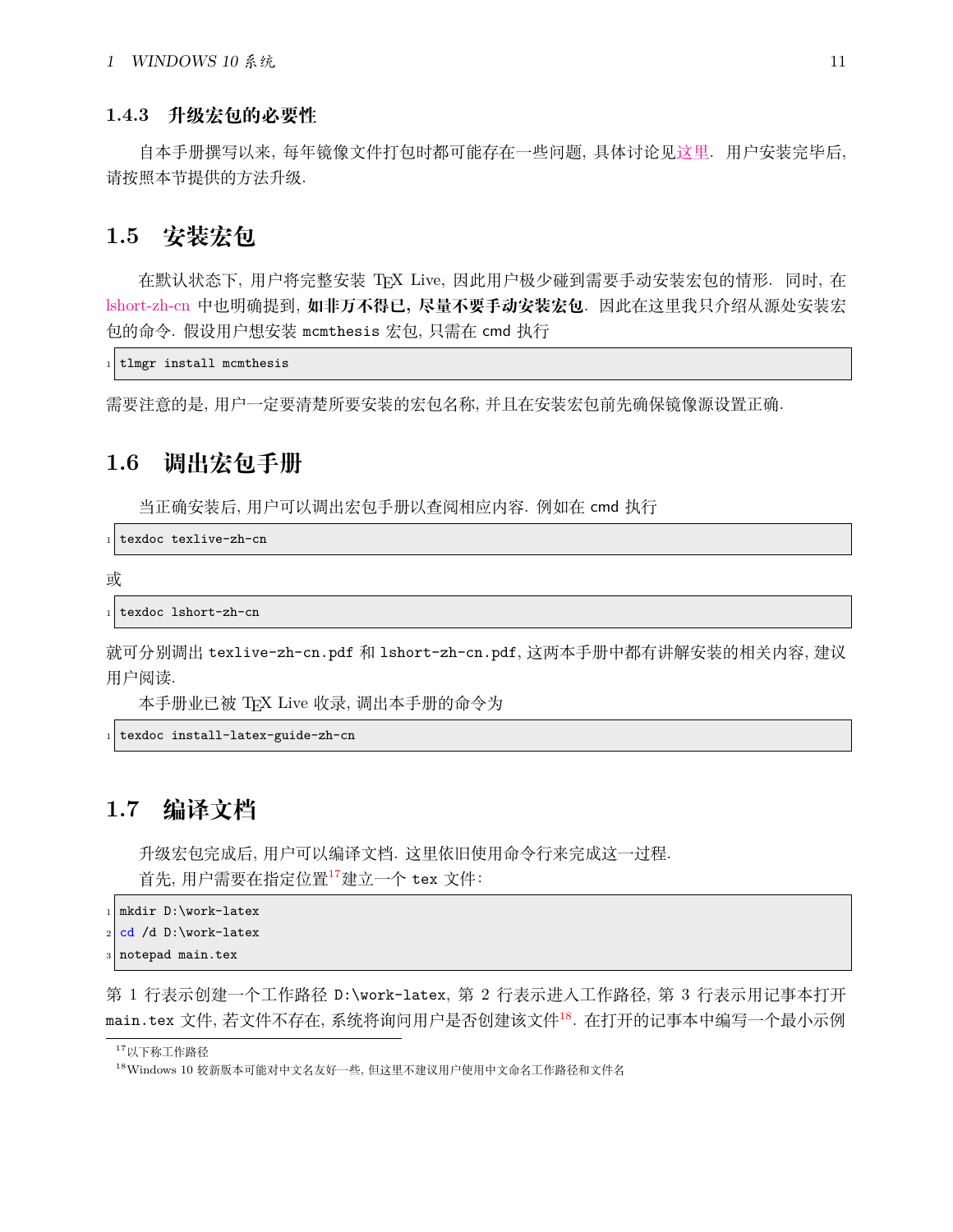#### <span id="page-11-0"></span>**1.4.3 升级宏包的必要性**

自本手册撰写以来, 每年镜像文件打包时都可能存在一些问题, 具体讨论见[这里](https://github.com/CTeX-org/ctex-kit/issues/569). 用户安装完毕后, 请按照本节提供的方法升级.

## <span id="page-11-1"></span>**1.5 安装宏包**

在默认状态下, 用户将完整安装 TEX Live, 因此用户极少碰到需要手动安装宏包的情形. 同时, 在 [lshort-zh-cn](http://mirrors.ctan.org/info/lshort/chinese/lshort-zh-cn.pdf) 中也明确提到, **如非万不得已, 尽量不要手动安装宏包**. 因此在这里我只介绍从源处安装宏 包的命令. 假设用户想安装 mcmthesis 宏包, 只需在 cmd 执行

```
tlmgr install mcmthesis
```
需要注意的是, 用户一定要清楚所要安装的宏包名称, 并且在安装宏包前先确保镜像源设置正确.

## <span id="page-11-2"></span>**1.6 调出宏包手册**

当正确安装后, 用户可以调出宏包手册以查阅相应内容. 例如在 cmd 执行

texdoc texlive-zh-cn

```
或
```
texdoc lshort-zh-cn

就可分别调出 texlive-zh-cn.pdf 和 lshort-zh-cn.pdf, 这两本手册中都有讲解安装的相关内容, 建议 用户阅读.

本手册业已被 TEX Live 收录, 调出本手册的命令为

texdoc install-latex-guide-zh-cn

# <span id="page-11-3"></span>**1.7 编译文档**

升级宏包完成后, 用户可以编译文档. 这里依旧使用命令行来完成这一过程. 首先, 用户需要在指定位置[17](#page-11-4)建立一个 tex 文件:

```
_1 mkdir D:\work-latex
```

```
cd /d D:\work-latex
```
notepad main.tex

第 1 行表示创建一个工作路径 D:\work-latex, 第 2 行表示进入工作路径, 第 3 行表示用记事本打开 main.tex 文件, 若文件不存在, 系统将询问用户是否创建该文件[18](#page-11-5). 在打开的记事本中编写一个最小示例

<span id="page-11-4"></span><sup>17</sup>以下称工作路径

<span id="page-11-5"></span><sup>18</sup>Windows 10 较新版本可能对中文名友好一些, 但这里不建议用户使用中文命名工作路径和文件名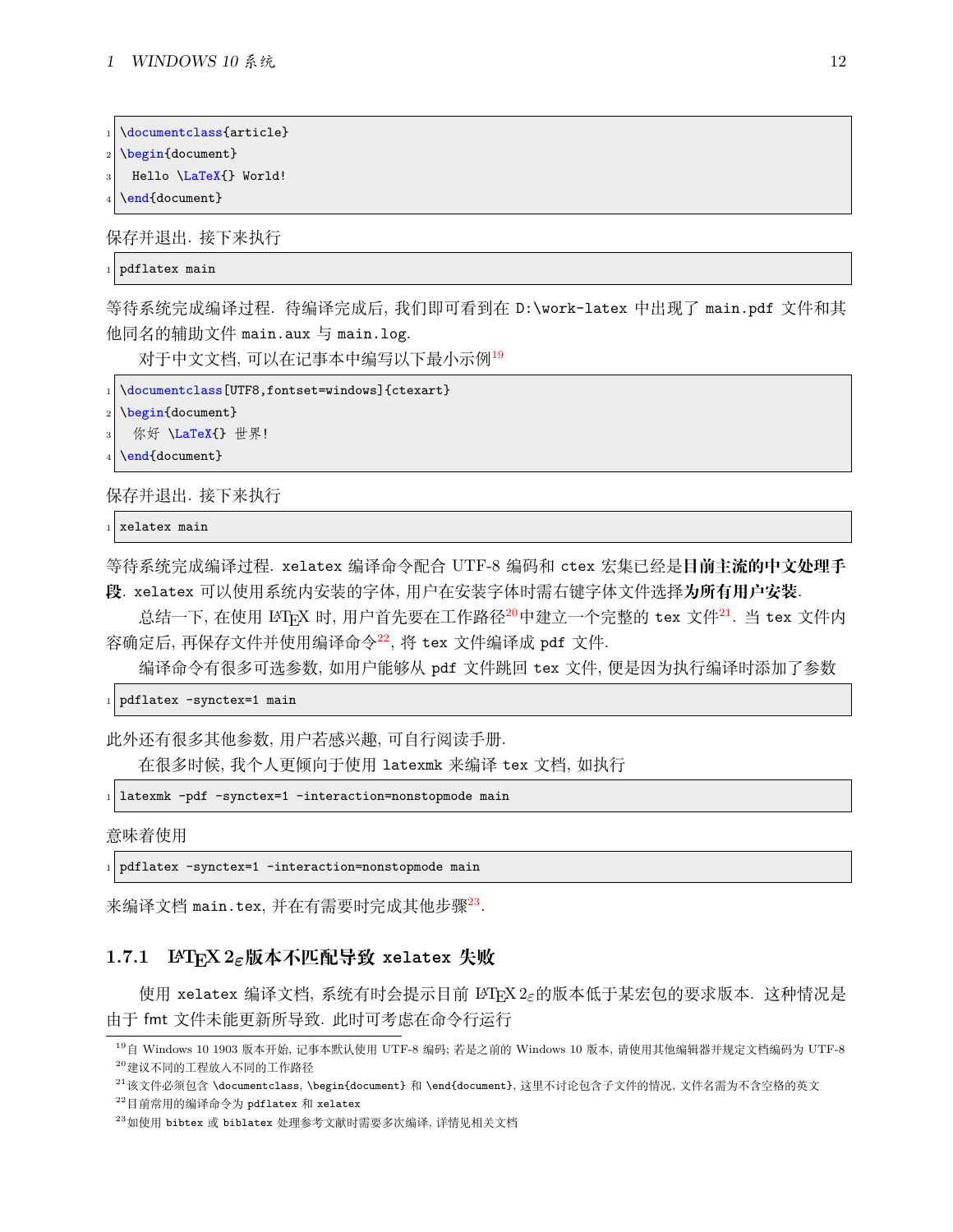```
\documentclass{article}
```

```
\begin{document}
```
Hello \LaTeX{} World!

\end{document}

保存并退出. 接下来执行

```
pdflatex main
```
等待系统完成编译过程. 待编译完成后, 我们即可看到在 D:\work-latex 中出现了 main.pdf 文件和其 他同名的辅助文件 main.aux 与 main.log.

对于中文文档, 可以在记事本中编写以下最小示例[19](#page-12-1)

```
\documentclass[UTF8,fontset=windows]{ctexart}
```
\begin{document}

```
你好 \LaTeX{} 世界!
```

```
\end{document}
```
保存并退出. 接下来执行

```
xelatex main
```
等待系统完成编译过程. xelatex 编译命令配合 UTF-8 编码和 ctex 宏集已经是**目前主流的中文处理手 段**. xelatex 可以使用系统内安装的字体, 用户在安装字体时需右键字体文件选择**为所有用户安装**.

总结一下, 在使用 LATEX 时, 用户首先要在工作路径<sup>[20](#page-12-2)</sup>中建立一个完整的 tex 文件<sup>[21](#page-12-3)</sup>. 当 tex 文件内 容确定后, 再保存文件并使用编译命令[22](#page-12-4), 将 tex 文件编译成 pdf 文件.

编译命令有很多可选参数, 如用户能够从 pdf 文件跳回 tex 文件, 便是因为执行编译时添加了参数

1 pdflatex -synctex=1 main

此外还有很多其他参数, 用户若感兴趣, 可自行阅读手册.

在很多时候, 我个人更倾向于使用 latexmk 来编译 tex 文档, 如执行

```
_{1} latexmk -pdf -synctex=1 -interaction=nonstopmode main
```
意味着使用

1 pdflatex -synctex=1 -interaction=nonstopmode main

来编译文档 main.tex, 并在有需要时完成其他步骤[23](#page-12-5).

### <span id="page-12-0"></span>**1.7.1 LATEX 2***ε***版本不匹配导致 xelatex 失败**

使用 xelatex 编译文档, 系统有时会提示目前 LATEX 2*ε*的版本低于某宏包的要求版本. 这种情况是 由于 fmt 文件未能更新所导致. 此时可考虑在命令行运行

<span id="page-12-2"></span><span id="page-12-1"></span> $^{19}$ 自 Windows 10 1903 版本开始, 记事本默认使用 UTF-8 编码; 若是之前的 Windows 10 版本, 请使用其他编辑器并规定文档编码为 UTF-8 <sup>20</sup>建议不同的工程放入不同的工作路径

<span id="page-12-3"></span><sup>&</sup>lt;sup>21</sup>该文件必须包含 \documentclass, \begin{document} 和 \end{document}, 这里不讨论包含子文件的情况, 文件名需为不含空格的英文

<span id="page-12-4"></span><sup>22</sup>目前常用的编译命令为 pdflatex 和 xelatex

<span id="page-12-5"></span><sup>23</sup>如使用 bibtex 或 biblatex 处理参考文献时需要多次编译, 详情见相关文档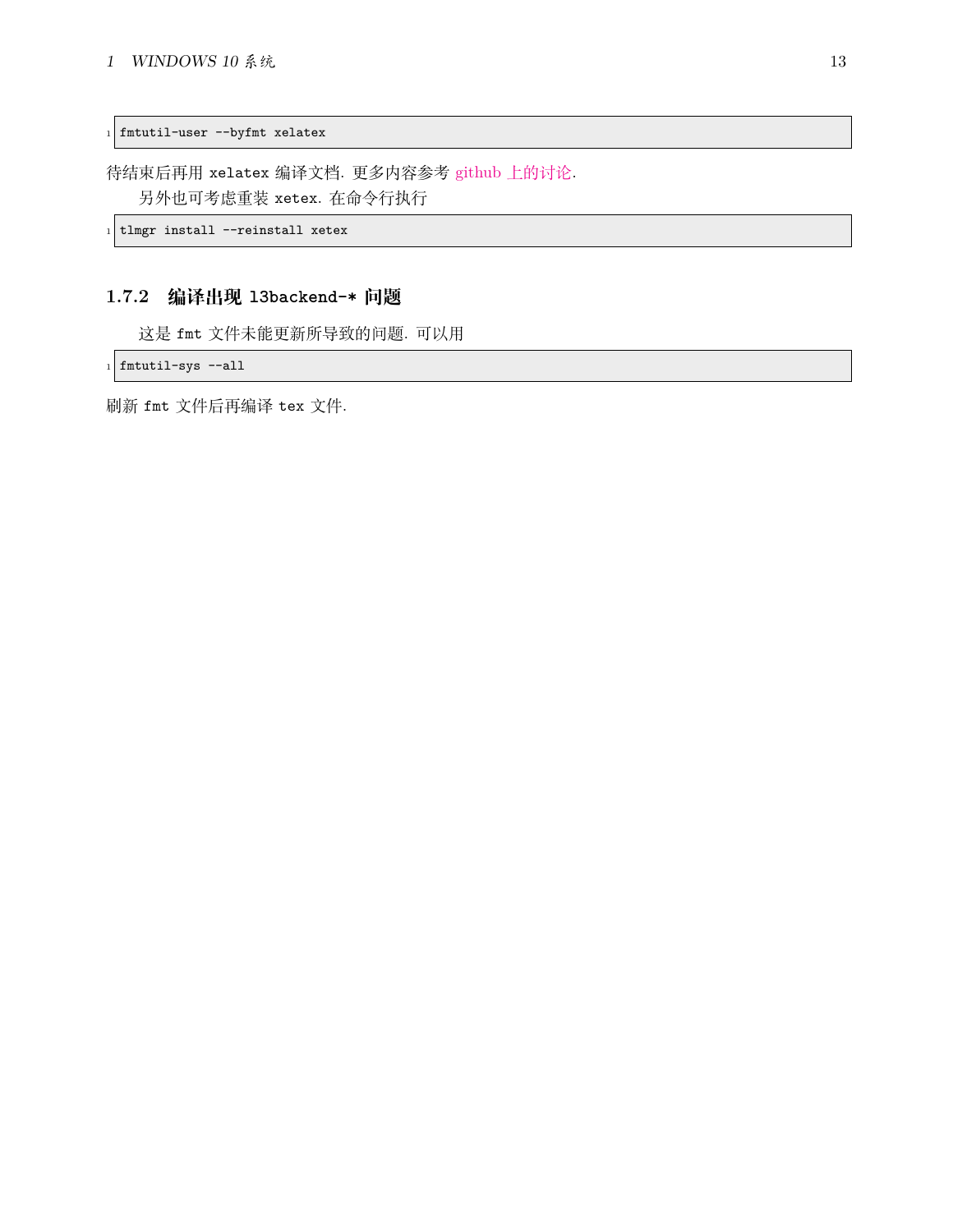1 fmtutil-user --byfmt xelatex

待结束后再用 xelatex 编译文档. 更多内容参考 github [上的讨论](https://github.com/CTeX-org/forum/issues/70). 另外也可考虑重装 xetex. 在命令行执行

 $1$  tlmgr install --reinstall xetex

### <span id="page-13-0"></span>**1.7.2 编译出现 l3backend-\* 问题**

这是 fmt 文件未能更新所导致的问题. 可以用

 $_1$  fmtutil-sys --all

刷新 fmt 文件后再编译 tex 文件.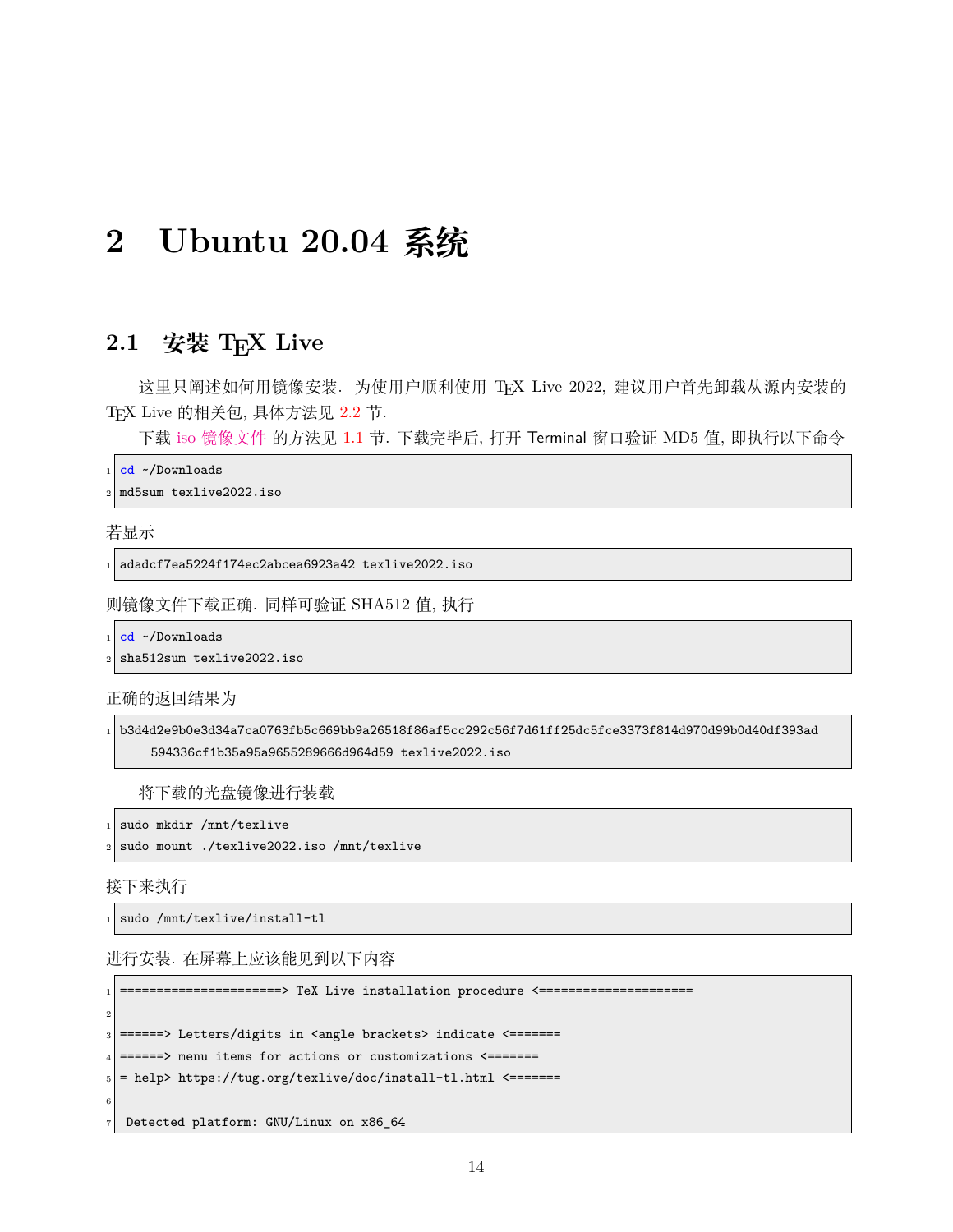# <span id="page-14-0"></span>**2 Ubuntu 20.04 系统**

# <span id="page-14-1"></span>**2.1 安装 TEX Live**

这里只阐述如何用镜像安装. 为使用户顺利使用 TEX Live 2022, 建议用户首先卸载从源内安装的 TEX Live 的相关包, 具体方法见 [2.2](#page-18-0) 节.

下载 iso [镜像文件](https://mirrors.ctan.org/systems/texlive/Images/texlive2022.iso) 的方法见 [1.1](#page-5-1) 节. 下载完毕后, 打开 Terminal 窗口验证 MD5 值, 即执行以下命令

cd ~/Downloads

<sup>2</sup> md5sum texlive2022.iso

若显示

<sup>1</sup> adadcf7ea5224f174ec2abcea6923a42 texlive2022.iso

则镜像文件下载正确. 同样可验证 SHA512 值, 执行

cd ~/Downloads

sha512sum texlive2022.iso

正确的返回结果为

```
1 b3d4d2e9b0e3d34a7ca0763fb5c669bb9a26518f86af5cc292c56f7d61ff25dc5fce3373f814d970d99b0d40df393ad
    594336cf1b35a95a9655289666d964d59 texlive2022.iso
```
将下载的光盘镜像进行装载

 $_1$  sudo mkdir /mnt/texlive

sudo mount ./texlive2022.iso /mnt/texlive

接下来执行

 $_1$  sudo /mnt/texlive/install-tl

进行安装. 在屏幕上应该能见到以下内容

=====================> TeX Live installation procedure <======================== 2 ======> Letters/digits in <angle brackets> indicate <=======  $_4$  ======> menu items for actions or customizations <=======  $|5|$  = help> https://tug.org/texlive/doc/install-tl.html <======= 6 <sup>7</sup> Detected platform: GNU/Linux on x86\_64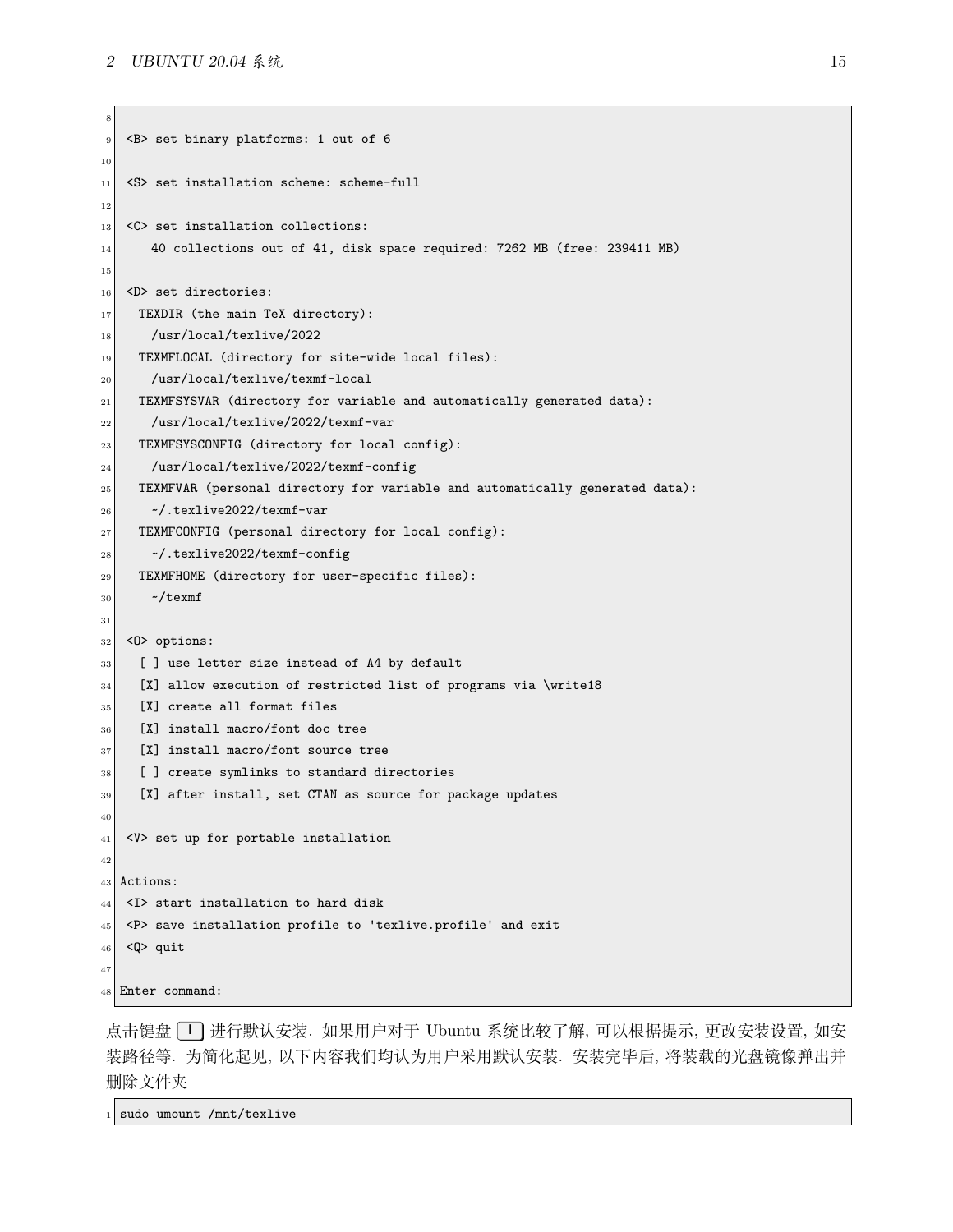```
8
9 <B> set binary platforms: 1 out of 6
10
|11| <S> set installation scheme: scheme-full
12
|13| <C> set installation collections:
\begin{bmatrix} 14 \end{bmatrix} 40 collections out of 41, disk space required: 7262 MB (free: 239411 MB)
15
_{16} <D> set directories:
17 TEXDIR (the main TeX directory):
18 /usr/local/texlive/2022
19 TEXMFLOCAL (directory for site-wide local files):
20 /usr/local/texlive/texmf-local
21 TEXMFSYSVAR (directory for variable and automatically generated data):
22 /usr/local/texlive/2022/texmf-var
23 TEXMFSYSCONFIG (directory for local config):
24 /usr/local/texlive/2022/texmf-config
25 TEXMFVAR (personal directory for variable and automatically generated data):
_{26} \sim /.texlive2022/texmf-var
27 TEXMFCONFIG (personal directory for local config):
28 ~/.texlive2022/texmf-config
29 TEXMFHOME (directory for user-specific files):
30 \sim/texmf
31
32 \mid <0> options:
33 [ ] use letter size instead of A4 by default
34 [X] allow execution of restricted list of programs via \write18
35 [X] create all format files
36 [X] install macro/font doc tree
37 [X] install macro/font source tree
38 [ ] create symlinks to standard directories
39 [X] after install, set CTAN as source for package updates
40
|41| <V> set up for portable installation
42
43 Actions:
44 <I> start installation to hard disk
45 <P> save installation profile to 'texlive.profile' and exit
_{46} <Q> quit
47
48 Enter command:
```
点击键盘 <sup>[1]</sup> 进行默认安装. 如果用户对于 Ubuntu 系统比较了解, 可以根据提示, 更改安装设置, 如安 装路径等. 为简化起见, 以下内容我们均认为用户采用默认安装. 安装完毕后, 将装载的光盘镜像弹出并 删除文件夹

 $_1$  sudo umount /mnt/texlive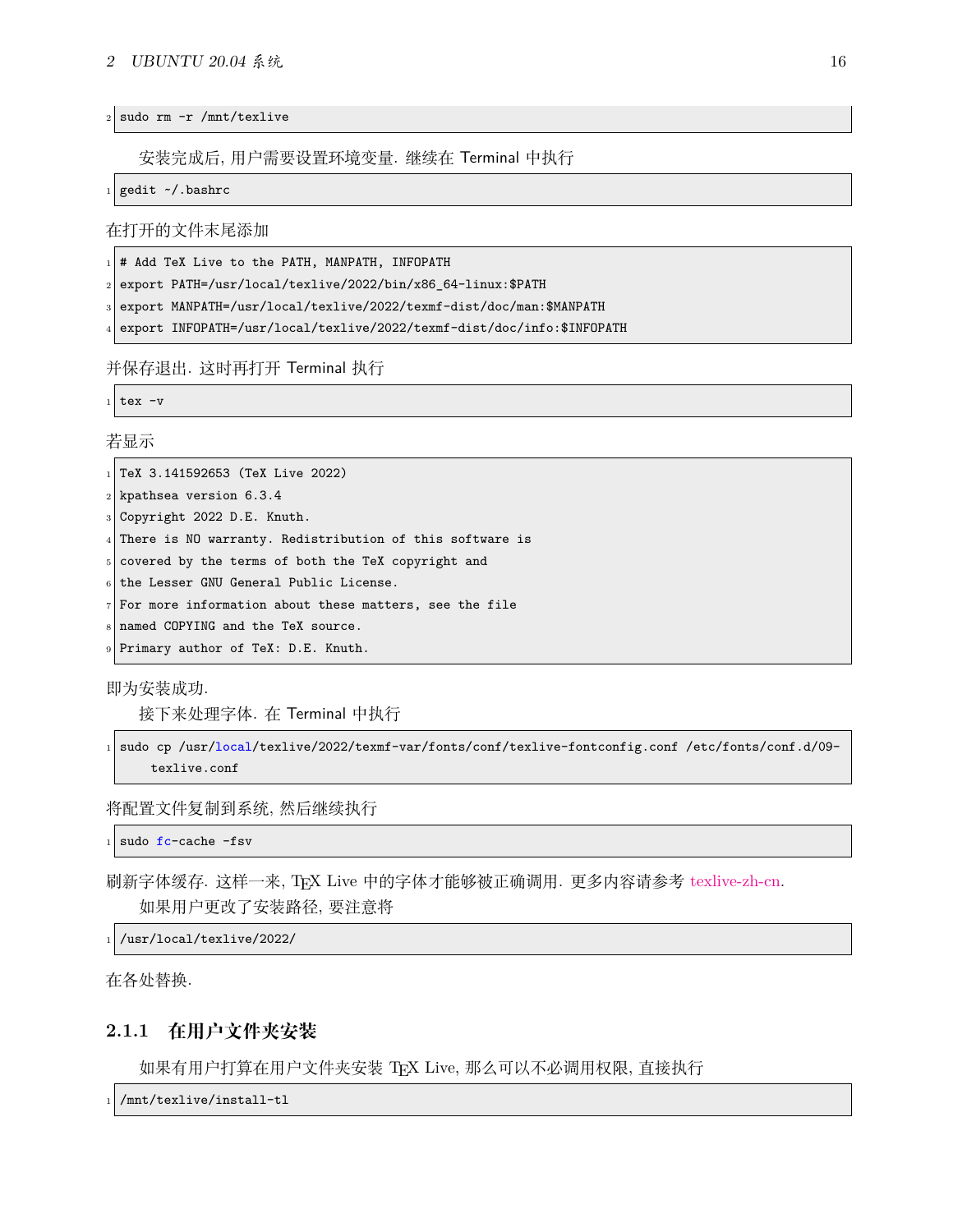#### *2 UBUNTU 20.04* 系统 16

 $2$  sudo rm  $-r$  /mnt/texlive

安装完成后, 用户需要设置环境变量. 继续在 Terminal 中执行

gedit ~/.bashrc

在打开的文件末尾添加

# Add TeX Live to the PATH, MANPATH, INFOPATH

<sup>2</sup> export PATH=/usr/local/texlive/2022/bin/x86\_64-linux:\$PATH

export MANPATH=/usr/local/texlive/2022/texmf-dist/doc/man:\$MANPATH

<sup>4</sup> export INFOPATH=/usr/local/texlive/2022/texmf-dist/doc/info:\$INFOPATH

并保存退出. 这时再打开 Terminal 执行

 $tex -v$ 

若显示

 $_1$  TeX 3.141592653 (TeX Live 2022)

 $_2$  kpathsea version 6.3.4

<sup>3</sup> Copyright 2022 D.E. Knuth.

 $4$  There is NO warranty. Redistribution of this software is

5 covered by the terms of both the TeX copyright and

the Lesser GNU General Public License.

 $7$  For more information about these matters, see the file

named COPYING and the TeX source.

Primary author of TeX: D.E. Knuth.

即为安装成功.

接下来处理字体. 在 Terminal 中执行

```
1 sudo cp /usr/local/texlive/2022/texmf-var/fonts/conf/texlive-fontconfig.conf /etc/fonts/conf.d/09-
    texlive.conf
```
将配置文件复制到系统, 然后继续执行

sudo fc-cache -fsv

刷新字体缓存. 这样一来, TEX Live 中的字体才能够被正确调用. 更多内容请参考 [texlive-zh-cn.](https://www.tug.org/texlive/doc/texlive-zh-cn/texlive-zh-cn.pdf) 如果用户更改了安装路径, 要注意将

 $_{1}$  /usr/local/texlive/2022/

在各处替换.

### <span id="page-16-0"></span>**2.1.1 在用户文件夹安装**

如果有用户打算在用户文件夹安装 TEX Live, 那么可以不必调用权限, 直接执行

/mnt/texlive/install-tl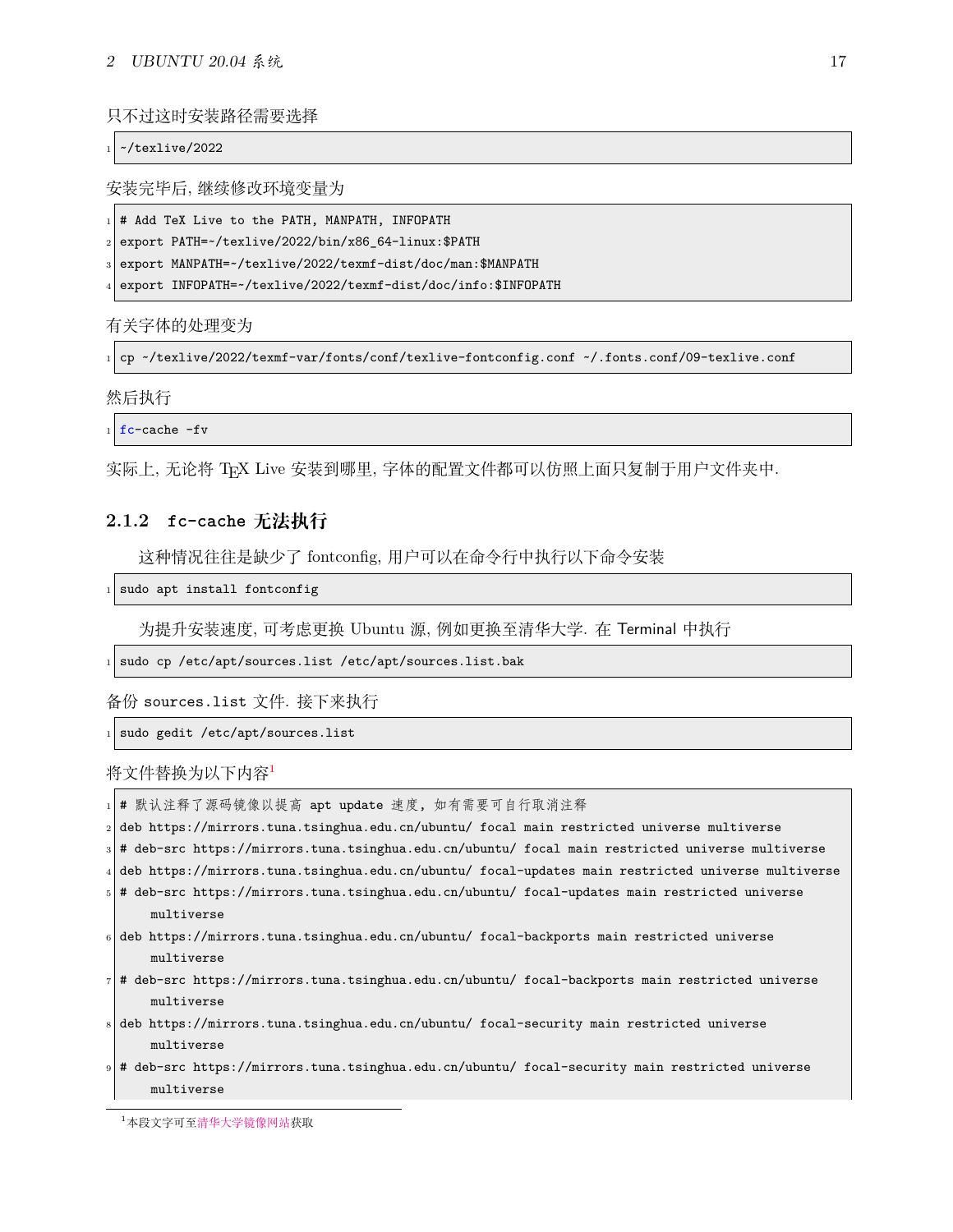只不过这时安装路径需要选择

 $\sim$ /texlive/2022

安装完毕后, 继续修改环境变量为

 $_1 \vert$ # Add TeX Live to the PATH, MANPATH, INFOPATH

<sup>2</sup> export PATH=~/texlive/2022/bin/x86\_64-linux:\$PATH

export MANPATH=~/texlive/2022/texmf-dist/doc/man:\$MANPATH

export INFOPATH=~/texlive/2022/texmf-dist/doc/info:\$INFOPATH

有关字体的处理变为

<sup>1</sup> cp ~/texlive/2022/texmf-var/fonts/conf/texlive-fontconfig.conf ~/.fonts.conf/09-texlive.conf

然后执行

 $fc$ -cache  $-fv$ 

实际上, 无论将 TEX Live 安装到哪里, 字体的配置文件都可以仿照上面只复制于用户文件夹中.

#### <span id="page-17-0"></span>**2.1.2 fc-cache 无法执行**

这种情况往往是缺少了 fontconfig, 用户可以在命令行中执行以下命令安装

sudo apt install fontconfig

为提升安装速度, 可考虑更换 Ubuntu 源, 例如更换至清华大学. 在 Terminal 中执行

sudo cp /etc/apt/sources.list /etc/apt/sources.list.bak

备份 sources.list 文件. 接下来执行

sudo gedit /etc/apt/sources.list

将文件替换为以下内容[1](#page-17-1)

| 1   # 默认注释了源码镜像以提高 apt update 速度,如有需要可自行取消注释                                                            |
|---------------------------------------------------------------------------------------------------------|
| $_2$  deb https://mirrors.tuna.tsinghua.edu.cn/ubuntu/ focal main restricted universe multiverse        |
| s # deb-src https://mirrors.tuna.tsinghua.edu.cn/ubuntu/ focal main restricted universe multiverse:     |
| $_4$ deb https://mirrors.tuna.tsinghua.edu.cn/ubuntu/ focal-updates main restricted universe multiverse |
|                                                                                                         |

- <sup>5</sup> # deb-src https://mirrors.tuna.tsinghua.edu.cn/ubuntu/ focal-updates main restricted universe multiverse
- <sup>6</sup> deb https://mirrors.tuna.tsinghua.edu.cn/ubuntu/ focal-backports main restricted universe multiverse
- <sup>7</sup> # deb-src https://mirrors.tuna.tsinghua.edu.cn/ubuntu/ focal-backports main restricted universe multiverse
- <sup>8</sup> deb https://mirrors.tuna.tsinghua.edu.cn/ubuntu/ focal-security main restricted universe multiverse
- <sup>9</sup> # deb-src https://mirrors.tuna.tsinghua.edu.cn/ubuntu/ focal-security main restricted universe multiverse

<span id="page-17-1"></span><sup>1</sup>本段文字可至[清华大学镜像网站获](https://mirrors.tuna.tsinghua.edu.cn/help/ubuntu/)取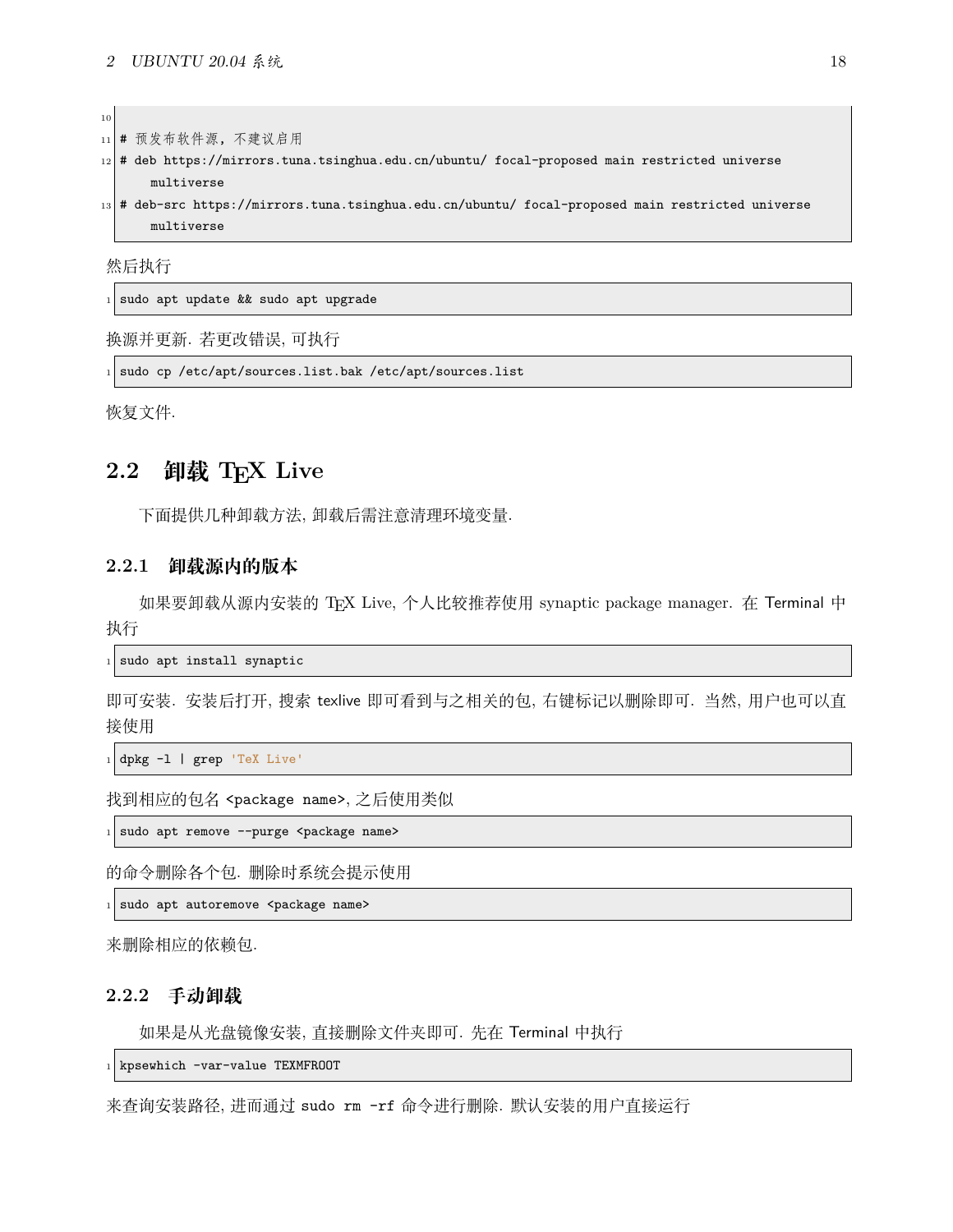| 10 <sup>1</sup> |                                                                                                     |  |  |  |
|-----------------|-----------------------------------------------------------------------------------------------------|--|--|--|
|                 | 11 # 预发布软件源, 不建议启用                                                                                  |  |  |  |
|                 | $_{12} $ # deb https://mirrors.tuna.tsinghua.edu.cn/ubuntu/ focal-proposed main restricted universe |  |  |  |
|                 | multiverse                                                                                          |  |  |  |
|                 | 13 # deb-src https://mirrors.tuna.tsinghua.edu.cn/ubuntu/ focal-proposed main restricted universe   |  |  |  |
|                 | multiverse                                                                                          |  |  |  |
|                 | 然后执行                                                                                                |  |  |  |
|                 |                                                                                                     |  |  |  |
|                 |                                                                                                     |  |  |  |

 $1$  sudo apt update && sudo apt upgrade

换源并更新. 若更改错误, 可执行

sudo cp /etc/apt/sources.list.bak /etc/apt/sources.list

恢复文件.

## <span id="page-18-0"></span>**2.2 卸载 TEX Live**

下面提供几种卸载方法, 卸载后需注意清理环境变量.

### <span id="page-18-1"></span>**2.2.1 卸载源内的版本**

如果要卸载从源内安装的 TEX Live, 个人比较推荐使用 synaptic package manager. 在 Terminal 中 执行

 $\frac{1}{1}$  sudo apt install synaptic

即可安装. 安装后打开, 搜索 texlive 即可看到与之相关的包, 右键标记以删除即可. 当然, 用户也可以直 接使用

<sup>1</sup> dpkg -l | grep 'TeX Live'

```
找到相应的包名 <package name>, 之后使用类似
```
sudo apt remove --purge <package name>

的命令删除各个包. 删除时系统会提示使用

sudo apt autoremove <package name>

来删除相应的依赖包.

#### <span id="page-18-2"></span>**2.2.2 手动卸载**

如果是从光盘镜像安装, 直接删除文件夹即可. 先在 Terminal 中执行

 $_1$  kpsewhich -var-value TEXMFROOT

来查询安装路径, 进而通过 sudo rm -rf 命令进行删除. 默认安装的用户直接运行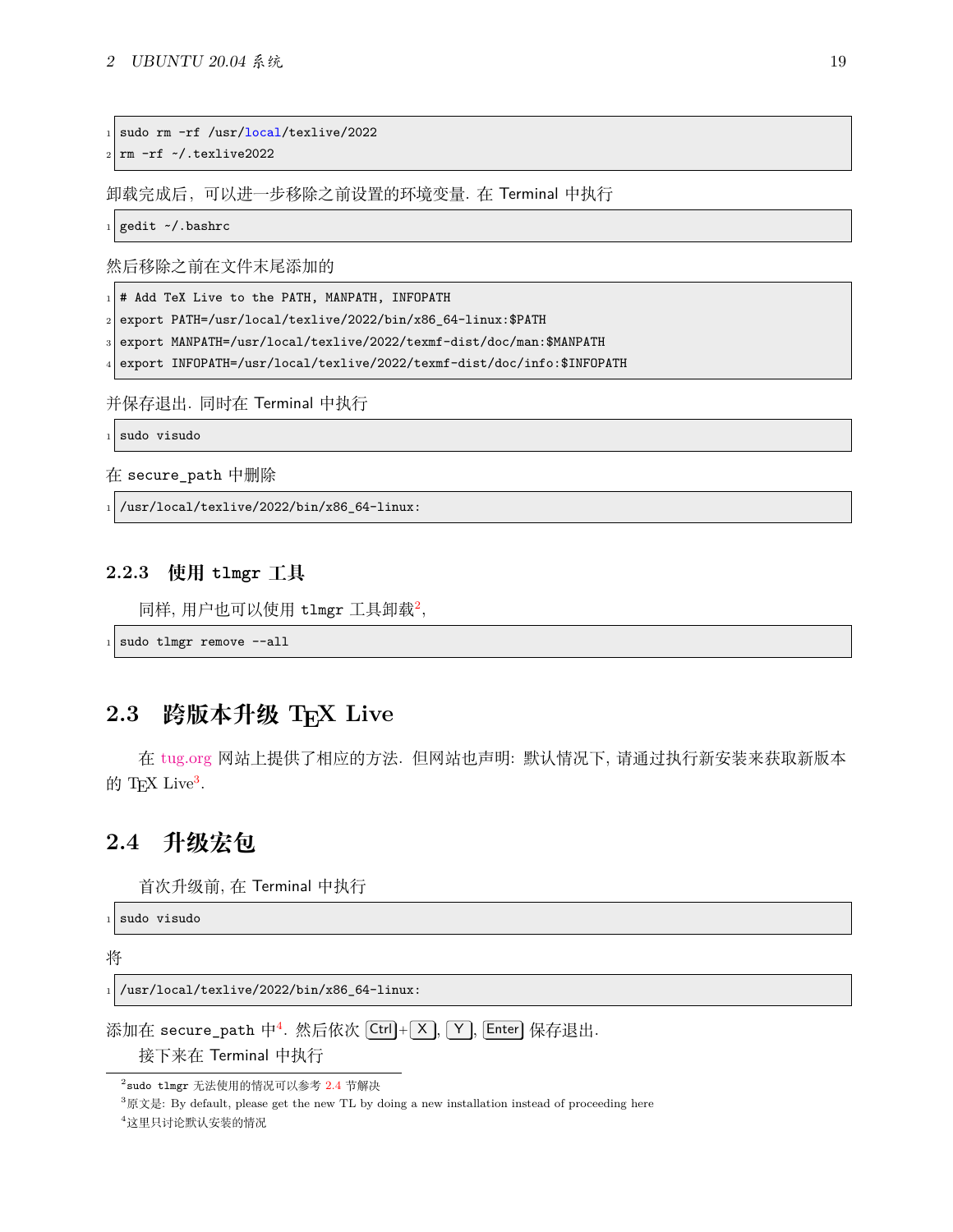```
sudo rm -rf /usr/local/texlive/2022
```
<sup>2</sup> rm -rf ~/.texlive2022

卸载完成后,可以进一步移除之前设置的环境变量. 在 Terminal 中执行

 $_1$  gedit  $\sim$ /.bashrc

然后移除之前在文件末尾添加的

 $1$  # Add TeX Live to the PATH, MANPATH, INFOPATH

<sup>2</sup> export PATH=/usr/local/texlive/2022/bin/x86\_64-linux:\$PATH

export MANPATH=/usr/local/texlive/2022/texmf-dist/doc/man:\$MANPATH

export INFOPATH=/usr/local/texlive/2022/texmf-dist/doc/info:\$INFOPATH

并保存退出. 同时在 Terminal 中执行

sudo visudo

在 secure\_path 中删除

/usr/local/texlive/2022/bin/x86\_64-linux:

### <span id="page-19-0"></span>**2.2.3 使用 tlmgr 工具**

同样, 用户也可以使用 tlmgr 工具卸载 $^2$  $^2$ ,

```
sudo tlmgr remove --all
```
# <span id="page-19-1"></span>**2.3 跨版本升级 TEX Live**

在 [tug.org](https://www.tug.org/texlive/upgrade.html) 网站上提供了相应的方法. 但网站也声明: 默认情况下, 请通过执行新安装来获取新版本 的 TEX Live<sup>[3](#page-19-4)</sup>.

# <span id="page-19-2"></span>**2.4 升级宏包**

首次升级前, 在 Terminal 中执行

sudo visudo

将

```
/usr/local/texlive/2022/bin/x86_64-linux:
```
添加在 secure\_path 中<sup>[4](#page-19-5)</sup>. 然后依次 [Ctrl]+[×], [Y], [Enter] 保存退出.

接下来在 Terminal 中执行

<span id="page-19-3"></span><sup>2</sup> sudo tlmgr 无法使用的情况可以参考 [2.4](#page-19-2) 节解决

<span id="page-19-4"></span> $^3$ 原文是: By default, please get the new TL by doing a new installation instead of proceeding here

<span id="page-19-5"></span><sup>4</sup>这里只讨论默认安装的情况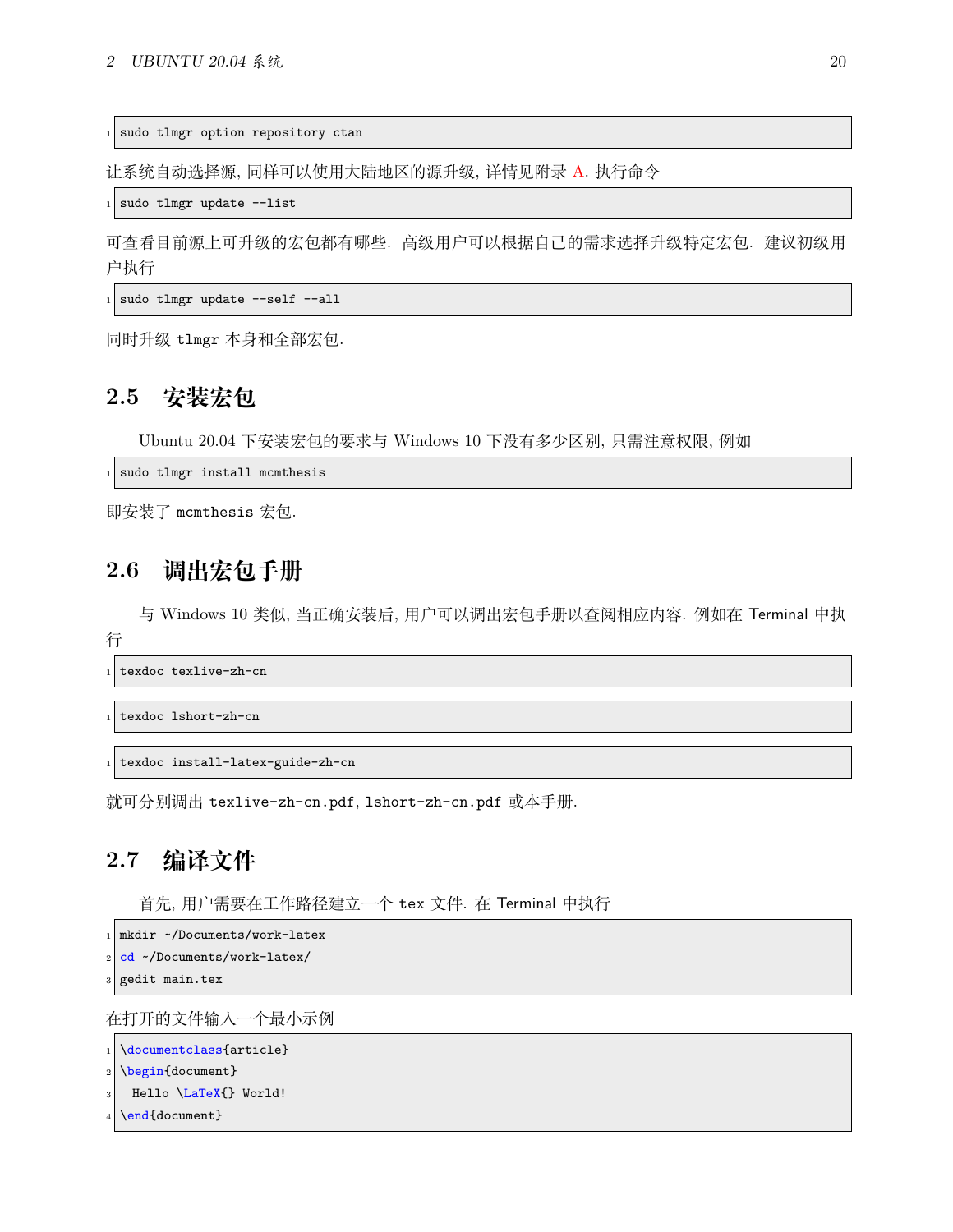sudo tlmgr option repository ctan

让系统自动选择源, 同样可以使用大陆地区的源升级, 详情见附录 [A.](#page-43-0) 执行命令

sudo tlmgr update --list

可查看目前源上可升级的宏包都有哪些. 高级用户可以根据自己的需求选择升级特定宏包. 建议初级用 户执行

 $_1$  sudo tlmgr update --self --all

同时升级 tlmgr 本身和全部宏包.

# <span id="page-20-0"></span>**2.5 安装宏包**

Ubuntu 20.04 下安装宏包的要求与 Windows 10 下没有多少区别, 只需注意权限, 例如

 $_1$  sudo tlmgr install mcmthesis

即安装了 mcmthesis 宏包.

# <span id="page-20-1"></span>**2.6 调出宏包手册**

与 Windows 10 类似, 当正确安装后, 用户可以调出宏包手册以查阅相应内容. 例如在 Terminal 中执

行

texdoc texlive-zh-cn

```
texdoc lshort-zh-cn
```

```
texdoc install-latex-guide-zh-cn
```
就可分别调出 texlive-zh-cn.pdf, lshort-zh-cn.pdf 或本手册.

# <span id="page-20-2"></span>**2.7 编译文件**

首先, 用户需要在工作路径建立一个 tex 文件. 在 Terminal 中执行

```
mkdir ~/Documents/work-latex
```

```
cd ~/Documents/work-latex/
```
gedit main.tex

在打开的文件输入一个最小示例

```
\documentclass{article}
\begin{document}
```

```
Hello \LaTeX{} World!
```

```
\end{document}
```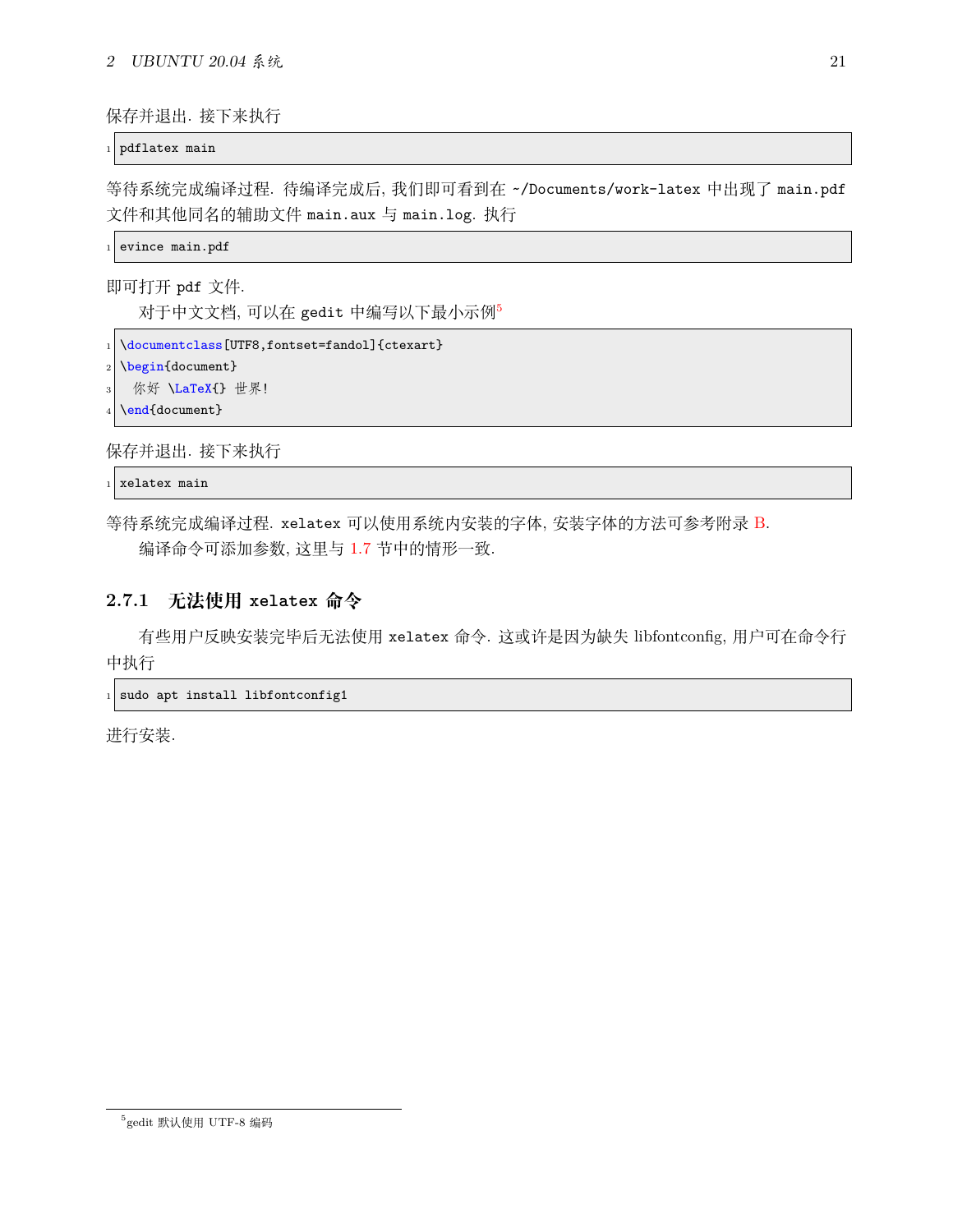保存并退出. 接下来执行

pdflatex main

等待系统完成编译过程. 待编译完成后, 我们即可看到在 ~/Documents/work-latex 中出现了 main.pdf 文件和其他同名的辅助文件 main.aux 与 main.log. 执行

evince main.pdf

即可打开 pdf 文件.

对于中文文档, 可以在 gedit 中编写以下最小示例[5](#page-21-1)

```
\documentclass[UTF8,fontset=fandol]{ctexart}
```
 $_{2}$  \begin{document}

```
你好 \LaTeX{} 世界!
```
\end{document}

保存并退出. 接下来执行

xelatex main

等待系统完成编译过程. xelatex 可以使用系统内安装的字体, 安装字体的方法可参考附录 [B](#page-45-0). 编译命令可添加参数, 这里与 [1.7](#page-11-3) 节中的情形一致.

### <span id="page-21-0"></span>**2.7.1 无法使用 xelatex 命令**

有些用户反映安装完毕后无法使用 xelatex 命令. 这或许是因为缺失 libfontconfig, 用户可在命令行 中执行

sudo apt install libfontconfig1

进行安装.

<span id="page-21-1"></span><sup>5</sup> gedit 默认使用 UTF-8 编码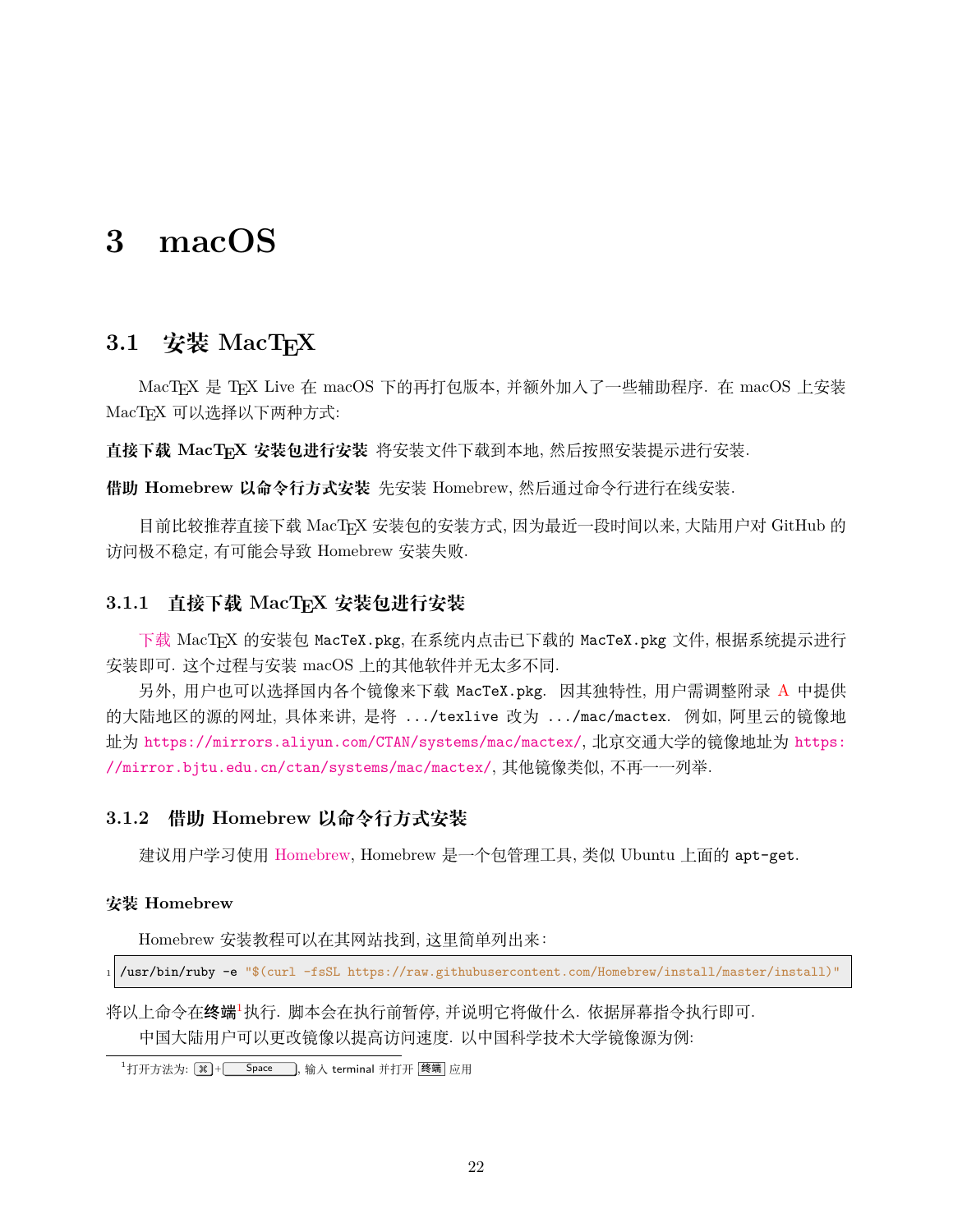# <span id="page-22-0"></span>**3 macOS**

# <span id="page-22-1"></span>**3.1 安装 MacTEX**

MacTEX 是 TEX Live 在 macOS 下的再打包版本, 并额外加入了一些辅助程序. 在 macOS 上安装 MacTFX 可以选择以下两种方式:

**直接下载 MacTEX 安装包进行安装** 将安装文件下载到本地, 然后按照安装提示进行安装.

**借助 Homebrew 以命令行方式安装** 先安装 Homebrew, 然后通过命令行进行在线安装.

目前比较推荐直接下载 MacTFX 安装包的安装方式, 因为最近一段时间以来, 大陆用户对 GitHub 的 访问极不稳定, 有可能会导致 Homebrew 安装失败.

### <span id="page-22-2"></span>**3.1.1 直接下载 MacTEX 安装包进行安装**

[下载](https://mirror.ctan.org/systems/mac/mactex/MacTeX.pkg) MacTFX 的安装包 MacTeX.pkg, 在系统内点击已下载的 MacTeX.pkg 文件, 根据系统提示进行 安装即可. 这个过程与安装 macOS 上的其他软件并无太多不同.

另外, 用户也可以选择国内各个镜像来下载 MacTeX.pkg. 因其独特性, 用户需调整附录 [A](#page-43-0) 中提供 的大陆地区的源的网址, 具体来讲, 是将 .../texlive 改为 .../mac/mactex. 例如, 阿里云的镜像地 址为 <https://mirrors.aliyun.com/CTAN/systems/mac/mactex/>, 北京交通大学的镜像地址为 [https:](https://mirror.bjtu.edu.cn/ctan/systems/mac/mactex/) [//mirror.bjtu.edu.cn/ctan/systems/mac/mactex/](https://mirror.bjtu.edu.cn/ctan/systems/mac/mactex/), 其他镜像类似, 不再一一列举.

### <span id="page-22-3"></span>**3.1.2 借助 Homebrew 以命令行方式安装**

建议用户学习使用 [Homebrew](https://brew.sh), Homebrew 是一个包管理工具, 类似 Ubuntu 上面的 apt-get.

#### **安装 Homebrew**

Homebrew 安装教程可以在其网站找到, 这里简单列出来:

<sup>1</sup> /usr/bin/ruby -e "\$(curl -fsSL https://raw.githubusercontent.com/Homebrew/install/master/install)"

将以上命令在终端[1](#page-22-4)执行. 脚本会在执行前暂停, 并说明它将做什么. 依据屏幕指令执行即可. 中国大陆用户可以更改镜像以提高访问速度. 以中国科学技术大学镜像源为例:

<span id="page-22-4"></span> $\frac{1}{1}$ 打开方法为:  $\boxed{)}$  + Space , 输入 terminal 并打开 | 终端 | 应用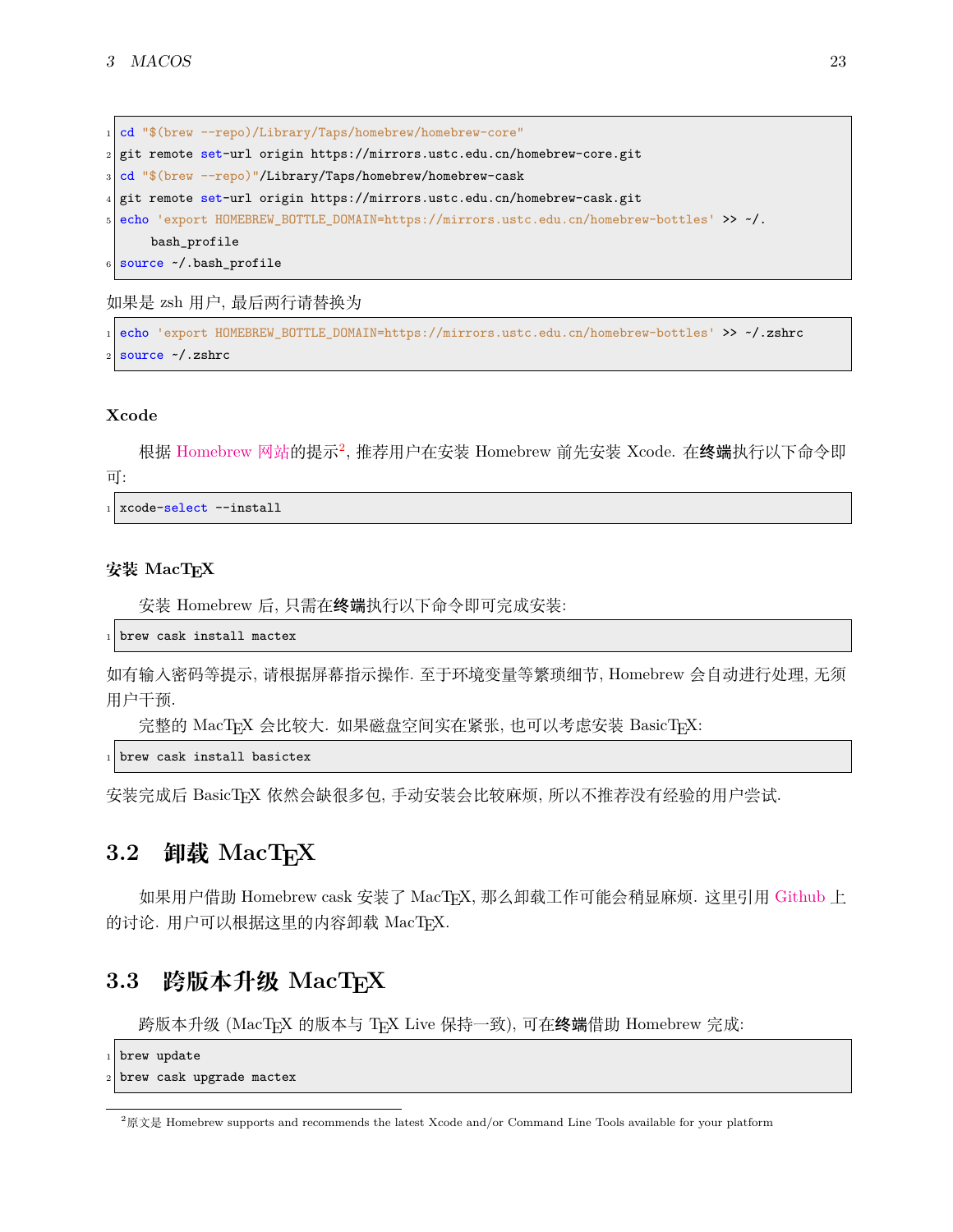cd "\$(brew --repo)/Library/Taps/homebrew/homebrew-core" git remote set-url origin https://mirrors.ustc.edu.cn/homebrew-core.git cd "\$(brew --repo)"/Library/Taps/homebrew/homebrew-cask git remote set-url origin https://mirrors.ustc.edu.cn/homebrew-cask.git <sup>5</sup> echo 'export HOMEBREW\_BOTTLE\_DOMAIN=https://mirrors.ustc.edu.cn/homebrew-bottles' >> ~/. bash\_profile source ~/.bash\_profile

如果是 zsh 用户, 最后两行请替换为

```
1 echo 'export HOMEBREW_BOTTLE_DOMAIN=https://mirrors.ustc.edu.cn/homebrew-bottles' >> ~/.zshrc
source ~/.zshrc
```
#### **Xcode**

根据 [Homebrew](https://docs.brew.sh/Xcode#supported-xcode-versions) 网站的提示<sup>[2](#page-23-2)</sup>, 推荐用户在安装 Homebrew 前先安装 Xcode. 在**终端**执行以下命令即 可:

xcode-select --install

#### 安装 **MacT<sub>E</sub>X**

安装 Homebrew 后, 只需在终端执行以下命令即可完成安装:

brew cask install mactex

如有输入密码等提示, 请根据屏幕指示操作. 至于环境变量等繁琐细节, Homebrew 会自动进行处理, 无须 用户干预.

完整的 MacTEX 会比较大. 如果磁盘空间实在紧张, 也可以考虑安装 BasicTEX:

brew cask install basictex

安装完成后 BasicTFX 依然会缺很多包, 手动安装会比较麻烦, 所以不推荐没有经验的用户尝试.

## <span id="page-23-0"></span>**3.2 卸载 MacTEX**

如果用户借助 Homebrew cask 安装了 MacTEX, 那么卸载工作可能会稍显麻烦. 这里引用 [Github](https://github.com/Homebrew/homebrew-cask/issues/32073) 上 的讨论. 用户可以根据这里的内容卸载 MacTFX.

# <span id="page-23-1"></span>**3.3 跨版本升级 MacTEX**

跨版本升级 (MacTEX 的版本与 TEX Live 保持一致), 可在终端借助 Homebrew 完成:

```
brew update
```
brew cask upgrade mactex

<span id="page-23-2"></span> $2\sqrt{R}$  Homebrew supports and recommends the latest Xcode and/or Command Line Tools available for your platform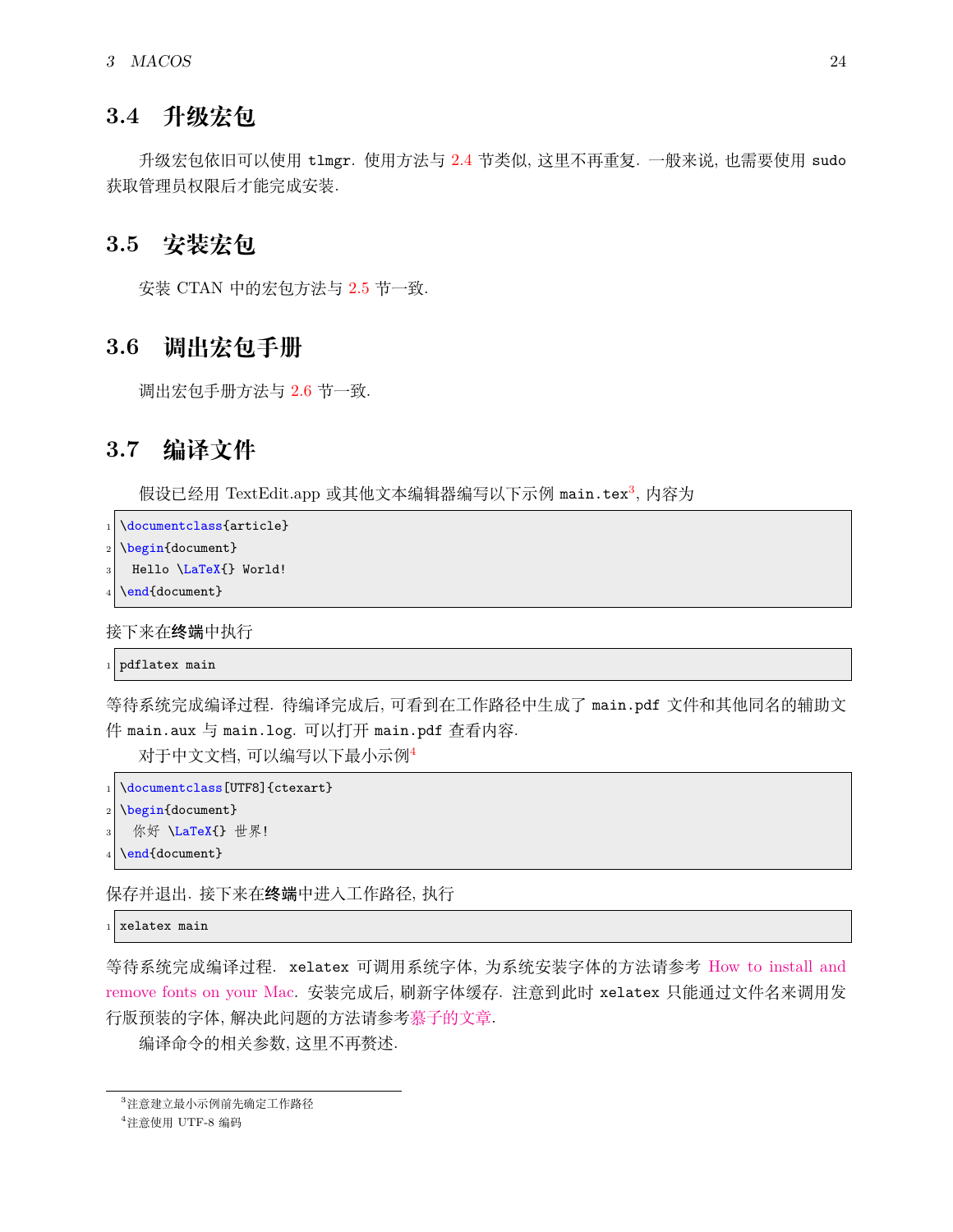# <span id="page-24-0"></span>**3.4 升级宏包**

升级宏包依旧可以使用 tlmgr. 使用方法与 [2.4](#page-19-2) 节类似, 这里不再重复. 一般来说, 也需要使用 sudo 获取管理员权限后才能完成安装.

## <span id="page-24-1"></span>**3.5 安装宏包**

安装 CTAN 中的宏包方法与 [2.5](#page-20-0) 节一致.

## <span id="page-24-2"></span>**3.6 调出宏包手册**

调出宏包手册方法与 [2.6](#page-20-1) 节一致.

# <span id="page-24-3"></span>**3.7 编译文件**

假设已经用 TextEdit.app 或其他文本编辑器编写以下示例 main.tex<sup>[3](#page-24-4)</sup>, 内容为

```
\documentclass{article}
```
- \begin{document}
- Hello \LaTeX{} World!
- \end{document}

接下来在终端中执行

```
pdflatex main
```
等待系统完成编译过程. 待编译完成后, 可看到在工作路径中生成了 main.pdf 文件和其他同名的辅助文 件 main.aux 与 main.log. 可以打开 main.pdf 查看内容.

对于中文文档, 可以编写以下最小示例[4](#page-24-5)

```
\documentclass[UTF8]{ctexart}
```
\begin{document}

```
你好 \LaTeX{} 世界!
```
\end{document}

保存并退出. 接下来在终端中进入工作路径, 执行

```
xelatex main
```
等待系统完成编译过程. xelatex 可调用系统字体, 为系统安装字体的方法请参考 [How to install and](https://support.apple.com/en-us/HT201749) [remove fonts on your Mac.](https://support.apple.com/en-us/HT201749) 安装完成后, 刷新字体缓存. 注意到此时 xelatex 只能通过文件名来调用发 行版预装的字体, 解决此问题的方法请参[考慕子的文章](https://zhuanlan.zhihu.com/p/59774395).

编译命令的相关参数, 这里不再赘述.

<span id="page-24-4"></span><sup>3</sup>注意建立最小示例前先确定工作路径

<span id="page-24-5"></span> $4$  注意使用 UTF-8 编码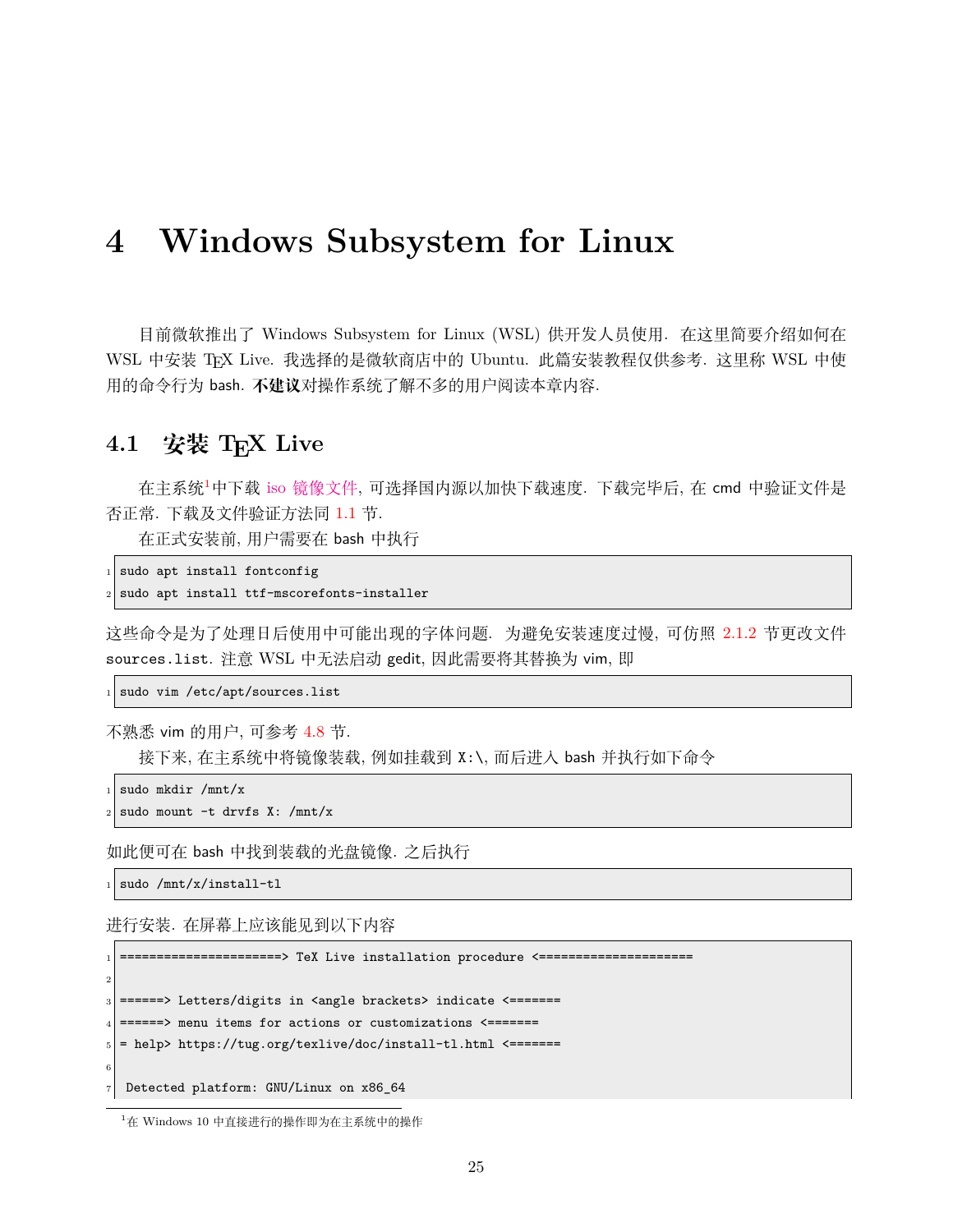# <span id="page-25-0"></span>**4 Windows Subsystem for Linux**

目前微软推出了 Windows Subsystem for Linux (WSL) 供开发人员使用. 在这里简要介绍如何在 WSL 中安装 TpX Live. 我选择的是微软商店中的 Ubuntu. 此篇安装教程仅供参考. 这里称 WSL 中使 用的命令行为 bash. **不建议**对操作系统了解不多的用户阅读本章内容.

# <span id="page-25-1"></span>**4.1 安装 TEX Live**

在主系统[1](#page-25-2)中下载 iso [镜像文件](https://mirrors.ctan.org/systems/texlive/Images/texlive2022.iso), 可选择国内源以加快下载速度. 下载完毕后, 在 cmd 中验证文件是 否正常. 下载及文件验证方法同 [1.1](#page-5-1) 节.

在正式安装前, 用户需要在 bash 中执行

 $_1$  sudo apt install fontconfig

```
sudo apt install ttf-mscorefonts-installer
```
这些命令是为了处理日后使用中可能出现的字体问题. 为避免安装速度过慢, 可仿照 [2.1.2](#page-17-0) 节更改文件 sources.list. 注意 WSL 中无法启动 gedit, 因此需要将其替换为 vim, 即

sudo vim /etc/apt/sources.list

不熟悉 vim 的用户, 可参考 [4.8](#page-30-0) 节.

接下来, 在主系统中将镜像装载, 例如挂载到 X:\, 而后进入 bash 并执行如下命令

sudo mkdir /mnt/x

```
sudo mount -t drvfs X: /mnt/x
```
如此便可在 bash 中找到装载的光盘镜像. 之后执行

 $_{1}$  sudo /mnt/x/install-tl

进行安装. 在屏幕上应该能见到以下内容

=========> TeX Live installation procedure <========== 2  $_3$  ======> Letters/digits in <angle brackets> indicate <======= <sup>4</sup> ======> menu items for actions or customizations <======= <sup>5</sup> = help> https://tug.org/texlive/doc/install-tl.html <======= 6 <sup>7</sup> Detected platform: GNU/Linux on x86\_64

<span id="page-25-2"></span><sup>1</sup>在 Windows 10 中直接进行的操作即为在主系统中的操作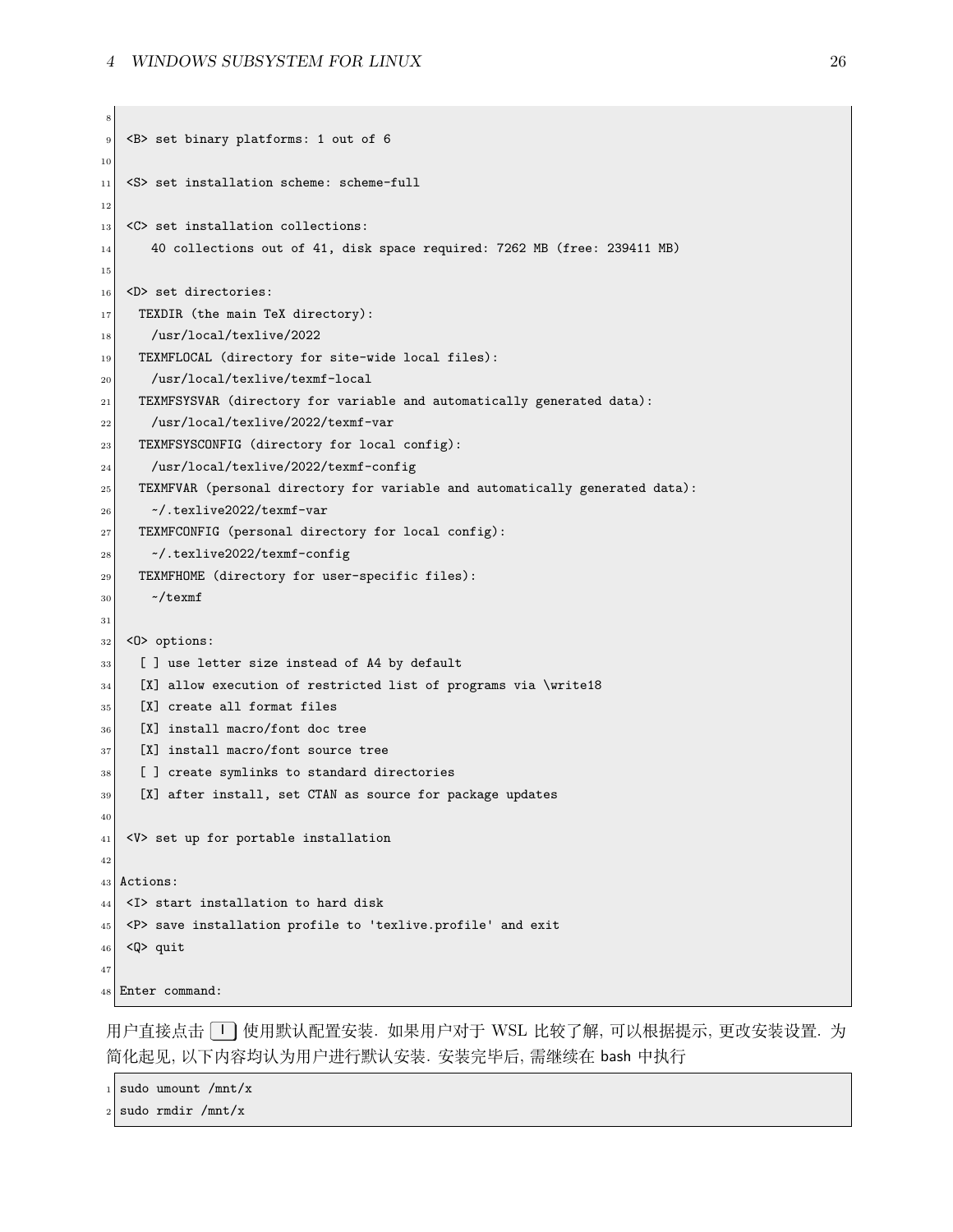```
8
9 <B> set binary platforms: 1 out of 6
10
|11| <S> set installation scheme: scheme-full
12
|13| <C> set installation collections:
\begin{bmatrix} 14 \end{bmatrix} 40 collections out of 41, disk space required: 7262 MB (free: 239411 MB)
15
_{16} <D> set directories:
17 TEXDIR (the main TeX directory):
18 /usr/local/texlive/2022
19 TEXMFLOCAL (directory for site-wide local files):
20 /usr/local/texlive/texmf-local
21 TEXMFSYSVAR (directory for variable and automatically generated data):
22 /usr/local/texlive/2022/texmf-var
23 TEXMFSYSCONFIG (directory for local config):
24 /usr/local/texlive/2022/texmf-config
25 TEXMFVAR (personal directory for variable and automatically generated data):
_{26} \sim /.texlive2022/texmf-var
27 TEXMFCONFIG (personal directory for local config):
28 ~/.texlive2022/texmf-config
29 TEXMFHOME (directory for user-specific files):
30 \sim/texmf
31
32 \mid <0> options:
33 [ ] use letter size instead of A4 by default
34 [X] allow execution of restricted list of programs via \write18
35 [X] create all format files
36 [X] install macro/font doc tree
37 [X] install macro/font source tree
38 [ ] create symlinks to standard directories
39 [X] after install, set CTAN as source for package updates
40
|41| <V> set up for portable installation
42
43 Actions:
44 <I> start installation to hard disk
45 <P> save installation profile to 'texlive.profile' and exit
_{46} <Q> quit
47
48 Enter command:
```
用户直接点击 I 使用默认配置安装. 如果用户对于 WSL 比较了解, 可以根据提示, 更改安装设置. 为 简化起见, 以下内容均认为用户进行默认安装. 安装完毕后, 需继续在 bash 中执行

 $1$  sudo umount /mnt/x

sudo rmdir /mnt/x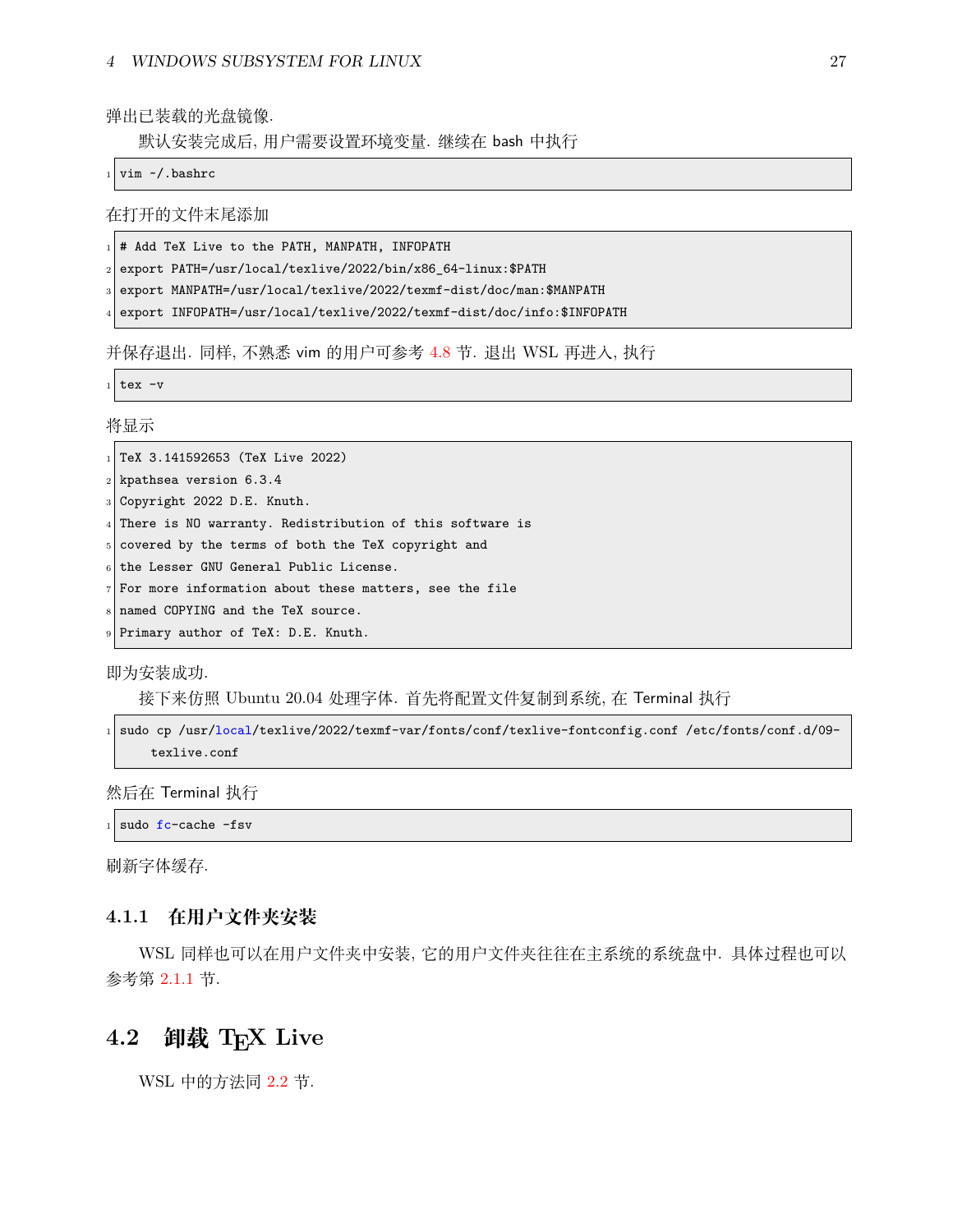弹出已装载的光盘镜像.

默认安装完成后, 用户需要设置环境变量. 继续在 bash 中执行

vim ~/.bashrc

在打开的文件末尾添加

# Add TeX Live to the PATH, MANPATH, INFOPATH

<sup>2</sup> export PATH=/usr/local/texlive/2022/bin/x86\_64-linux:\$PATH

export MANPATH=/usr/local/texlive/2022/texmf-dist/doc/man:\$MANPATH

export INFOPATH=/usr/local/texlive/2022/texmf-dist/doc/info:\$INFOPATH

并保存退出. 同样, 不熟悉 vim 的用户可参考 [4.8](#page-30-0) 节. 退出 WSL 再进入, 执行

tex -v

将显示

 $_1$  TeX 3.141592653 (TeX Live 2022)

 $2$  kpathsea version 6.3.4

<sup>3</sup> Copyright 2022 D.E. Knuth.

<sup>4</sup> There is NO warranty. Redistribution of this software is

<sup>5</sup> covered by the terms of both the TeX copyright and

 $6$  the Lesser GNU General Public License.

 $7$  For more information about these matters, see the file

<sup>8</sup> named COPYING and the TeX source.

Primary author of TeX: D.E. Knuth.

即为安装成功.

接下来仿照 Ubuntu 20.04 处理字体. 首先将配置文件复制到系统, 在 Terminal 执行

sudo cp /usr/local/texlive/2022/texmf-var/fonts/conf/texlive-fontconfig.conf /etc/fonts/conf.d/09texlive.conf

然后在 Terminal 执行

sudo fc-cache -fsv

刷新字体缓存.

### <span id="page-27-0"></span>**4.1.1 在用户文件夹安装**

WSL 同样也可以在用户文件夹中安装, 它的用户文件夹往往在主系统的系统盘中. 具体过程也可以 参考第 [2.1.1](#page-16-0) 节.

# <span id="page-27-1"></span>**4.2 卸载 TEX Live**

WSL 中的方法同 [2.2](#page-18-0) 节.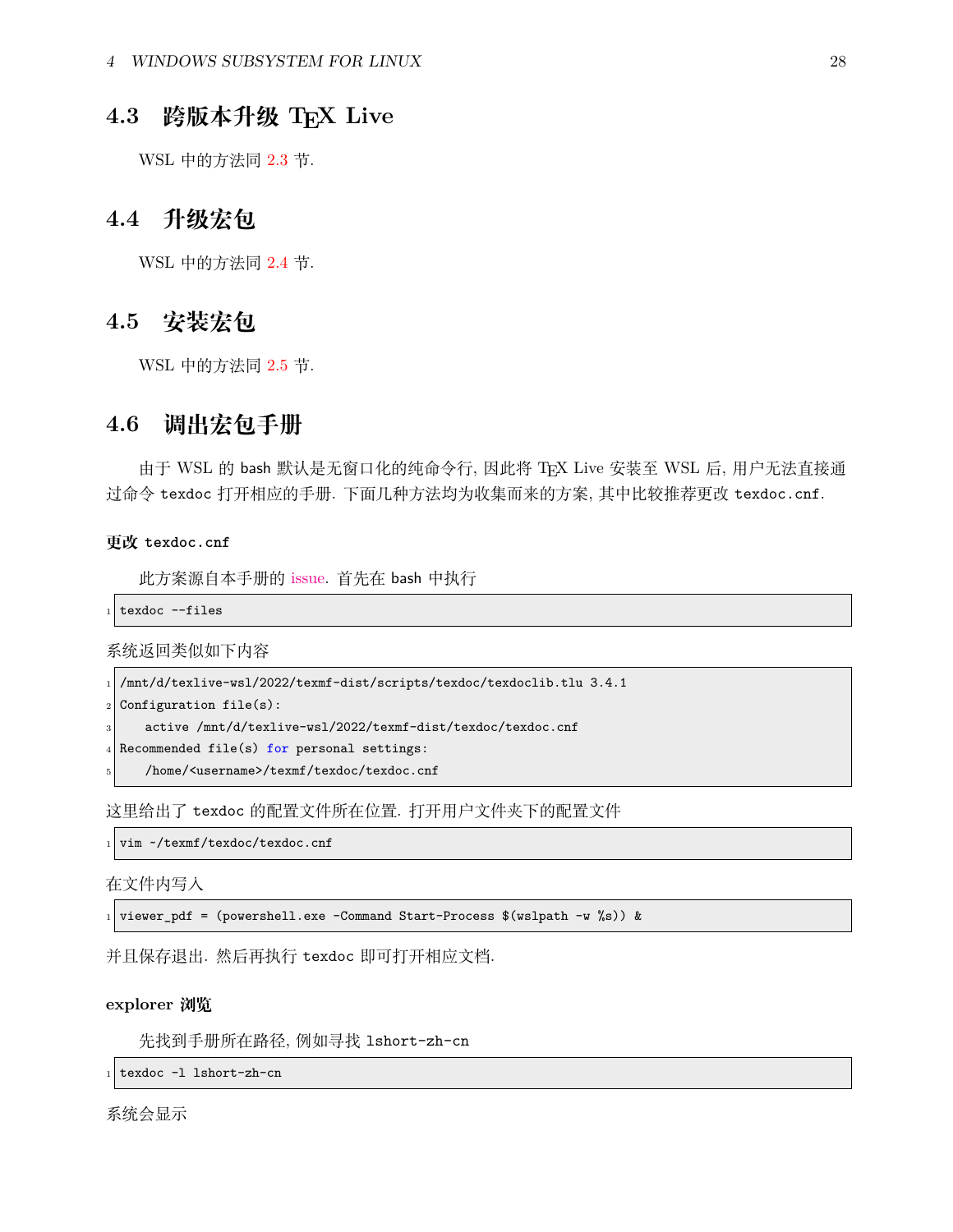# <span id="page-28-0"></span>**4.3 跨版本升级 TEX Live**

WSL 中的方法同 [2.3](#page-19-1) 节.

# <span id="page-28-1"></span>**4.4 升级宏包**

WSL 中的方法同 [2.4](#page-19-2) 节.

# <span id="page-28-2"></span>**4.5 安装宏包**

WSL 中的方法同 [2.5](#page-20-0) 节.

## <span id="page-28-3"></span>**4.6 调出宏包手册**

由于 WSL 的 bash 默认是无窗口化的纯命令行, 因此将 TEX Live 安装至 WSL 后, 用户无法直接通 过命令 texdoc 打开相应的手册. 下面几种方法均为收集而来的方案, 其中比较推荐更改 texdoc.cnf.

#### **更改 texdoc.cnf**

此方案源自本手册的 [issue.](https://github.com/OsbertWang/install-latex-guide-zh-cn/issues/13) 首先在 bash 中执行

texdoc --files

#### 系统返回类似如下内容

```
1 /mnt/d/texlive-wsl/2022/texmf-dist/scripts/texdoc/texdoclib.tlu 3.4.1
```
Configuration  $file(s)$ :

active /mnt/d/texlive-wsl/2022/texmf-dist/texdoc/texdoc.cnf

- Recommended file(s) for personal settings:
- /home/<username>/texmf/texdoc/texdoc.cnf

这里给出了 texdoc 的配置文件所在位置. 打开用户文件夹下的配置文件

vim ~/texmf/texdoc/texdoc.cnf

在文件内写入

1 viewer\_pdf = (powershell.exe -Command Start-Process  $(x\sinh - w \sinh x)$ ) &

并且保存退出. 然后再执行 texdoc 即可打开相应文档.

#### **explorer 浏览**

先找到手册所在路径, 例如寻找 lshort-zh-cn

texdoc -1 lshort-zh-cn

系统会显示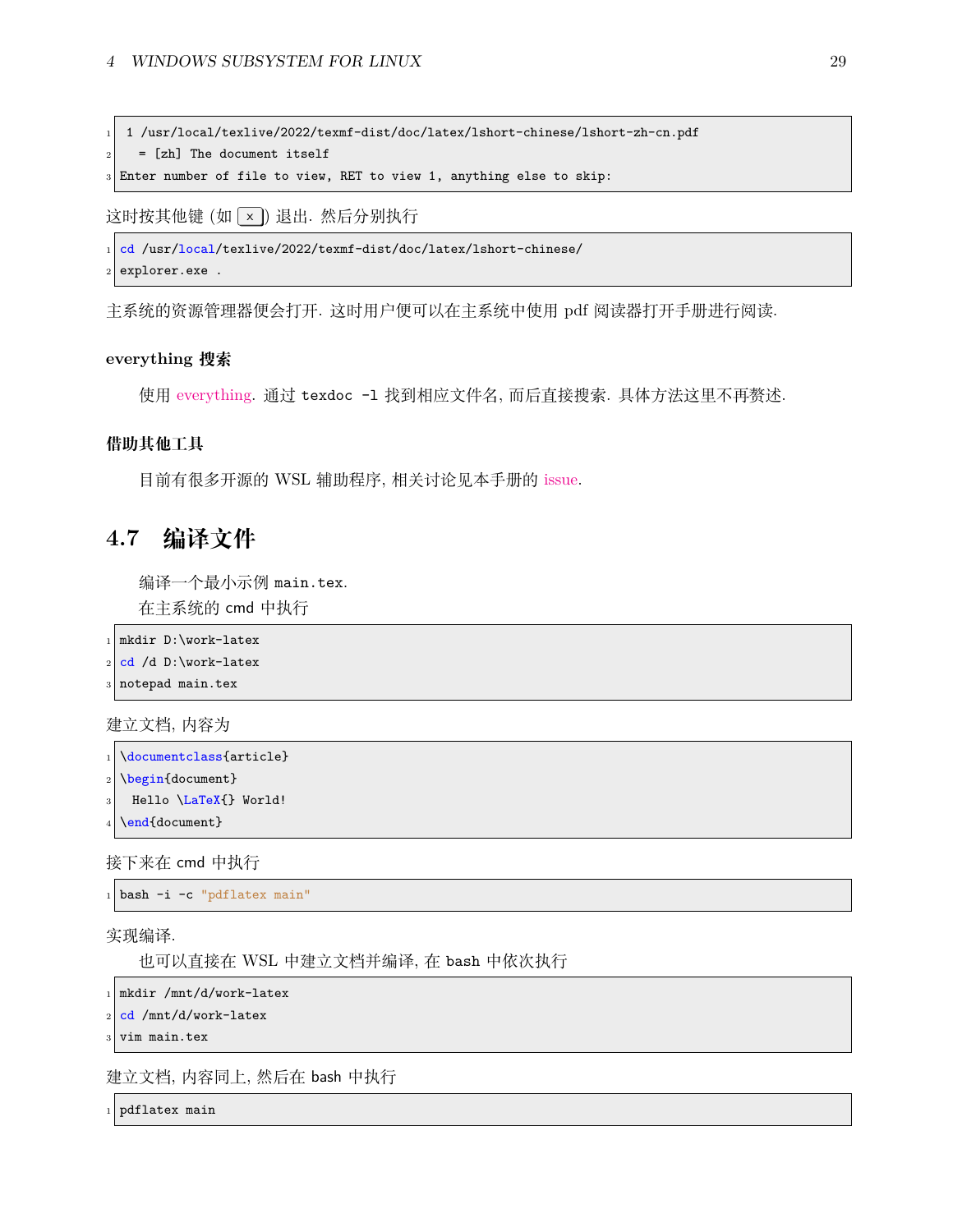<sup>1</sup> 1 /usr/local/texlive/2022/texmf-dist/doc/latex/lshort-chinese/lshort-zh-cn.pdf

 $|2|$  = [zh] The document itself

Enter number of file to view, RET to view 1, anything else to skip:

这时按其他键 (如 | × | ) 退出. 然后分别执行

<sup>1</sup> cd /usr/local/texlive/2022/texmf-dist/doc/latex/lshort-chinese/

explorer.exe .

主系统的资源管理器便会打开. 这时用户便可以在主系统中使用 pdf 阅读器打开手册进行阅读.

#### **everything 搜索**

使用 [everything.](https://www.voidtools.com/zh-cn/) 通过 texdoc -l 找到相应文件名, 而后直接搜索. 具体方法这里不再赘述.

#### **借助其他工具**

目前有很多开源的 WSL 辅助程序, 相关讨论见本手册的 [issue](https://github.com/OsbertWang/install-latex-guide-zh-cn/issues/13).

# <span id="page-29-0"></span>**4.7 编译文件**

编译一个最小示例 main.tex.

在主系统的 cmd 中执行

```
mkdir D:\work-latex
```
 $2$  cd /d D:\work-latex

```
notepad main.tex
```
建立文档, 内容为

```
\documentclass{article}
```

```
\begin{document}
```

```
Hello \LaTeX{} World!
```

```
\end{document}
```
接下来在 cmd 中执行

bash -i -c "pdflatex main"

实现编译.

也可以直接在 WSL 中建立文档并编译, 在 bash 中依次执行

```
mkdir /mnt/d/work-latex
```
cd /mnt/d/work-latex

vim main.tex

建立文档, 内容同上, 然后在 bash 中执行

pdflatex main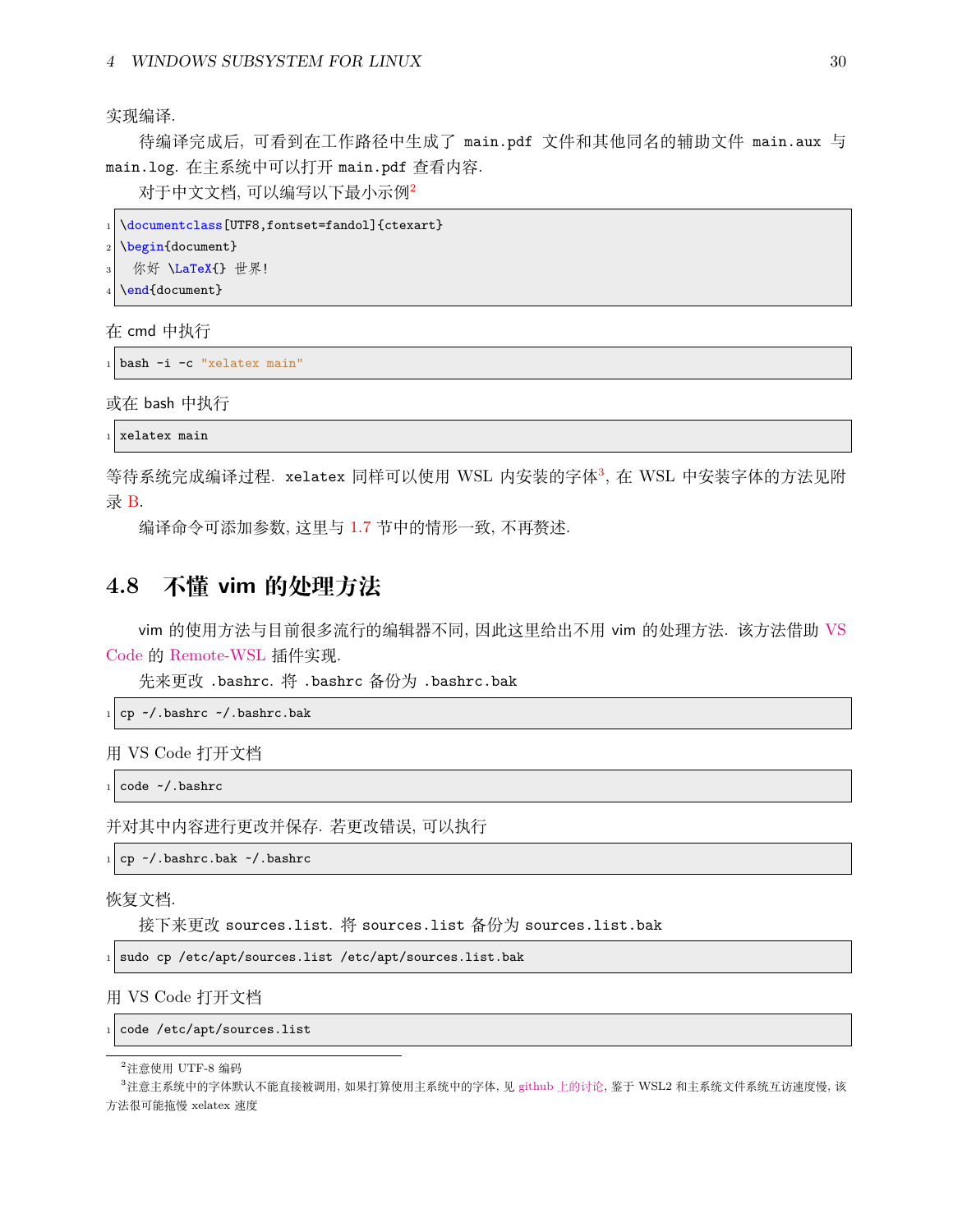实现编译.

待编译完成后, 可看到在工作路径中生成了 main.pdf 文件和其他同名的辅助文件 main.aux 与 main.log. 在主系统中可以打开 main.pdf 查看内容.

对于中文文档, 可以编写以下最小示例[2](#page-30-1)

```
\documentclass[UTF8,fontset=fandol]{ctexart}
\begin{document}
 你好 \LaTeX{} 世界!
\end{document}
```
在 cmd 中执行

```
bash -i -c "xelatex main"
```
或在 bash 中执行

xelatex main

等待系统完成编译过程. xelatex 同样可以使用 WSL 内安装的字体[3](#page-30-2), 在 WSL 中安装字体的方法见附 录 [B](#page-45-0).

编译命令可添加参数, 这里与 [1.7](#page-11-3) 节中的情形一致, 不再赘述.

# <span id="page-30-0"></span>**4.8 不懂 vim 的处理方法**

vim 的使用方法与目前很多流行的编辑器不同, 因此这里给出不用 vim 的处理方法. 该方法借助 [VS](https://code.visualstudio.com/) [Code](https://code.visualstudio.com/) 的 [Remote-WSL](https://marketplace.visualstudio.com/items?itemName=ms-vscode-remote.remote-wsl) 插件实现.

先来更改 .bashrc. 将 .bashrc 备份为 .bashrc.bak

 $_1$  cp ~/.bashrc ~/.bashrc.bak

用 VS Code 打开文档

 $_1$  code  $\sim$ /.bashrc

并对其中内容进行更改并保存. 若更改错误, 可以执行

cp ~/.bashrc.bak ~/.bashrc

恢复文档.

接下来更改 sources.list. 将 sources.list 备份为 sources.list.bak

 $1$  sudo cp /etc/apt/sources.list /etc/apt/sources.list.bak

用 VS Code 打开文档

```
code /etc/apt/sources.list
```
<span id="page-30-2"></span><span id="page-30-1"></span> $2$ 注意使用 UTF-8 编码

<sup>3</sup>注意主系统中的字体默认不能直接被调用, 如果打算使用主系统中的字体, 见 github [上的讨论](https://github.com/OsbertWang/install-latex-guide-zh-cn/issues/14), 鉴于 WSL2 和主系统文件系统互访速度慢, 该 方法很可能拖慢 xelatex 速度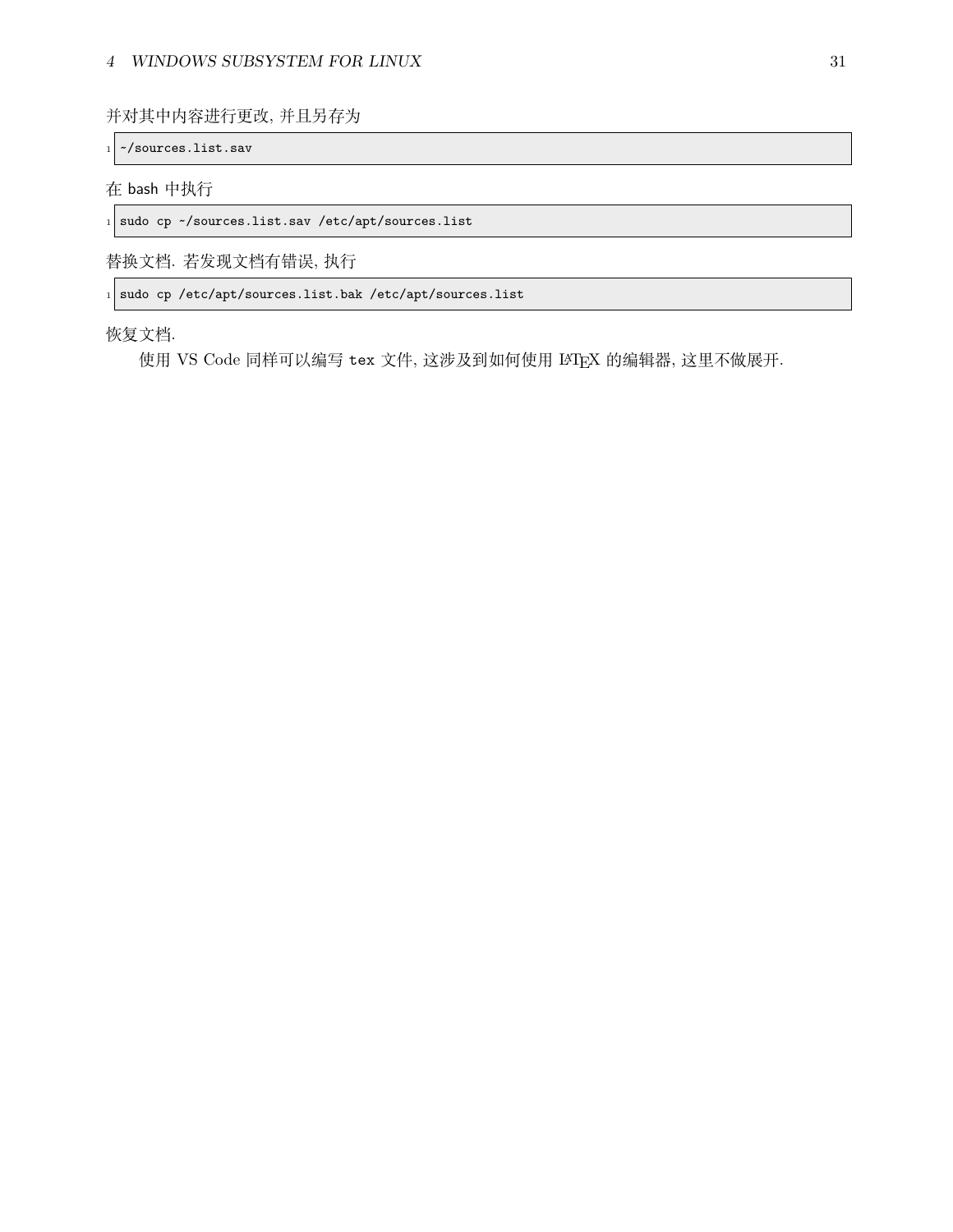#### *4 WINDOWS SUBSYSTEM FOR LINUX* 31

并对其中内容进行更改, 并且另存为

~/sources.list.sav

#### 在 bash 中执行

1 sudo cp ~/sources.list.sav /etc/apt/sources.list

替换文档. 若发现文档有错误, 执行

 $1$  sudo cp /etc/apt/sources.list.bak /etc/apt/sources.list

恢复文档.

使用 VS Code 同样可以编写 tex 文件, 这涉及到如何使用 LATEX 的编辑器, 这里不做展开.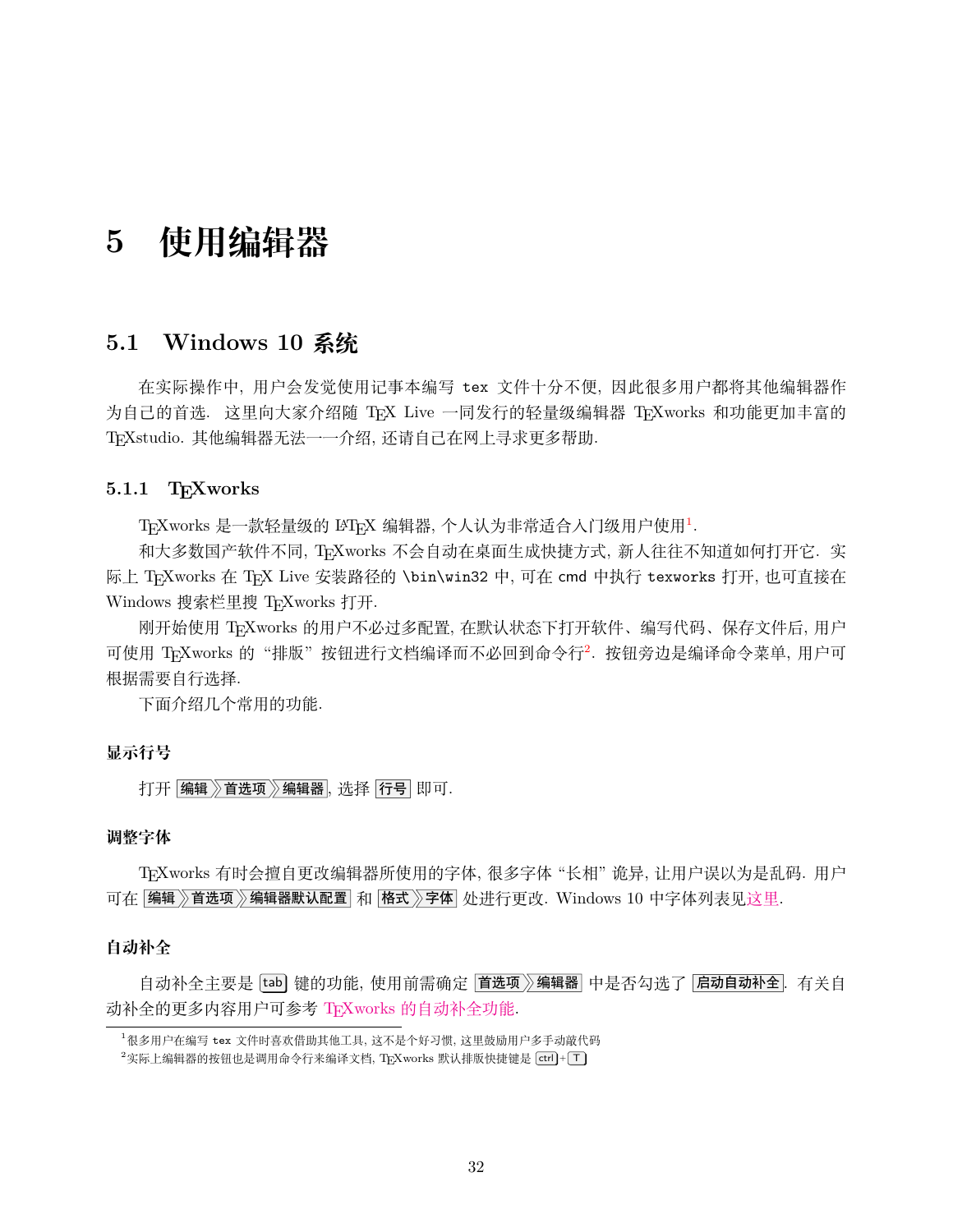# <span id="page-32-0"></span>**5 使用编辑器**

## <span id="page-32-1"></span>**5.1 Windows 10 系统**

在实际操作中, 用户会发觉使用记事本编写 tex 文件十分不便, 因此很多用户都将其他编辑器作 为自己的首选. 这里向大家介绍随 TEX Live 一同发行的轻量级编辑器 TEXworks 和功能更加丰富的 TEXstudio. 其他编辑器无法一一介绍, 还请自己在网上寻求更多帮助.

#### <span id="page-32-2"></span>**5.1.1 TEXworks**

 $\mathrm{T}_{\mathrm{E}}$ Xworks 是一款轻量级的 LAT $_{\mathrm{E}}$ X 编辑器, 个人认为非常适合人门级用户使用 $^1$  $^1$ .

和大多数国产软件不同, TEXworks 不会自动在桌面生成快捷方式, 新人往往不知道如何打开它. 实 际上 TFXworks 在 TFX Live 安装路径的 \bin\win32 中, 可在 cmd 中执行 texworks 打开, 也可直接在 Windows 搜索栏里搜 TEXworks 打开.

刚开始使用 TEXworks 的用户不必过多配置, 在默认状态下打开软件、编写代码、保存文件后, 用户 可使用 TEXworks 的"排版"按钮进行文档编译而不必回到命令行<sup>[2](#page-32-4)</sup>. 按钮旁边是编译命令菜单, 用户可 根据需要自行选择.

下面介绍几个常用的功能.

### **显示行号**

打开 编辑》首选项》编辑器, 选择 行号 即可.

#### **调整字体**

TEXworks 有时会擅自更改编辑器所使用的字体, 很多字体 "长相" 诡异, 让用户误以为是乱码. 用户 可在 编辑》首选项》编辑器默认配置 和 格式》字体 处进行更改. Windows 10 中字体列表见[这里](https://docs.microsoft.com/en-us/typography/fonts/windows_10_font_list).

#### **自动补全**

自动补全主要是 [tab] 键的功能, 使用前需确定 |首选项》编辑器 中是否勾选了 |启动自动补全. 有关自 动补全的更多内容用户可参考 TFXworks [的自动补全功能](https://github.com/EthanDeng/texworks-autocomplete).

<span id="page-32-3"></span><sup>1</sup>很多用户在编写 tex 文件时喜欢借助其他工具, 这不是个好习惯, 这里鼓励用户多手动敲代码

<span id="page-32-4"></span> $2$ 实际上编辑器的按钮也是调用命令行来编译文档, TFXworks 默认排版快捷键是  $[\text{ctrl}] + [\textsf{T}]$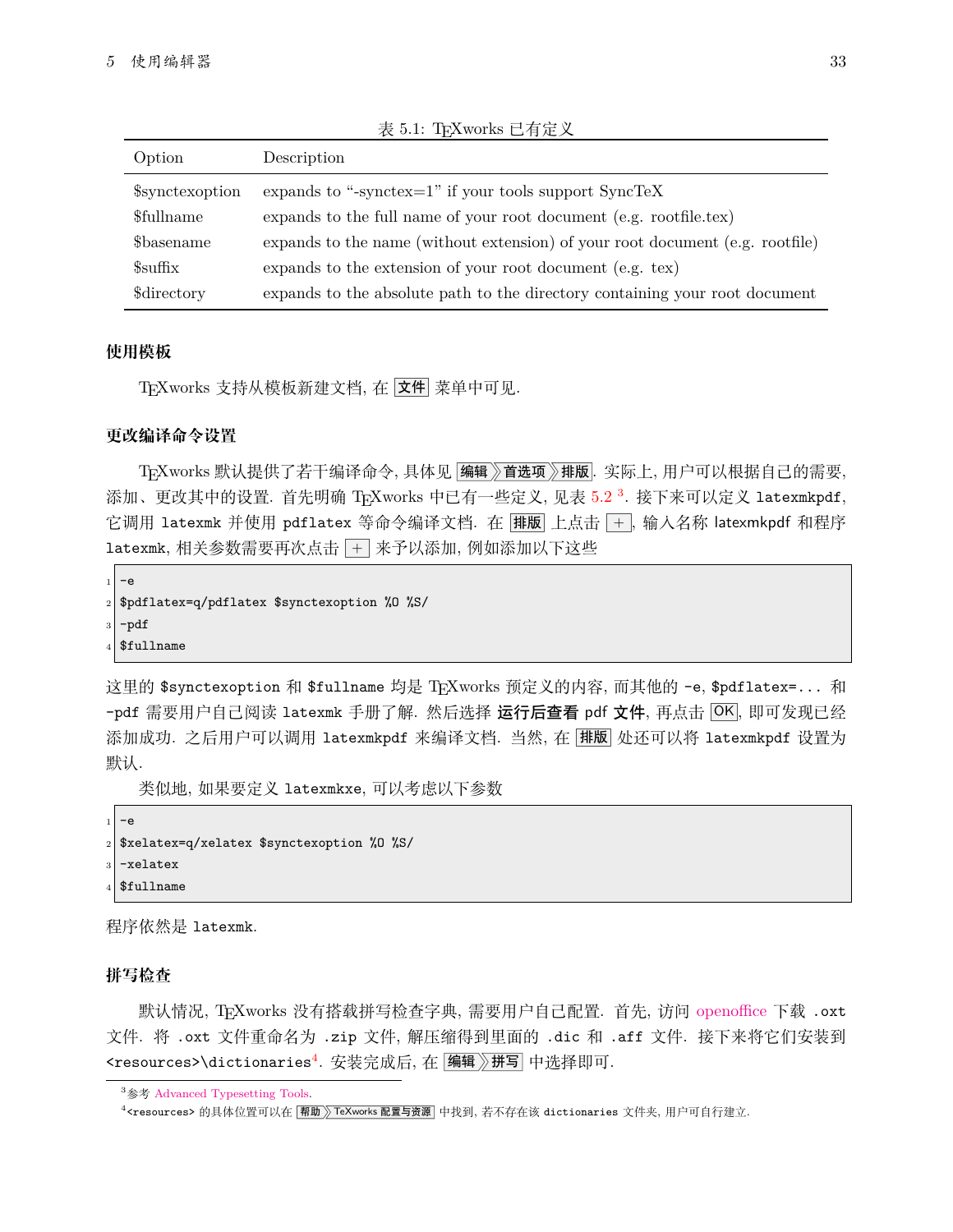| Option                    | Description                                                                   |
|---------------------------|-------------------------------------------------------------------------------|
| \$synctexoption           | expands to "-synctex= $1$ " if your tools support SyncTeX                     |
| <i><b>Sfullname</b></i>   | expands to the full name of your root document (e.g. rootfile.tex)            |
| <i><b>S</b></i> basename  | expands to the name (without extension) of your root document (e.g. rootfile) |
| $\frac{1}{2}$ suffix      | expands to the extension of your root document (e.g. tex)                     |
| <i><b>\$directory</b></i> | expands to the absolute path to the directory containing your root document   |

表 5.1: TFXworks 已有定义

### **使用模板**

TEXworks 支持从模板新建文档, 在 文件 菜单中可见.

#### **更改编译命令设置**

TFXworks 默认提供了若干编译命今, 具体见 |编辑》首选项》排版 . 实际上, 用户可以根据自己的需要, 添加、更改其中的设置. 首先明确 TEXworks 中已有一些定义, 见表 [5.2](#page-40-1) <sup>[3](#page-33-0)</sup>. 接下来可以定义 latexmkpdf, 它调用 latexmk 并使用 pdflatex 等命令编译文档. 在 排版 上点击 +, 输入名称 latexmkpdf 和程序 1atexmk, 相关参数需要再次点击 + 来予以添加, 例如添加以下这些

```
-\epsilon2 $pdflatex=q/pdflatex $synctexoption %O %S/
```
<sup>3</sup> -pdf

```
4 $fullname
```
这里的 \$synctexoption 和 \$fullname 均是 TEXworks 预定义的内容, 而其他的 -e, \$pdflatex=... 和 -pdf 需要用户自己阅读 latexmk 手册了解. 然后选择 运行后查看 pdf 文件, 再点击 OK, 即可发现已经 添加成功. 之后用户可以调用 latexmkpdf 来编译文档. 当然, 在 排版 处还可以将 latexmkpdf 设置为 默认.

类似地, 如果要定义 latexmkxe, 可以考虑以下参数

```
-e$xelatex=q/xelatex $synctexoption %0 %S/
-xelatex
4 $fullname
```
程序依然是 latexmk.

#### **拼写检查**

默认情况, TEXworks 没有搭载拼写检查字典, 需要用户自己配置. 首先, 访问 [openoffice](https://extensions.openoffice.org/dictionary) 下载 .oxt 文件. 将 .oxt 文件重命名为 .zip 文件, 解压缩得到里面的 .dic 和 .aff 文件. 接下来将它们安装到 <resources>\dictionaries<sup>[4](#page-33-1)</sup>. 安装完成后, 在 <mark>编辑 》拼写</mark> 中选择即可.

<span id="page-33-0"></span><sup>&</sup>lt;sup>3</sup>参考 [Advanced Typesetting Tools](https://github.com/TeXworks/texworks/wiki/AdvancedTypesettingTools).

<span id="page-33-1"></span> $^4$ <resources> 的具体位置可以在 | 帮助 》 TeXworks 配置与资源 | 中找到, 若不存在该 dictionaries 文件夹, 用户可自行建立.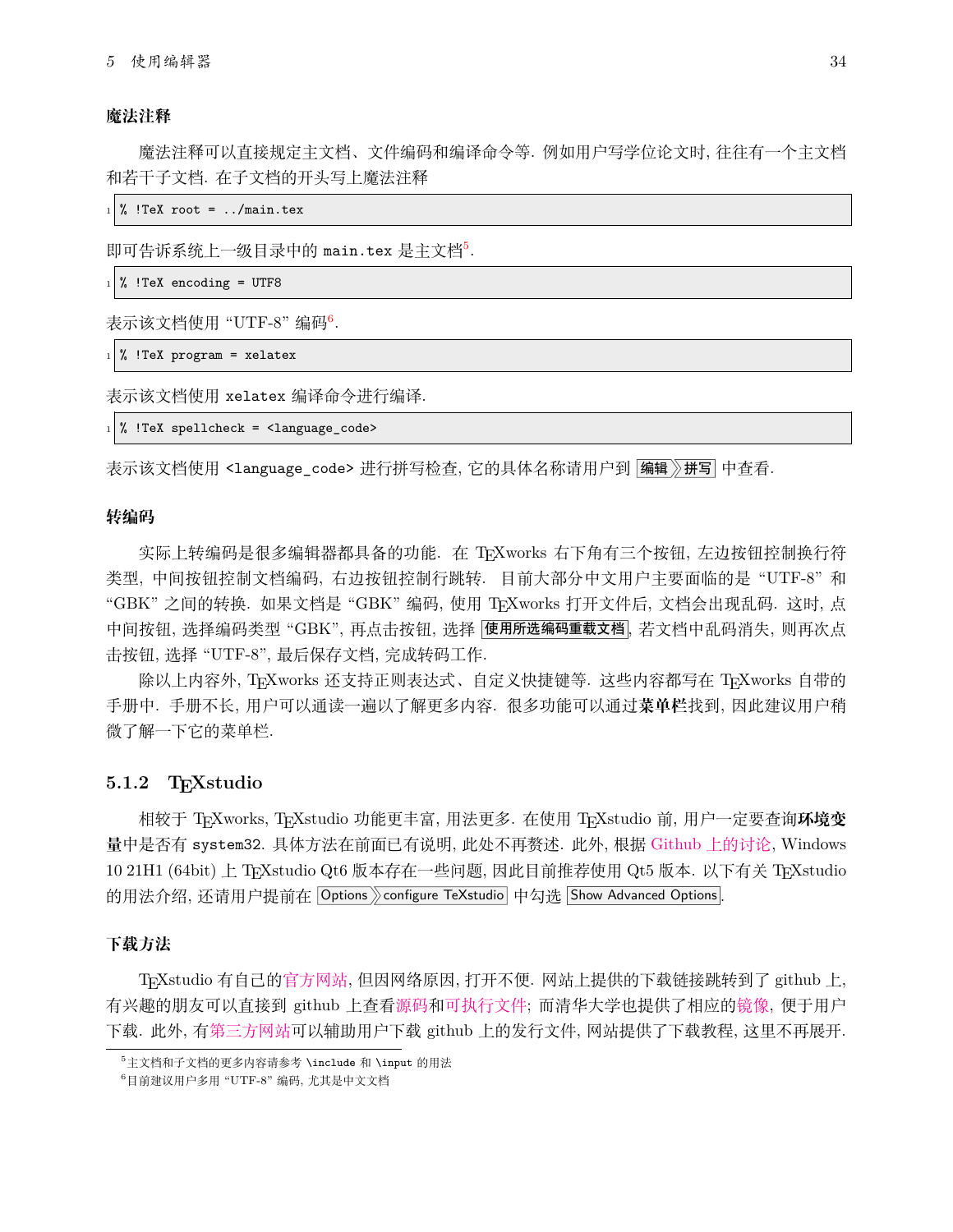#### **魔法注释**

魔法注释可以直接规定主文档、文件编码和编译命令等. 例如用户写学位论文时, 往往有一个主文档 和若干子文档. 在子文档的开头写上魔法注释

 $\frac{1}{2}$  !TeX root = ../main.tex

即可告诉系统上一级目录中的 main.tex 是主文档[5](#page-34-1).

 $\frac{1}{6}$  !TeX encoding = UTF8

表示该文档使用 "UTF-8" 编码<sup>[6](#page-34-2)</sup>.

 $_1$  % !TeX program = xelatex

表示该文档使用 xelatex 编译命令进行编译.

 $_{1} \vert$  % !TeX spellcheck = <code><language\_code></code>

表示该文档使用 <language\_code> 进行拼写检查, 它的具体名称请用户到 |编辑》拼写 中查看.

#### **转编码**

实际上转编码是很多编辑器都具备的功能. 在 TFXworks 右下角有三个按钮, 左边按钮控制换行符 类型, 中间按钮控制文档编码, 右边按钮控制行跳转. 目前大部分中文用户主要面临的是 "UTF-8" 和 "GBK" 之间的转换. 如果文档是 "GBK" 编码, 使用 TEXworks 打开文件后, 文档会出现乱码. 这时, 点 中间按钮, 选择编码类型 "GBK", 再点击按钮, 选择 |使用所选编码重载文档|, 若文档中乱码消失, 则再次点 击按钮, 选择 "UTF-8", 最后保存文档, 完成转码工作.

除以上内容外, TrXworks 还支持正则表达式、自定义快捷键等. 这些内容都写在 TrXworks 自带的 手册中. 手册不长, 用户可以通读一遍以了解更多内容. 很多功能可以通过**菜单栏**找到, 因此建议用户稍 微了解一下它的菜单栏.

#### <span id="page-34-0"></span>**5.1.2 TEXstudio**

相较于 TEXworks, TEXstudio 功能更丰富, 用法更多. 在使用 TEXstudio 前, 用户一定要查询**环境变 量**中是否有 system32. 具体方法在前面已有说明, 此处不再赘述. 此外, 根据 Github [上的讨论](https://github.com/texstudio-org/texstudio/issues/1773), Windows 10 21H1 (64bit) 上 TEXstudio Qt6 版本存在一些问题, 因此目前推荐使用 Qt5 版本. 以下有关 TEXstudio 的用法介绍, 还请用户提前在 Options > configure TeXstudio 中勾选 Show Advanced Options.

#### **下载方法**

TEXstudio 有自己的[官方网站](http://texstudio.sourceforge.net/), 但因网络原因, 打开不便. 网站上提供的下载链接跳转到了 github 上, 有兴趣的朋友可以直接到 github 上查[看源码](https://github.com/texstudio-org/texstudio)和[可执行文件](https://github.com/texstudio-org/texstudio/releases); 而清华大学也提供了相应[的镜像](https://mirrors.tuna.tsinghua.edu.cn/github-release/texstudio-org/texstudio/LatestRelease/), 便于用户 下载. 此外, 有[第三方网站](https://d.serctl.com)可以辅助用户下载 github 上的发行文件, 网站提供了下载教程, 这里不再展开.

<span id="page-34-1"></span><sup>5</sup>主文档和子文档的更多内容请参考 \include 和 \input 的用法

<span id="page-34-2"></span><sup>6</sup>目前建议用户多用 "UTF-8" 编码, 尤其是中文文档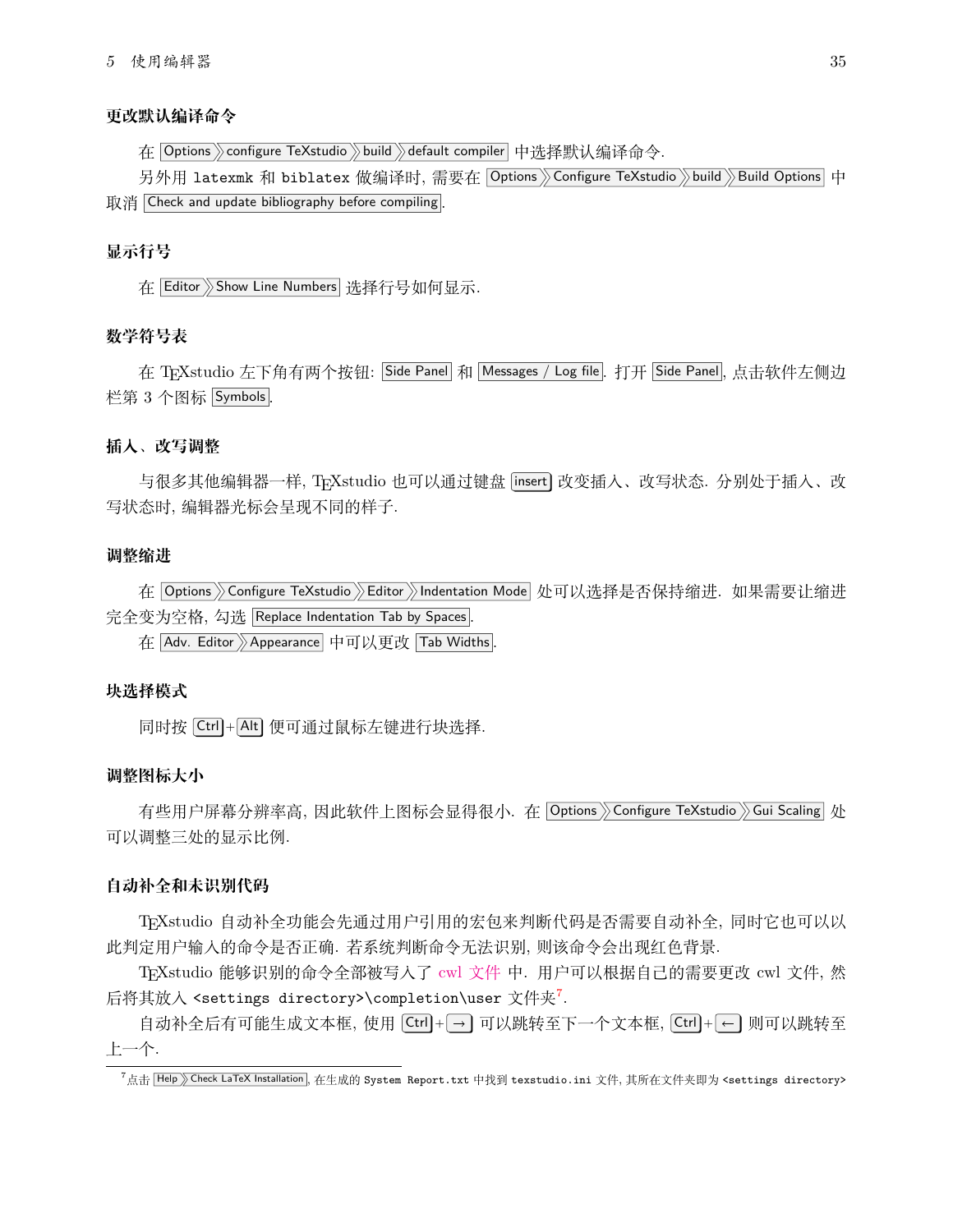#### **更改默认编译命令**

在 | Options  $\rangle$  configure TeXstudio  $\rangle$  build  $\rangle$  default compiler | 中选择默认编译命今.

另外用 latexmk 和 biblatex 做编译时, 需要在 |Options》Configure TeXstudio》build》Build Options 中 取消 Check and update bibliography before compiling.

#### **显示行号**

在 Editor Show Line Numbers 选择行号如何显示.

#### **数学符号表**

在 TreXstudio 左下角有两个按钮: Side Panel 和 Messages / Log file. 打开 Side Panel, 点击软件左侧边 栏第 3 个图标 Symbols .

#### **插入、改写调整**

与很多其他编辑器一样, TrXstudio 也可以通过键盘 [insert] 改变插入、改写状态. 分别处于插入、改 写状态时, 编辑器光标会呈现不同的样子.

#### **调整缩进**

在 Options >> Configure TeXstudio >> Editor >> Indentation Mode 处可以选择是否保持缩进. 如果需要让缩进 完全变为空格, 勾选 Replace Indentation Tab by Spaces .

在 Adv. Editor Appearance 中可以更改 Tab Widths.

#### **块选择模式**

同时按 Ctrl + Alt 便可通过鼠标左键进行块选择.

#### **调整图标大小**

有些用户屏幕分辨率高, 因此软件上图标会显得很小. 在 Options >> Configure TeXstudio >> Gui Scaling 处 可以调整三处的显示比例.

#### **自动补全和未识别代码**

TEXstudio 自动补全功能会先通过用户引用的宏包来判断代码是否需要自动补全, 同时它也可以以 此判定用户输入的命令是否正确. 若系统判断命令无法识别, 则该命令会出现红色背景.

TEXstudio 能够识别的命令全部被写入了 cwl [文件](https://github.com/texstudio-org/texstudio/tree/master/completion) 中. 用户可以根据自己的需要更改 cwl 文件, 然 后将其放入 <settings directory>\completion\user 文件夹<sup>[7](#page-35-0)</sup>.

自动补全后有可能生成文本框, 使用 |Ctrl]+| → ] 可以跳转至下一个文本框, |Ctrl |+| ← ] 则可以跳转至 上一个.

<span id="page-35-0"></span><sup>&</sup>lt;sup>7</sup>点击 Help <u>SCheck LaTeX Installation</u>, 在生成的 System Report.txt 中找到 texstudio.ini 文件, 其所在文件夹即为 <settings directory>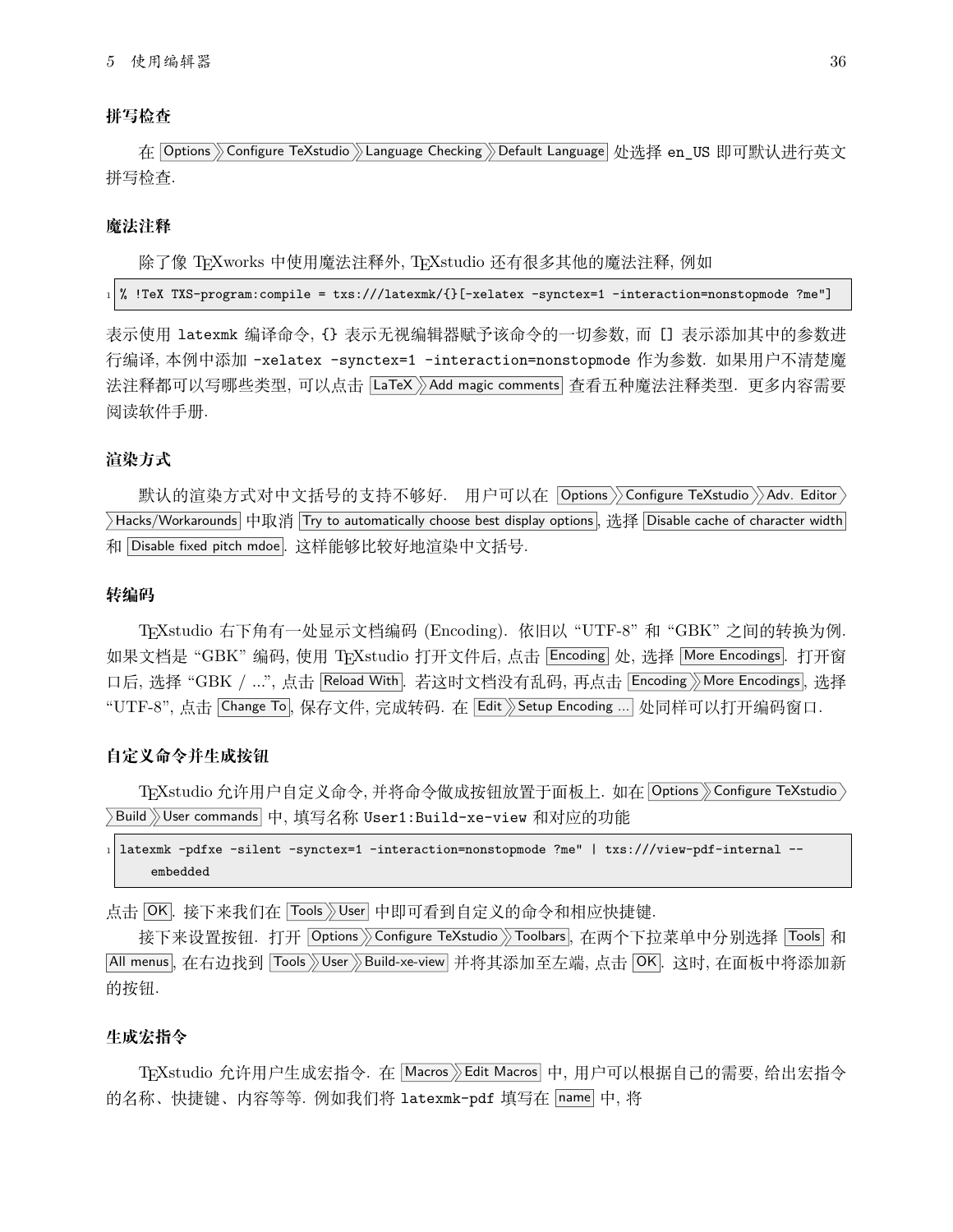#### **拼写检查**

在 Options Sonfigure TeXstudio SLanguage Checking SDefault Language 处选择 en US 即可默认进行英文 拼写检查.

#### **魔法注释**

除了像 TFXworks 中使用魔法注释外, TFXstudio 还有很多其他的魔法注释, 例如

 $_1$  % !TeX TXS-program:compile = txs:///latexmk/{}[-xelatex -synctex=1 -interaction=nonstopmode ?me"]

表示使用 latexmk 编译命令, {} 表示无视编辑器赋予该命令的一切参数, 而 [] 表示添加其中的参数进 行编译, 本例中添加 -xelatex -synctex=1 -interaction=nonstopmode 作为参数. 如果用户不清楚魔 法注释都可以写哪些类型, 可以点击 LaTeX >> Add magic comments 查看五种魔法注释类型. 更多内容需要 阅读软件手册.

#### **渲染方式**

默认的渲染方式对中文括号的支持不够好. 用户可以在 Options >> Configure TeXstudio >> Adv. Editor >  $\sum$ Hacks/Workarounds 中取消 Try to automatically choose best display options, 选择 Disable cache of character width 和 Disable fixed pitch mdoe.. 这样能够比较好地渲染中文括号.

#### **转编码**

TEXstudio 右下角有一处显示文档编码 (Encoding). 依旧以 "UTF-8" 和 "GBK" 之间的转换为例. 如果文档是"GBK"编码, 使用 TEXstudio 打开文件后, 点击 Encoding 处, 选择 More Encodings. 打开窗 口后, 选择 "GBK / ...", 点击 Reload With . 若这时文档没有乱码, 再点击 Encoding More Encodings, 选择 "UTF-8", 点击 Change To, 保存文件, 完成转码. 在 Edit > Setup Encoding ... 处同样可以打开编码窗口.

#### **自定义命令并生成按钮**

TEXstudio 允许用户自定义命令, 并将命令做成按钮放置于面板上. 如在 Options > Configure TeXstudio > >Build >>User commands 中, 填写名称 User1:Build-xe-view 和对应的功能

 $_1$  latexmk -pdfxe -silent -synctex=1 -interaction=nonstopmode ?me" | txs:///view-pdf-internal -embedded

点击 OK. 接下来我们在 Tools 》User 中即可看到自定义的命令和相应快捷键.

接下来设置按钮. 打开 Options > Configure TeXstudio > Toolbars , 在两个下拉菜单中分别选择 Tools 和 All menus, 在右边找到 Tools》User》Build-xe-view 并将其添加至左端, 点击 OK. 这时, 在面板中将添加新 的按钮.

#### **生成宏指令**

TFXstudio 允许用户生成宏指令. 在 Macros》Edit Macros 中, 用户可以根据自己的需要, 给出宏指今 的名称、快捷键、内容等等. 例如我们将 latexmk-pdf 填写在 name 中, 将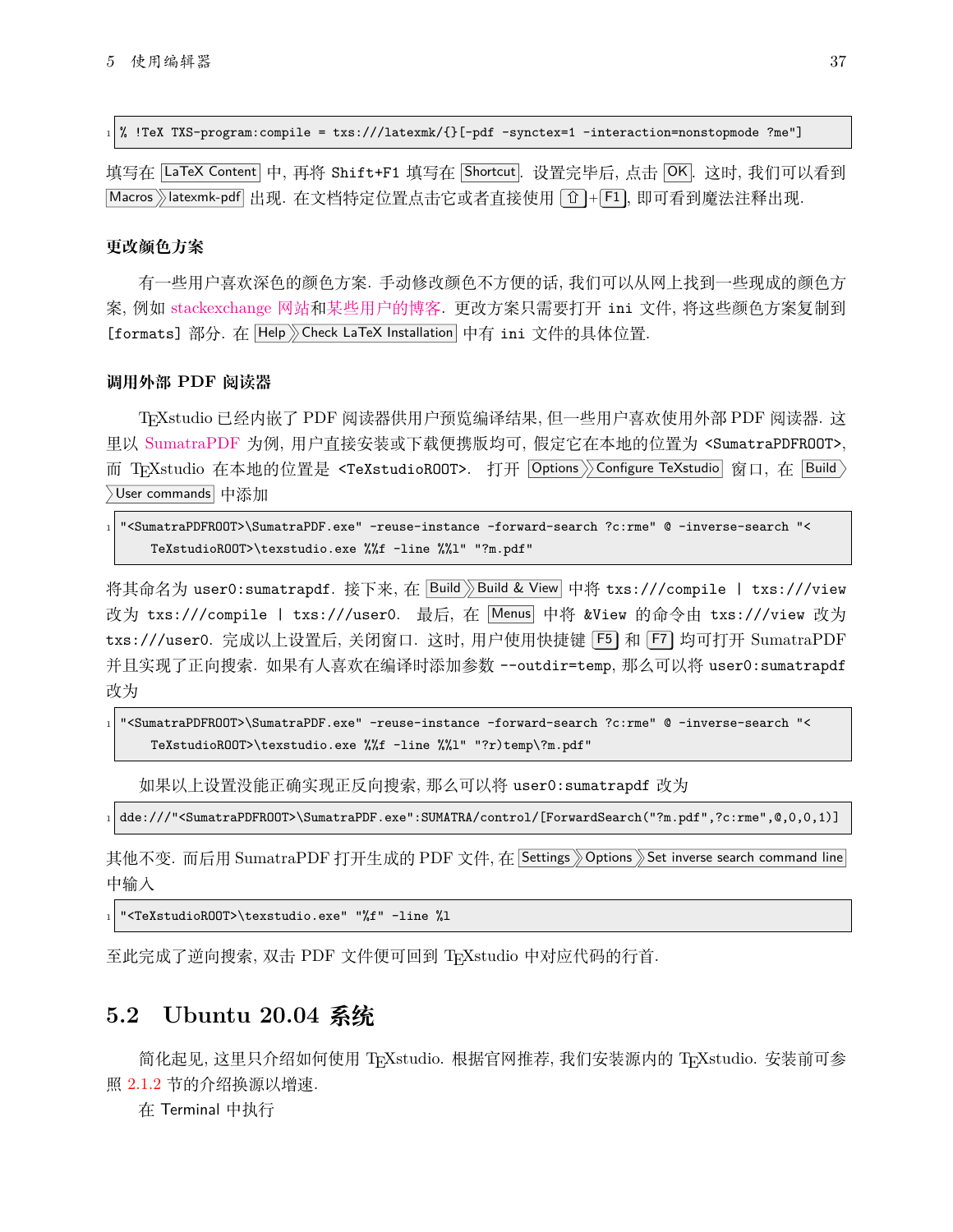<sup>1</sup> % !TeX TXS-program:compile = txs:///latexmk/{}[-pdf -synctex=1 -interaction=nonstopmode ?me"]

填写在 LaTeX Content 中, 再将 Shift+F1 填写在 Shortcut. 设置完毕后, 点击 OK. 这时, 我们可以看到  $\boxed{\text{Macros}}$  atexmk-pdf 出现. 在文档特定位置点击它或者直接使用  $\boxed{\text{f}}$  + F1, 即可看到魔法注释出现.

#### **更改颜色方案**

有一些用户喜欢深色的颜色方案. 手动修改颜色不方便的话, 我们可以从网上找到一些现成的颜色方 案, 例如 [stackexchange](https://tex.stackexchange.com/questions/108315/how-can-i-set-a-dark-theme-in-texstudio) 网站和[某些用户的博客](https://robjhyndman.com/hyndsight/dark-themes-for-writing/). 更改方案只需要打开 ini 文件, 将这些颜色方案复制到 [formats] 部分. 在 Help > Check LaTeX Installation 中有 ini 文件的具体位置.

#### **调用外部 PDF 阅读器**

TEXstudio 已经内嵌了 PDF 阅读器供用户预览编译结果, 但一些用户喜欢使用外部 PDF 阅读器. 这 里以 [SumatraPDF](https://www.sumatrapdfreader.org/free-pdf-reader.html) 为例, 用户直接安装或下载便携版均可, 假定它在本地的位置为 <SumatraPDFROOT>, 而 TFXstudio 在本地的位置是 <TeXstudioROOT>. 打开 Options > Configure TeXstudio 窗口, 在 Build > User commands 中添加

| 1 " <sumatrapdfr00t>\SumatraPDF.exe" -reuse-instance -forward-search ?c:rme" © -inverse-search "&lt;</sumatrapdfr00t> |  |
|-----------------------------------------------------------------------------------------------------------------------|--|
| TeXstudioROOT>\texstudio.exe %%f -line %%1" "?m.pdf"                                                                  |  |

将其命名为 user0:sumatrapdf. 接下来, 在 Build >> Build & View 中将 txs:///compile | txs:///view 改为 txs:///compile | txs:///user0. 最后, 在 Menus 中将 &View 的命令由 txs:///view 改为 txs:///user0. 完成以上设置后, 关闭窗口. 这时, 用户使用快捷键 [F5] 和 [F7] 均可打开 SumatraPDF 并且实现了正向搜索. 如果有人喜欢在编译时添加参数 --outdir=temp, 那么可以将 user0:sumatrapdf 改为

```
1 "<SumatraPDFROOT>\SumatraPDF.exe" -reuse-instance -forward-search ?c:rme" @ -inverse-search "<
    TeXstudioROOT>\texstudio.exe %%f -line %%l" "?r)temp\?m.pdf"
```
如果以上设置没能正确实现正反向搜索, 那么可以将 user0:sumatrapdf 改为

<sup>1</sup> dde:///"<SumatraPDFROOT>\SumatraPDF.exe":SUMATRA/control/[ForwardSearch("?m.pdf",?c:rme",@,0,0,1)]

其他不变. 而后用 SumatraPDF 打开生成的 PDF 文件, 在 Settings 》 Options 》 Set inverse search command line 中输入

"<TeXstudioROOT>\texstudio.exe" "%f" -line %1

至此完成了逆向搜索, 双击 PDF 文件便可回到 TEXstudio 中对应代码的行首.

### <span id="page-37-0"></span>**5.2 Ubuntu 20.04 系统**

简化起见, 这里只介绍如何使用 TFXstudio. 根据官网推荐, 我们安装源内的 TFXstudio. 安装前可参 照 [2.1.2](#page-17-0) 节的介绍换源以增速.

在 Terminal 中执行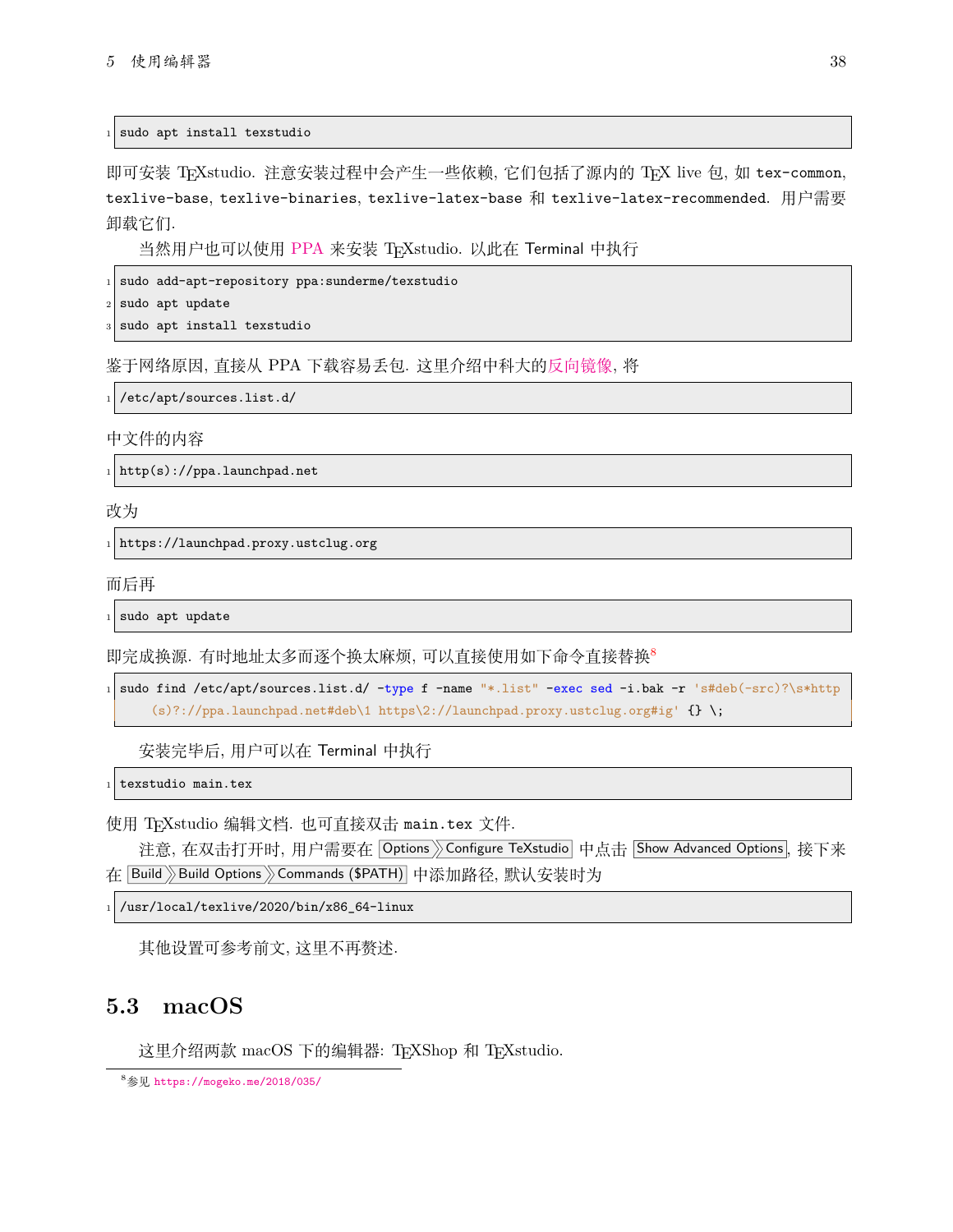sudo apt install texstudio

即可安装 TFXstudio. 注意安装过程中会产生一些依赖, 它们包括了源内的 TFX live 包, 如 tex-common, texlive-base, texlive-binaries, texlive-latex-base 和 texlive-latex-recommended. 用户需要 卸载它们.

当然用户也可以使用 [PPA](https://code.launchpad.net/~sunderme/+archive/ubuntu/texstudio) 来安装 TFXstudio. 以此在 Terminal 中执行

sudo add-apt-repository ppa: sunderme/texstudio

sudo apt update

sudo apt install texstudio

鉴于网络原因, 直接从 PPA 下载容易丢包. 这里介绍中科大的[反向镜像](https://lug.ustc.edu.cn/wiki/mirrors/help/revproxy/), 将

/etc/apt/sources.list.d/

中文件的内容

 $_1 \big\vert$  <code>http(s)://ppa.launchpad.net</code>

改为

https://launchpad.proxy.ustclug.org

而后再

sudo apt update

即完成换源. 有时地址太多而逐个换太麻烦, 可以直接使用如下命令直接替换[8](#page-38-1)

1 sudo find /etc/apt/sources.list.d/ -type f -name "\*.list" -exec sed -i.bak -r 's#deb(-src)?\s\*http (s)?://ppa.launchpad.net#deb\1 https\2://launchpad.proxy.ustclug.org#ig'  $\{ \}$  \;

安装完毕后, 用户可以在 Terminal 中执行

texstudio main.tex

使用 TFXstudio 编辑文档. 也可直接双击 main.tex 文件.

注意, 在双击打开时, 用户需要在 Options >> Configure TeXstudio 中点击 Show Advanced Options, 接下来 在 Build 》Build Options 》Commands (\$PATH) 中添加路径, 默认安装时为

/usr/local/texlive/2020/bin/x86\_64-linux

其他设置可参考前文, 这里不再赘述.

## <span id="page-38-0"></span>**5.3 macOS**

这里介绍两款 macOS 下的编辑器: TEXShop 和 TEXstudio.

<span id="page-38-1"></span><sup>8</sup>参见 <https://mogeko.me/2018/035/>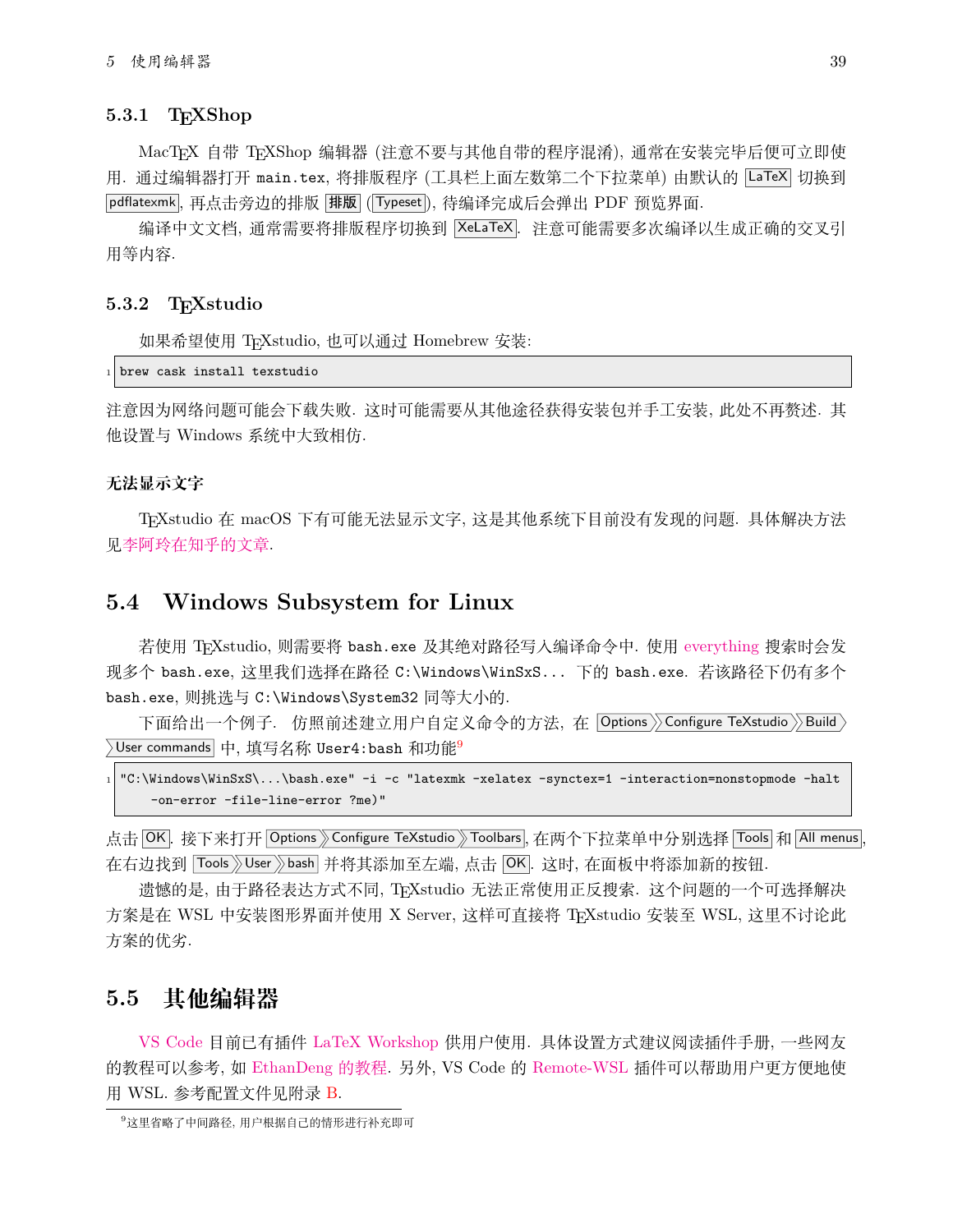#### <span id="page-39-0"></span>**5.3.1 TEXShop**

MacTFX 自带 TFXShop 编辑器 (注意不要与其他自带的程序混淆), 通常在安装完毕后便可立即使 用. 通过编辑器打开 main.tex, 将排版程序 (工具栏上面左数第二个下拉菜单) 由默认的 |LaTeX| 切换到 |pdflatexmk|, 再点击旁边的排版 |排版 | (Typeset), 待编译完成后会弹出 PDF 预览界面.

编译中文文档, 通常需要将排版程序切换到 XeLaTeX . 注意可能需要多次编译以生成正确的交叉引 用等内容.

#### <span id="page-39-1"></span>**5.3.2 TEXstudio**

如果希望使用 TEXstudio, 也可以通过 Homebrew 安装:

```
brew cask install texstudio
```
注意因为网络问题可能会下载失败. 这时可能需要从其他途径获得安装包并手工安装, 此处不再赘述. 其 他设置与 Windows 系统中大致相仿.

#### **无法显示文字**

TEXstudio 在 macOS 下有可能无法显示文字, 这是其他系统下目前没有发现的问题. 具体解决方法 见[李阿玲在知乎的文章](https://zhuanlan.zhihu.com/p/80728204).

### <span id="page-39-2"></span>**5.4 Windows Subsystem for Linux**

若使用 TEXstudio, 则需要将 bash.exe 及其绝对路径写入编译命令中. 使用 [everything](https://www.voidtools.com/zh-cn/) 搜索时会发 现多个 bash.exe, 这里我们选择在路径 C:\Windows\WinSxS... 下的 bash.exe. 若该路径下仍有多个 bash.exe, 则挑选与 C:\Windows\System32 同等大小的.

下面给出一个例子. 仿照前述建立用户自定义命令的方法, 在 |Options >> Configure TeXstudio >> Build >  $\rangle$ User commands $\mid$ 中, 填写名称 User4:bash 和功能 $^9$  $^9$ 

```
1 "C:\Windows\WinSxS\...\bash.exe" -i -c "latexmk -xelatex -synctex=1 -interaction=nonstopmode -halt
    -on-error -file-line-error ?me)"
```
点击 OK . 接下来打开 Options > Configure TeXstudio > Toolbars , 在两个下拉菜单中分别选择 Tools 和 All menus 在右边找到 Tools >User >bash 并将其添加至左端, 点击 OK. 这时, 在面板中将添加新的按钮.

遗憾的是, 由于路径表达方式不同, TEXstudio 无法正常使用正反搜索. 这个问题的一个可选择解决 方案是在 WSL 中安装图形界面并使用 X Server, 这样可直接将 TFXstudio 安装至 WSL, 这里不讨论此 方案的优劣.

# <span id="page-39-3"></span>**5.5 其他编辑器**

[VS Code](https://code.visualstudio.com/) 目前已有插件 [LaTeX Workshop](https://marketplace.visualstudio.com/items?itemName=James-Yu.latex-workshop) 供用户使用. 具体设置方式建议阅读插件手册, 一些网友 的教程可以参考, 如 [EthanDeng](https://github.com/EthanDeng/vscode-latex) 的教程. 另外, VS Code 的 [Remote-WSL](https://marketplace.visualstudio.com/items?itemName=ms-vscode-remote.remote-wsl) 插件可以帮助用户更方便地使 用 WSL. 参考配置文件见附录 [B](#page-45-0).

<span id="page-39-4"></span><sup>9</sup>这里省略了中间路径, 用户根据自己的情形进行补充即可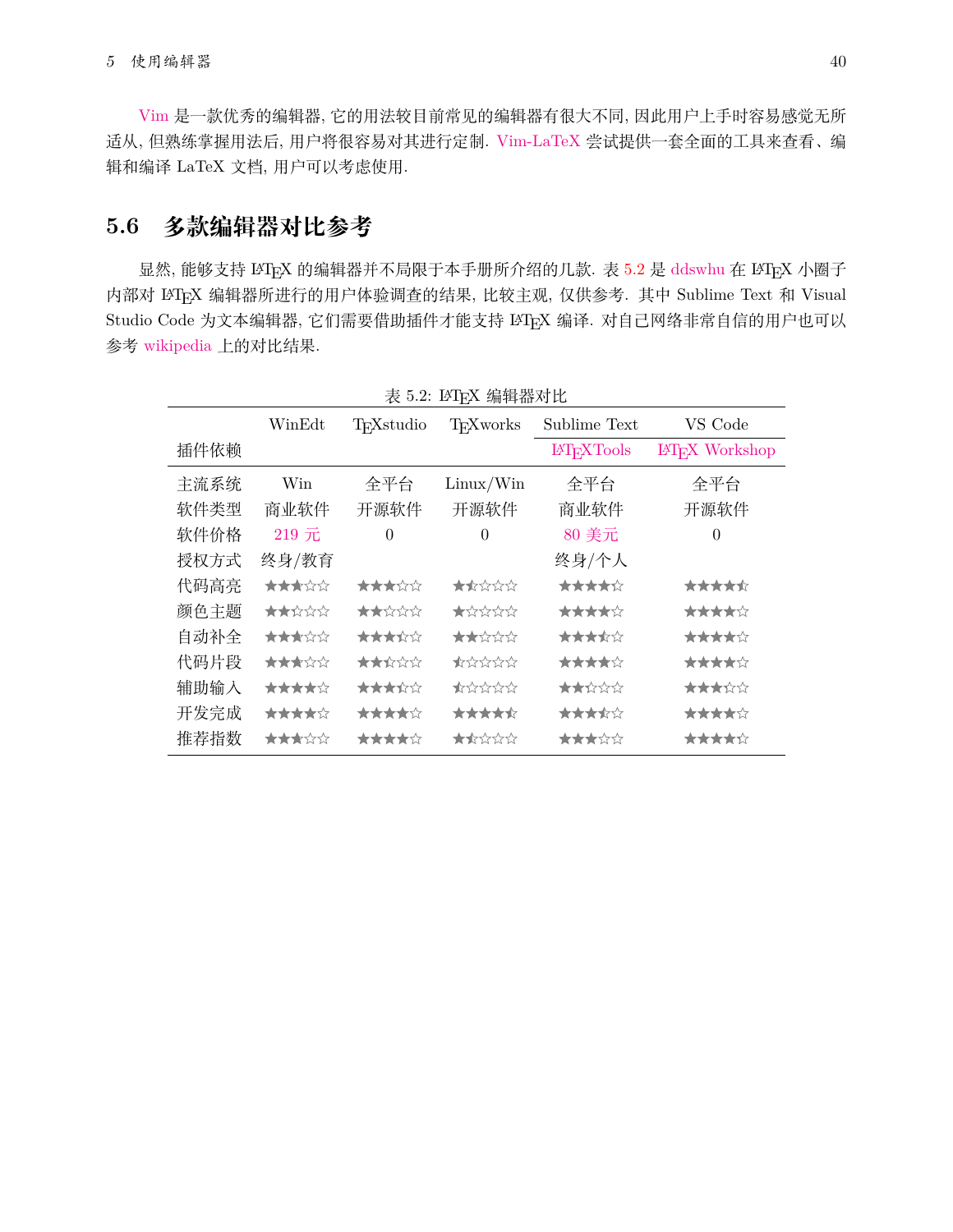[Vim](https://www.vim.org/) 是一款优秀的编辑器, 它的用法较目前常见的编辑器有很大不同, 因此用户上手时容易感觉无所 适从, 但熟练掌握用法后, 用户将很容易对其进行定制. [Vim-LaTeX](http://vim-latex.sourceforge.net/) 尝试提供一套全面的工具来查看、编 辑和编译 LaTeX 文档, 用户可以考虑使用.

# <span id="page-40-0"></span>**5.6 多款编辑器对比参考**

显然, 能够支持 LATEX 的编辑器并不局限于本手册所介绍的几款. 表 [5.2](#page-40-1) 是 [ddswhu](https://ddswhu.me/) 在 LATEX 小圈子 内部对 LATEX 编辑器所进行的用户体验调查的结果, 比较主观, 仅供参考. 其中 Sublime Text 和 Visual Studio Code 为文本编辑器, 它们需要借助插件才能支持 LATEX 编译. 对自己网络非常自信的用户也可以 参考 [wikipedia](https://en.wikipedia.org/wiki/Comparison_of_TeX_editors) 上的对比结果.

|      | $\sim$ 0.4. $\sim$ 1 + $\sim$ $\sim$ $\sim$ $\sim$ $\sim$ $\sim$ |                        |                                                               |                   |                       |
|------|------------------------------------------------------------------|------------------------|---------------------------------------------------------------|-------------------|-----------------------|
|      | WinEdt                                                           | T <sub>F</sub> Xstudio | <b>TFX</b> works                                              | Sublime Text      | VS Code               |
| 插件依赖 |                                                                  |                        |                                                               | <b>IATFXTools</b> | <b>IATEX</b> Workshop |
| 主流系统 | Win                                                              | 全平台                    | Linux/Win                                                     | 全平台               | 全平台                   |
| 软件类型 | 商业软件                                                             | 开源软件                   | 开源软件                                                          | 商业软件              | 开源软件                  |
| 软件价格 | 219元                                                             | $\Omega$               | $\theta$                                                      | 80 美元             | $\theta$              |
| 授权方式 | 终身/教育                                                            |                        |                                                               | 终身/个人             |                       |
| 代码高亮 | ★★★☆☆                                                            | ★★★☆☆                  | ★★☆☆☆                                                         | *****             | *****                 |
| 颜色主题 | ★★☆☆☆                                                            | ★★☆☆☆                  | $\bigstar \rightsquigarrow \rightsquigarrow \rightsquigarrow$ | *****             | ★★★★☆                 |
| 自动补全 | ★★★☆☆                                                            | ★★★☆☆                  | ★★☆☆☆                                                         | ★★★★☆             | *****                 |
| 代码片段 | ★★★☆☆                                                            | ★★☆☆☆                  | ★☆☆☆☆                                                         | *****             | *****                 |
| 辅助输入 | *****                                                            | ★★★☆☆                  | ★☆☆☆☆                                                         | ★★☆☆☆             | ★★★☆☆                 |
| 开发完成 | *****                                                            | *****                  | *****                                                         | ★★★★☆             | *****                 |
| 推荐指数 | ★★★☆☆                                                            | *****                  | ★★☆☆☆                                                         | ★★★☆☆             | *****                 |

<span id="page-40-1"></span>表 5.2: LATFX 编辑器对比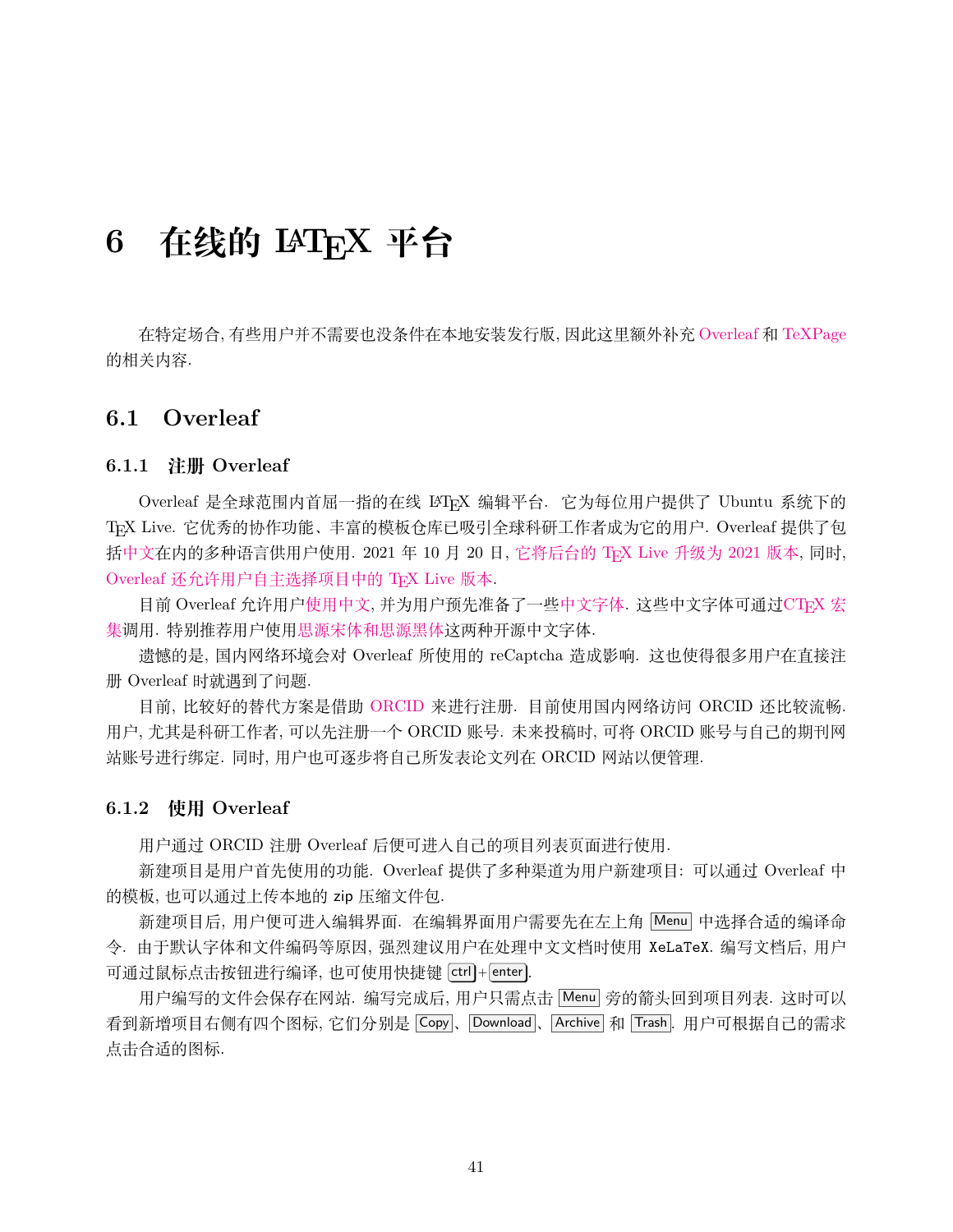# <span id="page-41-0"></span>**6 在线的 LATEX 平台**

在特定场合, 有些用户并不需要也没条件在本地安装发行版, 因此这里额外补充 [Overleaf](www.overleaf.com) 和 [TeXPage](https://www.texpage.com/) 的相关内容.

### <span id="page-41-1"></span>**6.1 Overleaf**

#### <span id="page-41-2"></span>**6.1.1 注册 Overleaf**

Overleaf 是全球范围内首屈一指的在线 LATEX 编辑平台. 它为每位用户提供了 Ubuntu 系统下的 TEX Live. 它优秀的协作功能、丰富的模板仓库已吸引全球科研工作者成为它的用户. Overleaf 提供了包 括[中文在](https://cn.overleaf.com)内的多种语言供用户使用. 2021 年 10 月 20 日, [它将后台的](https://www.overleaf.com/blog/tex-live-2021-now-available) TrX Live 升级为 2021 版本, 同时, Overleaf [还允许用户自主选择项目中的](https://www.overleaf.com/blog/new-feature-select-your-tex-live-compiler-version) TFX Live 版本.

目前 Overleaf 允许用[户使用中文](https://www.overleaf.com/learn/latex/Chinese), 并为用户预先准备了一些[中文字体](https://www.overleaf.com/learn/latex/Questions/What_OTF/TTF_fonts_are_supported_via_fontspec%3F#Fonts_for_CJK). 这些中文字体可通过[CTEX](https://www.overleaf.com/latex/templates/using-the-ctex-package-on-overleaf-zai-overleafping-tai-shang-shi-yong-ctex/gndvpvsmjcqx) 宏 [集调](https://www.overleaf.com/latex/templates/using-the-ctex-package-on-overleaf-zai-overleafping-tai-shang-shi-yong-ctex/gndvpvsmjcqx)用. 特别推荐用户使[用思源宋体和思源黑体这](https://www.overleaf.com/latex/examples/demonstration-of-noto-serif-cjk-and-noto-sans-cjk-fonts/sgrwgcddtqsq)两种开源中文字体.

遗憾的是, 国内网络环境会对 Overleaf 所使用的 reCaptcha 造成影响. 这也使得很多用户在直接注 册 Overleaf 时就遇到了问题.

目前, 比较好的替代方案是借助 [ORCID](https://orcid.org) 来进行注册. 目前使用国内网络访问 ORCID 还比较流畅. 用户, 尤其是科研工作者, 可以先注册一个 ORCID 账号. 未来投稿时, 可将 ORCID 账号与自己的期刊网 站账号进行绑定. 同时, 用户也可逐步将自己所发表论文列在 ORCID 网站以便管理.

#### <span id="page-41-3"></span>**6.1.2 使用 Overleaf**

用户通过 ORCID 注册 Overleaf 后便可进入自己的项目列表页面进行使用.

新建项目是用户首先使用的功能. Overleaf 提供了多种渠道为用户新建项目: 可以通过 Overleaf 中 的模板, 也可以通过上传本地的 zip 压缩文件包.

新建项目后, 用户便可进入编辑界面. 在编辑界面用户需要先在左上角 Menu 中选择合适的编译命 令. 由于默认字体和文件编码等原因, 强烈建议用户在处理中文文档时使用 XeLaTeX. 编写文档后, 用户 可通过鼠标点击按钮进行编译, 也可使用快捷键 ctrl + enter .

用户编写的文件会保存在网站. 编写完成后, 用户只需点击 Menu 旁的箭头回到项目列表. 这时可以 看到新增项目右侧有四个图标, 它们分别是 Copy 、 Download 、 Archive 和 Trash . 用户可根据自己的需求 点击合适的图标.

41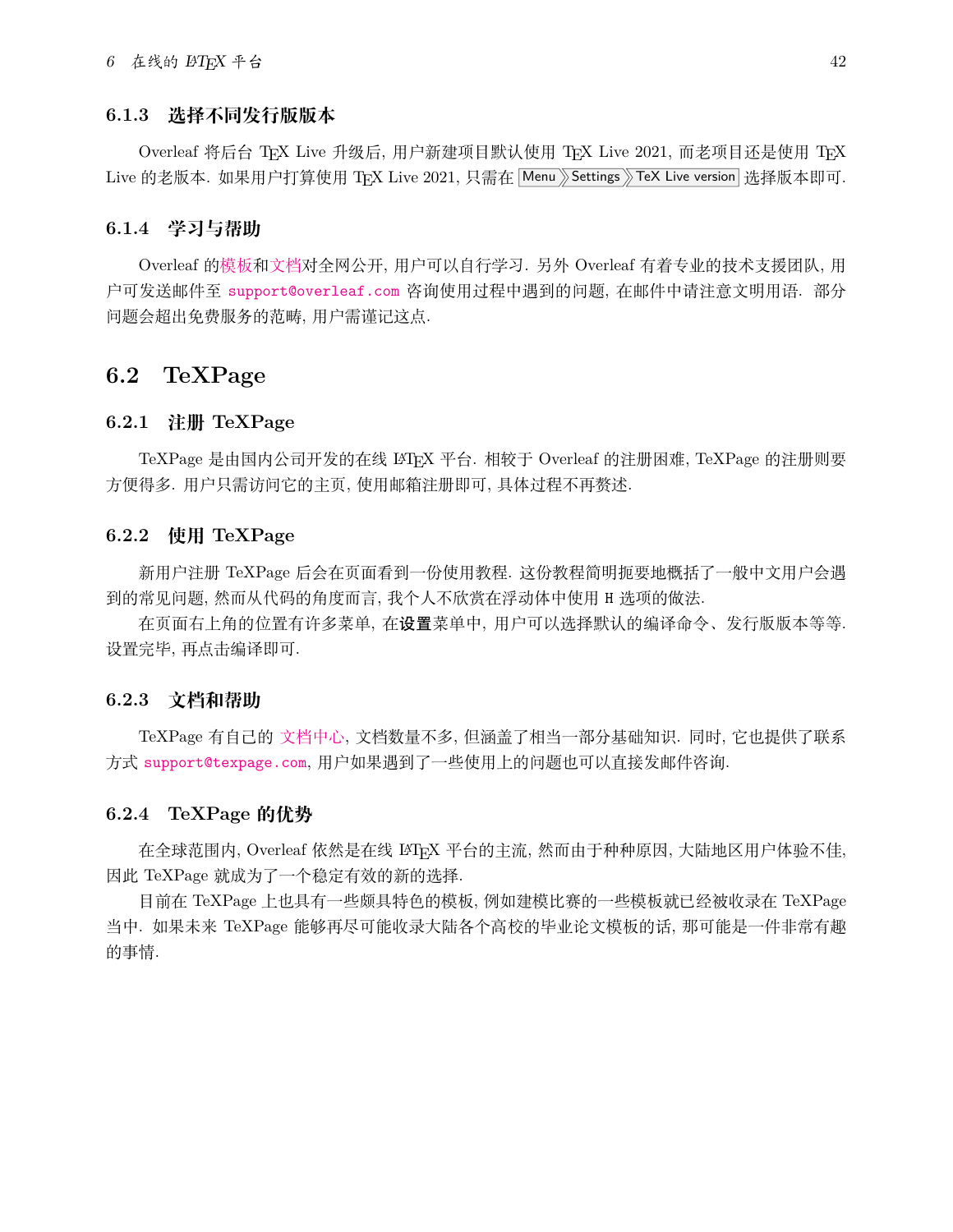### <span id="page-42-0"></span>**6.1.3 选择不同发行版版本**

Overleaf 将后台 TFX Live 升级后, 用户新建项目默认使用 TFX Live 2021, 而老项目还是使用 TFX Live 的老版本. 如果用户打算使用 TEX Live 2021, 只需在 Menu Settings TeX Live version 选择版本即可.

#### <span id="page-42-1"></span>**6.1.4 学习与帮助**

Overleaf [的模板](https://www.overleaf.com/latex/templates)和[文档对](https://www.overleaf.com/learn)全网公开, 用户可以自行学习. 另外 Overleaf 有着专业的技术支援团队, 用 户可发送邮件至 [support@overleaf.com](mailto:support@overleaf.com) 咨询使用过程中遇到的问题, 在邮件中请注意文明用语. 部分 问题会超出免费服务的范畴, 用户需谨记这点.

### <span id="page-42-2"></span>**6.2 TeXPage**

#### <span id="page-42-3"></span>**6.2.1 注册 TeXPage**

TeXPage 是由国内公司开发的在线 LATEX 平台. 相较于 Overleaf 的注册困难, TeXPage 的注册则要 方便得多. 用户只需访问它的主页, 使用邮箱注册即可, 具体过程不再赘述.

#### <span id="page-42-4"></span>**6.2.2 使用 TeXPage**

新用户注册 TeXPage 后会在页面看到一份使用教程. 这份教程简明扼要地概括了一般中文用户会遇 到的常见问题, 然而从代码的角度而言, 我个人不欣赏在浮动体中使用 H 选项的做法.

在页面右上角的位置有许多菜单, 在设置菜单中, 用户可以选择默认的编译命令、发行版版本等等. 设置完毕, 再点击编译即可.

#### <span id="page-42-5"></span>**6.2.3 文档和帮助**

TeXPage 有自己的 [文档中心](https://www.texpage.com/docs/), 文档数量不多, 但涵盖了相当一部分基础知识. 同时, 它也提供了联系 方式 [support@texpage.com](mailto:support@texpage.com), 用户如果遇到了一些使用上的问题也可以直接发邮件咨询.

#### <span id="page-42-6"></span>**6.2.4 TeXPage 的优势**

在全球范围内, Overleaf 依然是在线 LATEX 平台的主流, 然而由于种种原因, 大陆地区用户体验不佳, 因此 TeXPage 就成为了一个稳定有效的新的选择.

目前在 TeXPage 上也具有一些颇具特色的模板, 例如建模比赛的一些模板就已经被收录在 TeXPage 当中. 如果未来 TeXPage 能够再尽可能收录大陆各个高校的毕业论文模板的话, 那可能是一件非常有趣 的事情.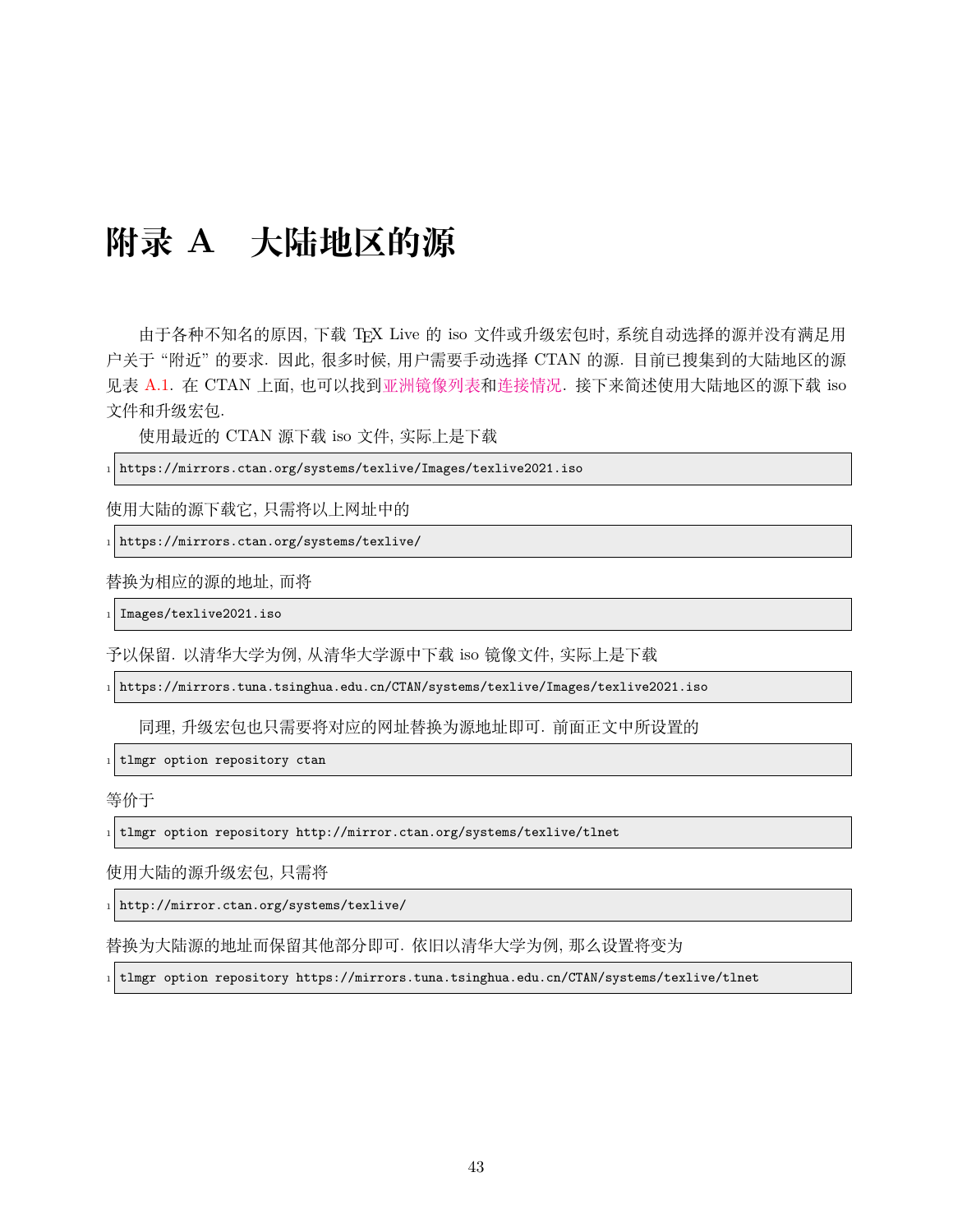# <span id="page-43-0"></span>**附录 A 大陆地区的源**

由于各种不知名的原因, 下载 TFX Live 的 iso 文件或升级宏包时, 系统自动选择的源并没有满足用 户关于 "附近" 的要求. 因此, 很多时候, 用户需要手动选择 CTAN 的源. 目前已搜集到的大陆地区的源 见表 [A.1.](#page-44-0) 在 CTAN 上面, 也可以找到[亚洲镜像列表](https://ctan.org/mirrors#Asia)[和连接情况](https://ctan.org/mirrors/mirmon#cn). 接下来简述使用大陆地区的源下载 iso 文件和升级宏包.

使用最近的 CTAN 源下载 iso 文件, 实际上是下载

 $_1$  https://mirrors.ctan.org/systems/texlive/Images/texlive2021.iso

使用大陆的源下载它, 只需将以上网址中的

 $_1$  https://mirrors.ctan.org/systems/texlive/

替换为相应的源的地址, 而将

 $_1$  Images/texlive2021.iso

予以保留. 以清华大学为例, 从清华大学源中下载 iso 镜像文件, 实际上是下载

<sup>1</sup> https://mirrors.tuna.tsinghua.edu.cn/CTAN/systems/texlive/Images/texlive2021.iso

同理, 升级宏包也只需要将对应的网址替换为源地址即可. 前面正文中所设置的

 $1$  tlmgr option repository ctan

等价于

<sup>1</sup> tlmgr option repository http://mirror.ctan.org/systems/texlive/tlnet

使用大陆的源升级宏包, 只需将

<sup>1</sup> http://mirror.ctan.org/systems/texlive/

替换为大陆源的地址而保留其他部分即可. 依旧以清华大学为例, 那么设置将变为

 $_1$  tlmgr option repository https://mirrors.tuna.tsinghua.edu.cn/CTAN/systems/texlive/tlnet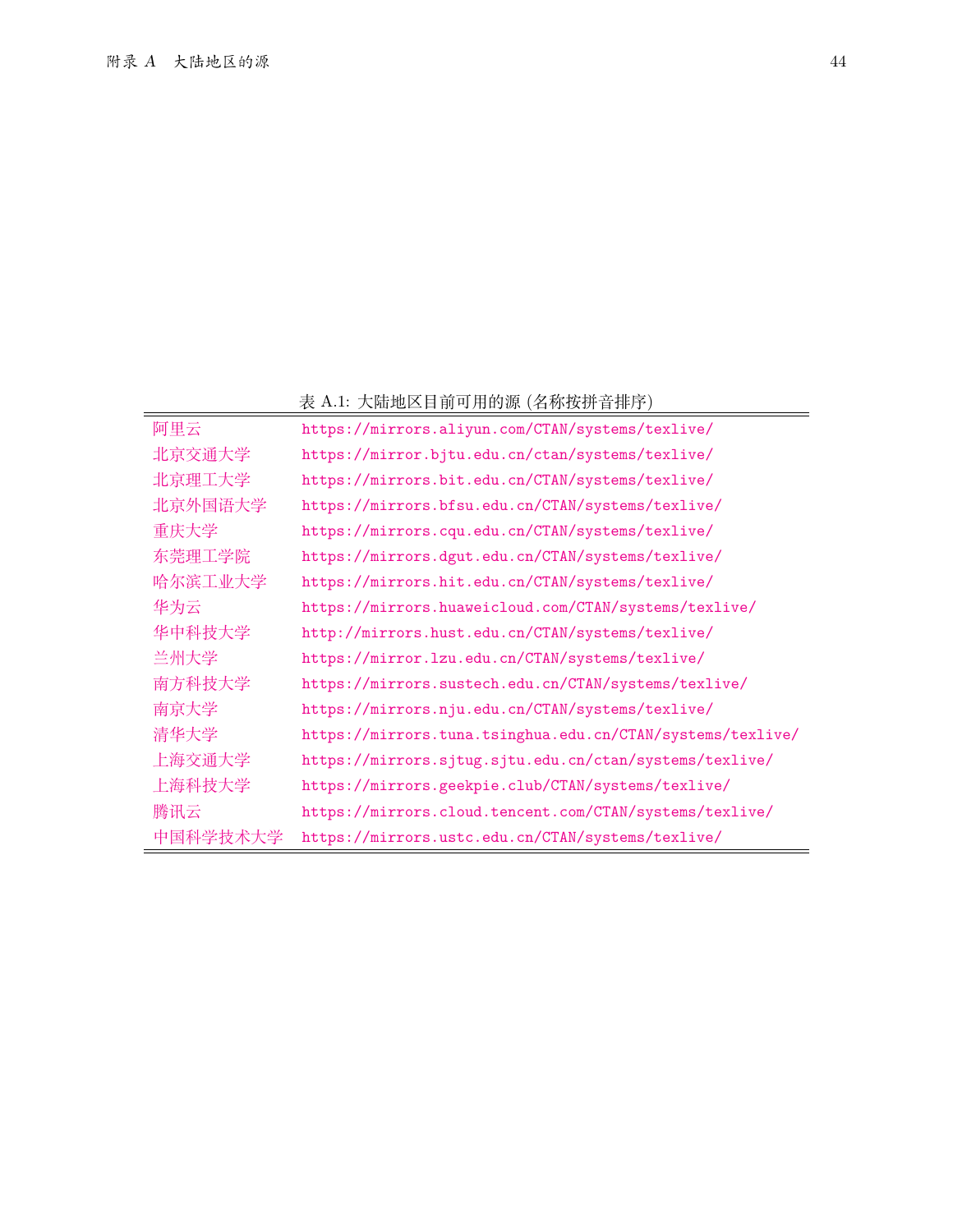### <span id="page-44-0"></span>表 A.1: 大陆地区目前可用的源 (名称按拼音排序)

|          | 农 A.L. 八隅地区日即可用的你 (石炒131开目1形7)                             |
|----------|------------------------------------------------------------|
| 阿里云      | https://mirrors.aliyun.com/CTAN/systems/texlive/           |
| 北京交通大学   | https://mirror.bjtu.edu.cn/ctan/systems/texlive/           |
| 北京理工大学   | https://mirrors.bit.edu.cn/CTAN/systems/texlive/           |
| 北京外国语大学  | https://mirrors.bfsu.edu.cn/CTAN/systems/texlive/          |
| 重庆大学     | https://mirrors.cqu.edu.cn/CTAN/systems/texlive/           |
| 东莞理工学院   | https://mirrors.dgut.edu.cn/CTAN/systems/texlive/          |
| 哈尔滨工业大学  | https://mirrors.hit.edu.cn/CTAN/systems/texlive/           |
| 华为云      | https://mirrors.huaweicloud.com/CTAN/systems/texlive/      |
| 华中科技大学   | http://mirrors.hust.edu.cn/CTAN/systems/texlive/           |
| 兰州大学     | https://mirror.lzu.edu.cn/CTAN/systems/texlive/            |
| 南方科技大学   | https://mirrors.sustech.edu.cn/CTAN/systems/texlive/       |
| 南京大学     | https://mirrors.nju.edu.cn/CTAN/systems/texlive/           |
| 清华大学     | https://mirrors.tuna.tsinghua.edu.cn/CTAN/systems/texlive/ |
| 上海交通大学   | https://mirrors.sjtug.sjtu.edu.cn/ctan/systems/texlive/    |
| 上海科技大学   | https://mirrors.geekpie.club/CTAN/systems/texlive/         |
| 腾讯云      | https://mirrors.cloud.tencent.com/CTAN/systems/texlive/    |
| 中国科学技术大学 | https://mirrors.ustc.edu.cn/CTAN/systems/texlive/          |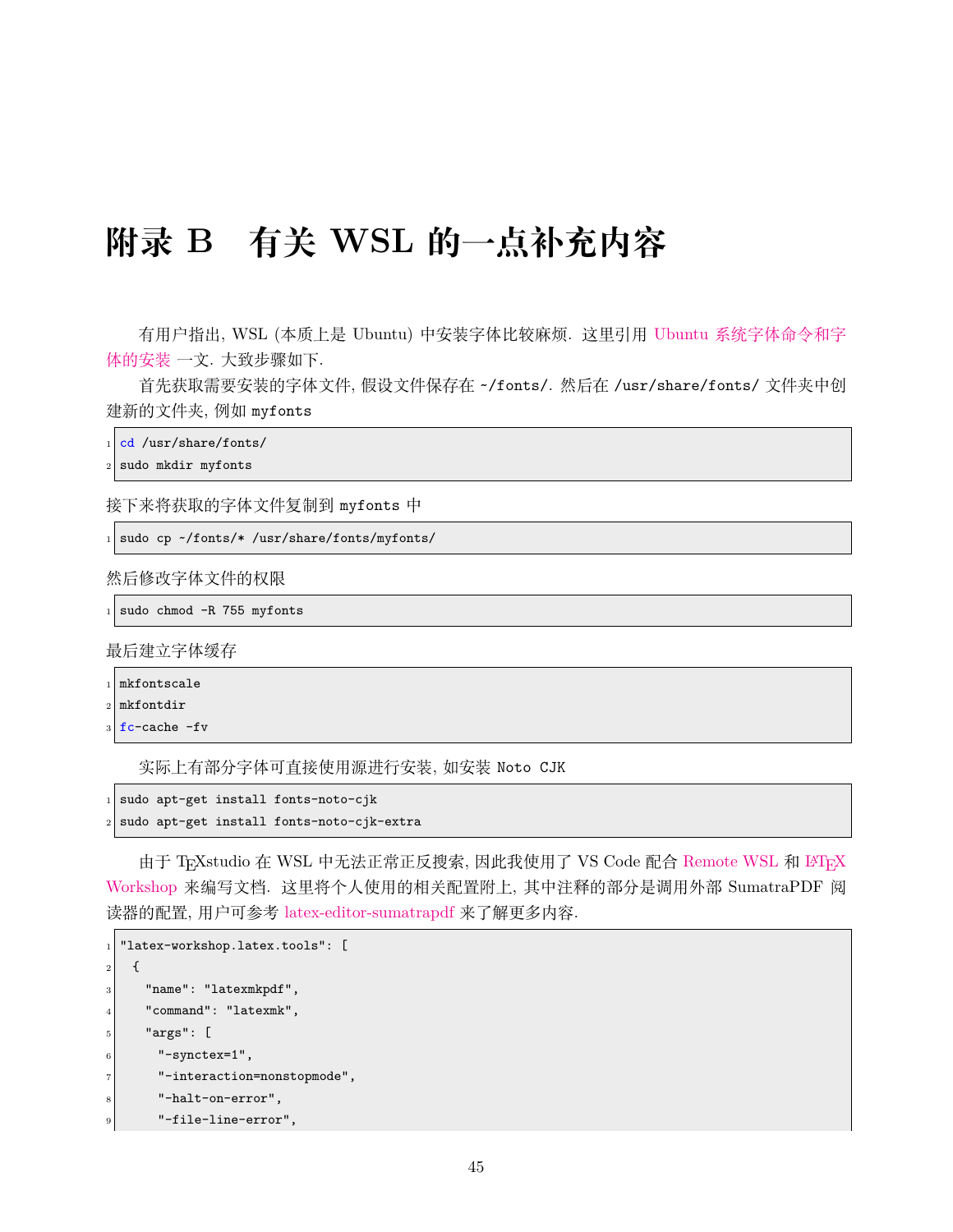# <span id="page-45-0"></span>**附录 B 有关 WSL 的一点补充内容**

有用户指出, WSL (本质上是 Ubuntu) 中安装字体比较麻烦. 这里引用 Ubuntu [系统字体命令和字](https://www.jianshu.com/p/e7f12b8c8602) [体的安装](https://www.jianshu.com/p/e7f12b8c8602) 一文. 大致步骤如下.

首先获取需要安装的字体文件, 假设文件保存在 ~/fonts/. 然后在 /usr/share/fonts/ 文件夹中创 建新的文件夹, 例如 myfonts

```
cd /usr/share/fonts/
```

```
sudo mkdir myfonts
```
接下来将获取的字体文件复制到 myfonts 中

```
1 sudo cp \sim/fonts/*/usr/share/fonts/myfonts/
```
然后修改字体文件的权限

```
_{1} sudo chmod -R 755 myfonts
```
最后建立字体缓存

```
mkfontscale
```

```
2 \sqrt{m} mkfontdir
```

```
fc-cache -fv
```
实际上有部分字体可直接使用源进行安装, 如安装 Noto CJK

```
sudo apt-get install fonts-noto-cjk
```

```
sudo apt-get install fonts-noto-cjk-extra
```
由于 TrXstudio 在 WSL 中无法正常正反搜索, 因此我使用了 VS Code 配合 [Remote WSL](https://marketplace.visualstudio.com/items?itemName=ms-vscode-remote.remote-wsl) 和 ISTrX [Workshop](https://marketplace.visualstudio.com/items?itemName=James-Yu.latex-workshop) 来编写文档. 这里将个人使用的相关配置附上, 其中注释的部分是调用外部 SumatraPDF 阅 读器的配置, 用户可参考 [latex-editor-sumatrapdf](https://github.com/OsbertWang/latex-editor-sumatrapdf) 来了解更多内容.

```
"latex-workshop.latex.tools": [
2 {
     "name": "latexmkpdf",
     "command": "latexmk",
     "args": [
      "-synctex=1",
       "-interaction=nonstopmode",
      "-halt-on-error",
9 "-file-line-error",
```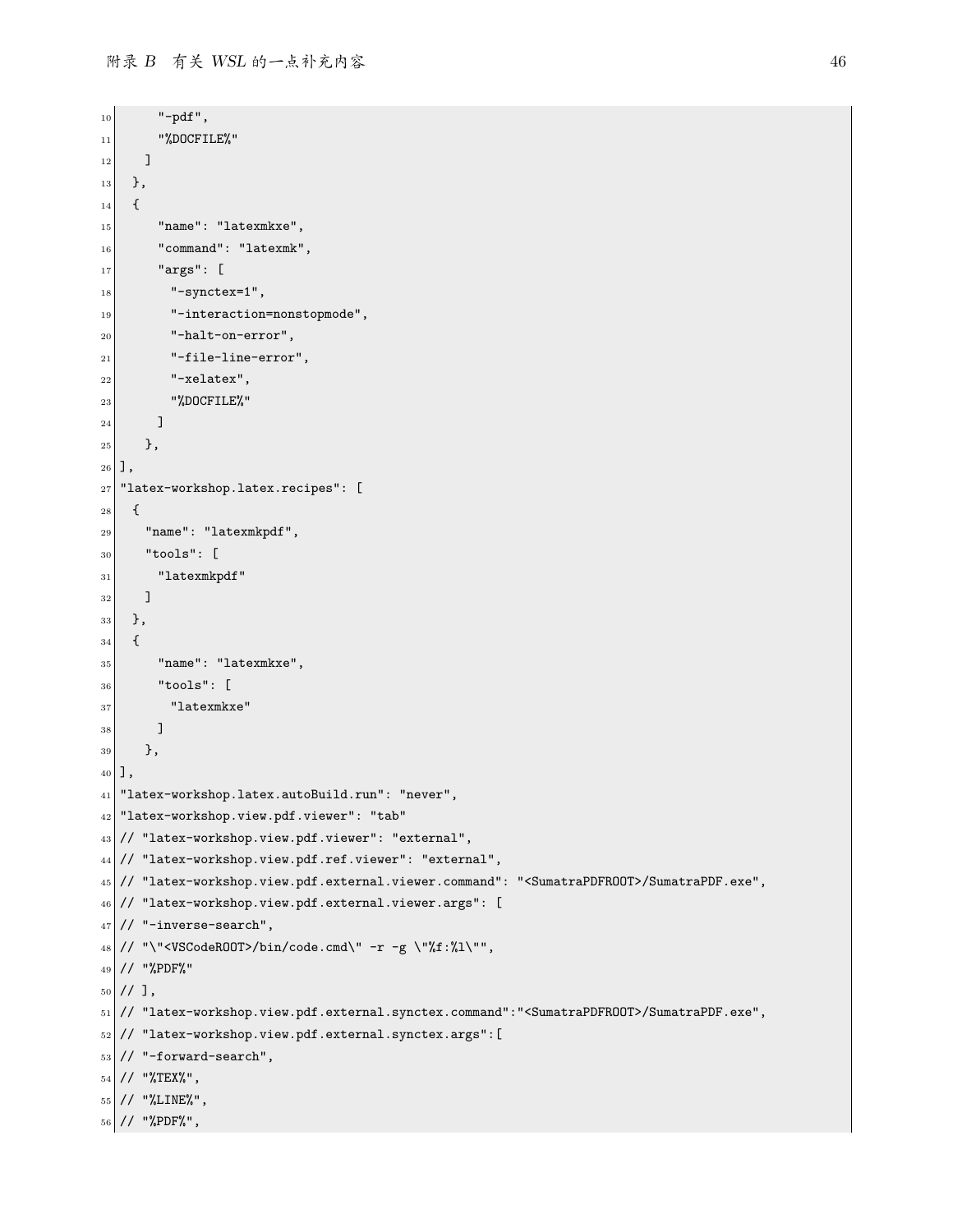```
\begin{array}{c|c}\n\hline\n10\n\end{array} "-pdf",
11 "%DOCFILE%"
\vert 12 \vert 1
\begin{array}{c|c} 13 & \text{ } \end{array}14 {
15 "name": "latexmkxe",
_{16} \vert "command": "latexmk",
\begin{array}{c|c} \hline \end{array} "args": [
\begin{array}{c} 18 \end{array} "-synctex=1",
19 "-interaction=nonstopmode",
_{20} "-halt-on-error",
|21| "-file-line-error",
\begin{array}{c|c} 22 & \text{``-xelatex''}, \end{array}23 "%DOCFILE%"
_{24} ]
_{25} },
26 ],
27 "latex-workshop.latex.recipes": [
28 {
_{29} "name": "latexmkpdf",
30 "tools": [
31 "latexmkpdf"
32 ]
33 \mid \},
34 \mid \{35 "name": "latexmkxe",
36 "tools": [
37 "latexmkxe"
38 ]
39 },
_{40}],
41 "latex-workshop.latex.autoBuild.run": "never",
42 "latex-workshop.view.pdf.viewer": "tab"
43 // "latex-workshop.view.pdf.viewer": "external",
44 // "latex-workshop.view.pdf.ref.viewer": "external",
45 // "latex-workshop.view.pdf.external.viewer.command": "<SumatraPDFROOT>/SumatraPDF.exe",
46 // "latex-workshop.view.pdf.external.viewer.args": [
47 // "-inverse-search",
_{48} // "\"<VSCodeROOT>/bin/code.cmd\" -r -g \"%f:%l\"",
49 // "%PDF%"
50 \mid \frac{1}{1},
51 // "latex-workshop.view.pdf.external.synctex.command":"<SumatraPDFROOT>/SumatraPDF.exe",
52 // "latex-workshop.view.pdf.external.synctex.args":[
53 // "-forward-search",
_{54} // "%TEX%",
55 // "%LINE%",
56 // "%PDF%",
```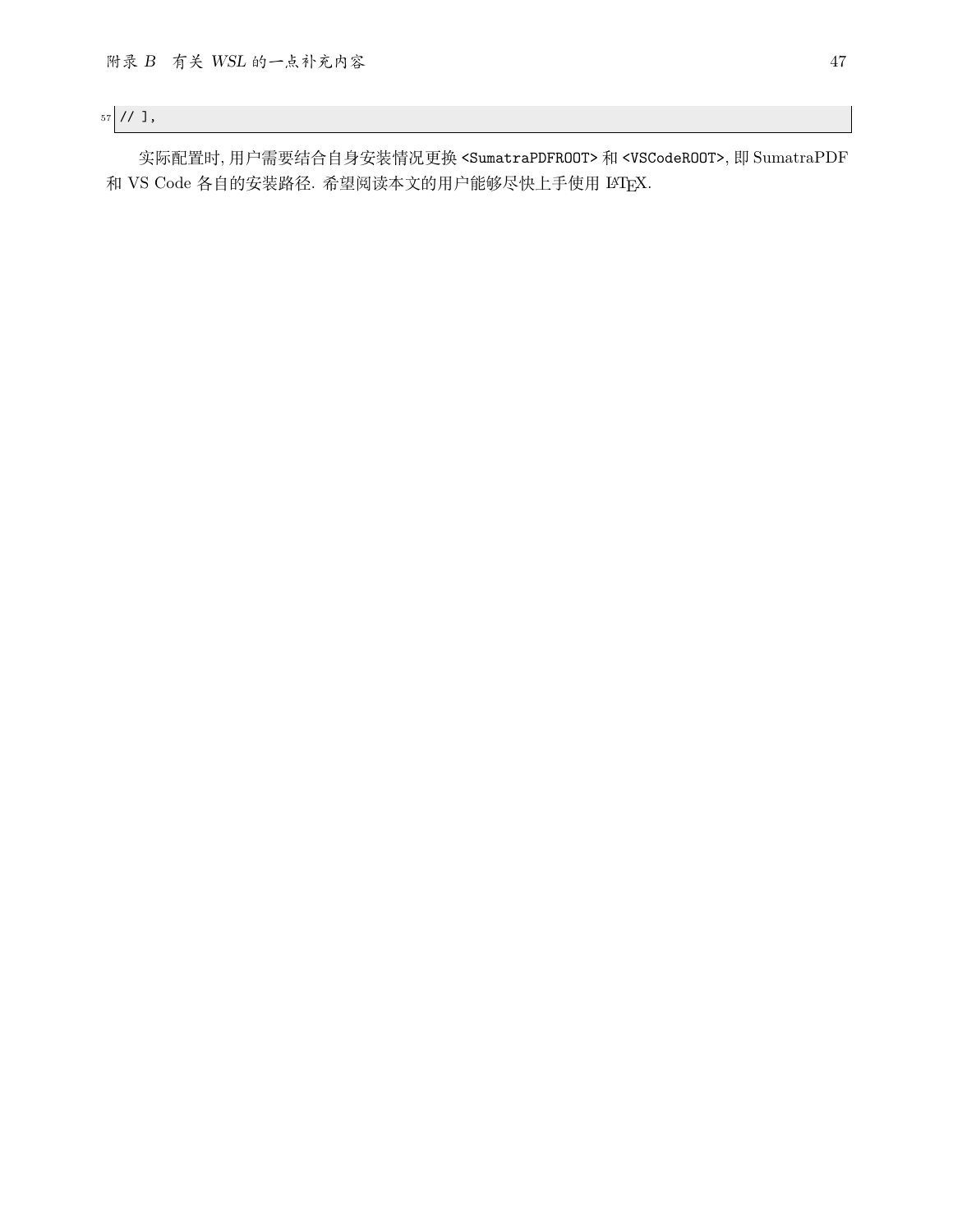$57$  // ],

实际配置时, 用户需要结合自身安装情况更换 <SumatraPDFROOT> 和 <VSCodeROOT>, 即 SumatraPDF 和 VS Code 各自的安装路径. 希望阅读本文的用户能够尽快上手使用 LATEX.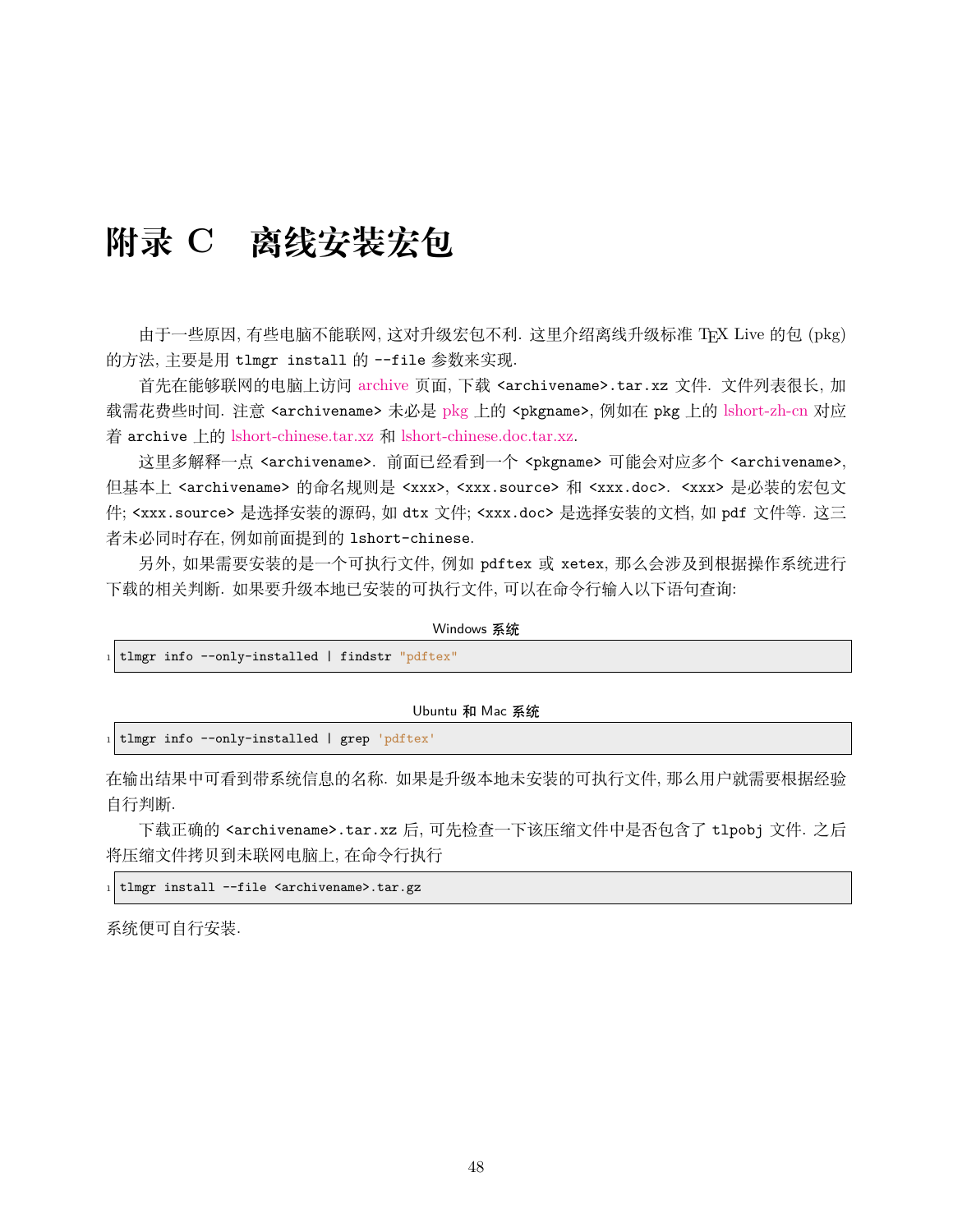# <span id="page-48-0"></span>**附录 C 离线安装宏包**

由于一些原因, 有些电脑不能联网, 这对升级宏包不利. 这里介绍离线升级标准 TFX Live 的包 (pkg) 的方法, 主要是用 tlmgr install 的 --file 参数来实现.

首先在能够联网的电脑上访问 [archive](https://ctan.org/tex-archive/systems/texlive/tlnet/archive) 页面, 下载 <archivename>.tar.xz 文件. 文件列表很长, 加 载需花费些时间. 注意 <archivename> 未必是 [pkg](https://ctan.org/pkg/) 上的 <pkgname>, 例如在 pkg 上的 [lshort-zh-cn](https://ctan.org/pkg/lshort-zh-cn) 对应 着 archive 上的 [lshort-chinese.tar.xz](http://mirrors.ctan.org/systems/texlive/tlnet/archive/lshort-chinese.tar.xz) 和 [lshort-chinese.doc.tar.xz.](http://mirrors.ctan.org/systems/texlive/tlnet/archive/lshort-chinese.doc.tar.xz)

这里多解释一点 <archivename>. 前面已经看到一个 <pkgname> 可能会对应多个 <archivename>, 但基本上 <archivename> 的命名规则是 <xxx>, <xxx.source> 和 <xxx.doc>. <xxx> 是必装的宏包文 件; <xxx.source> 是选择安装的源码, 如 dtx 文件; <xxx.doc> 是选择安装的文档, 如 pdf 文件等. 这三 者未必同时存在, 例如前面提到的 lshort-chinese.

另外, 如果需要安装的是一个可执行文件, 例如 pdftex 或 xetex, 那么会涉及到根据操作系统进行 下载的相关判断. 如果要升级本地已安装的可执行文件, 可以在命令行输入以下语句查询:

|  | Windows 系统 |                                                  |  |  |
|--|------------|--------------------------------------------------|--|--|
|  |            | 1 tlmgr info --only-installed   findstr "pdftex" |  |  |
|  |            |                                                  |  |  |

Ubuntu 和 Mac 系统

tlmgr info --only-installed | grep 'pdftex'

在输出结果中可看到带系统信息的名称. 如果是升级本地未安装的可执行文件, 那么用户就需要根据经验 自行判断.

下载正确的 <archivename>.tar.xz 后, 可先检查一下该压缩文件中是否包含了 tlpobj 文件. 之后 将压缩文件拷贝到未联网电脑上, 在命令行执行

tlmgr install --file <archivename>.tar.gz

系统便可自行安装.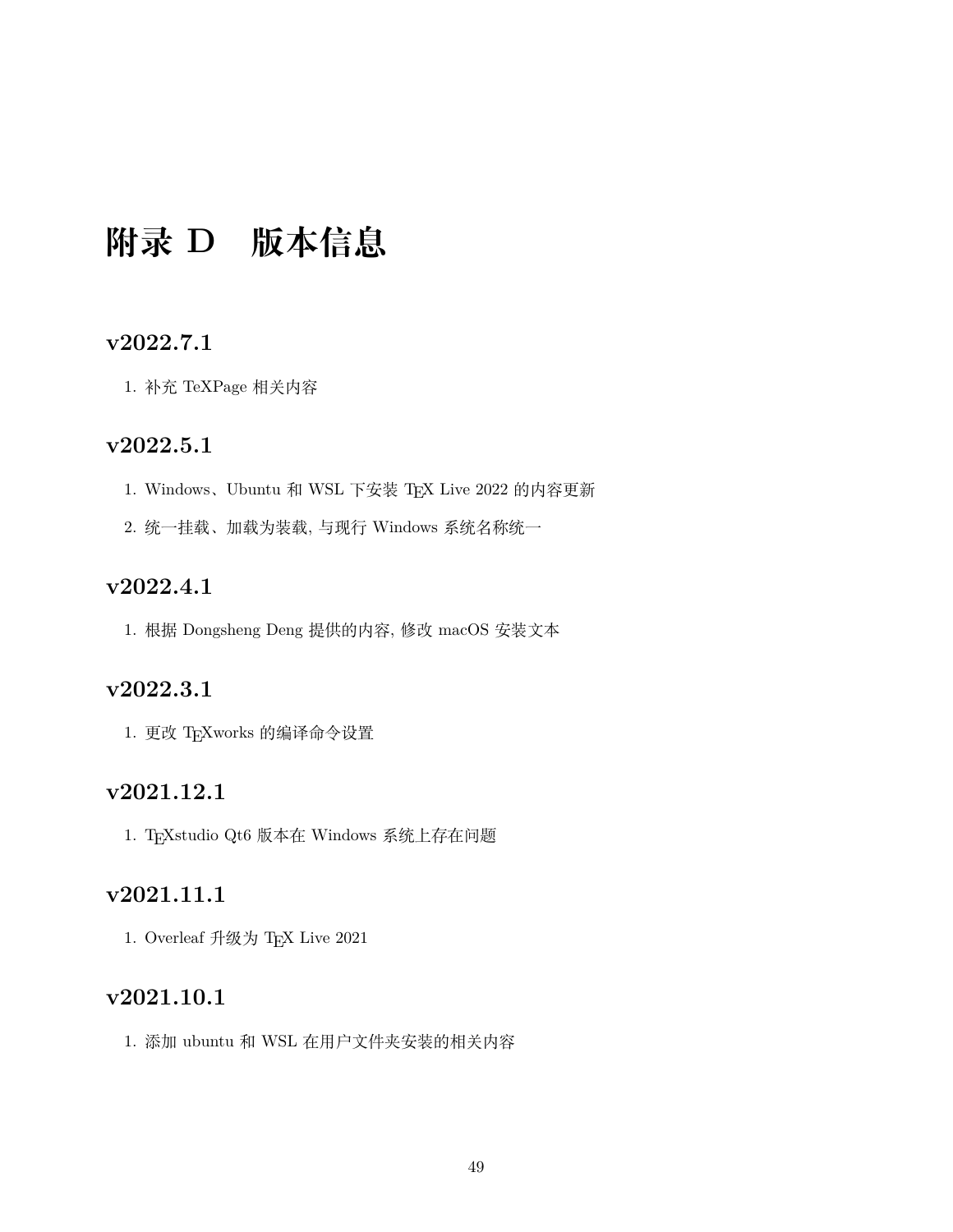# <span id="page-49-0"></span>**附录 D 版本信息**

### **v2022.7.1**

1. 补充 TeXPage 相关内容

### **v2022.5.1**

- 1. Windows, Ubuntu 和 WSL 下安装 TFX Live 2022 的内容更新
- 2. 统一挂载、加载为装载, 与现行 Windows 系统名称统一

## **v2022.4.1**

1. 根据 Dongsheng Deng 提供的内容, 修改 macOS 安装文本

# **v2022.3.1**

1. 更改 TEXworks 的编译命令设置

### **v2021.12.1**

1. TEXstudio Qt6 版本在 Windows 系统上存在问题

# **v2021.11.1**

1. Overleaf 升级为 TEX Live 2021

## **v2021.10.1**

1. 添加 ubuntu 和 WSL 在用户文件夹安装的相关内容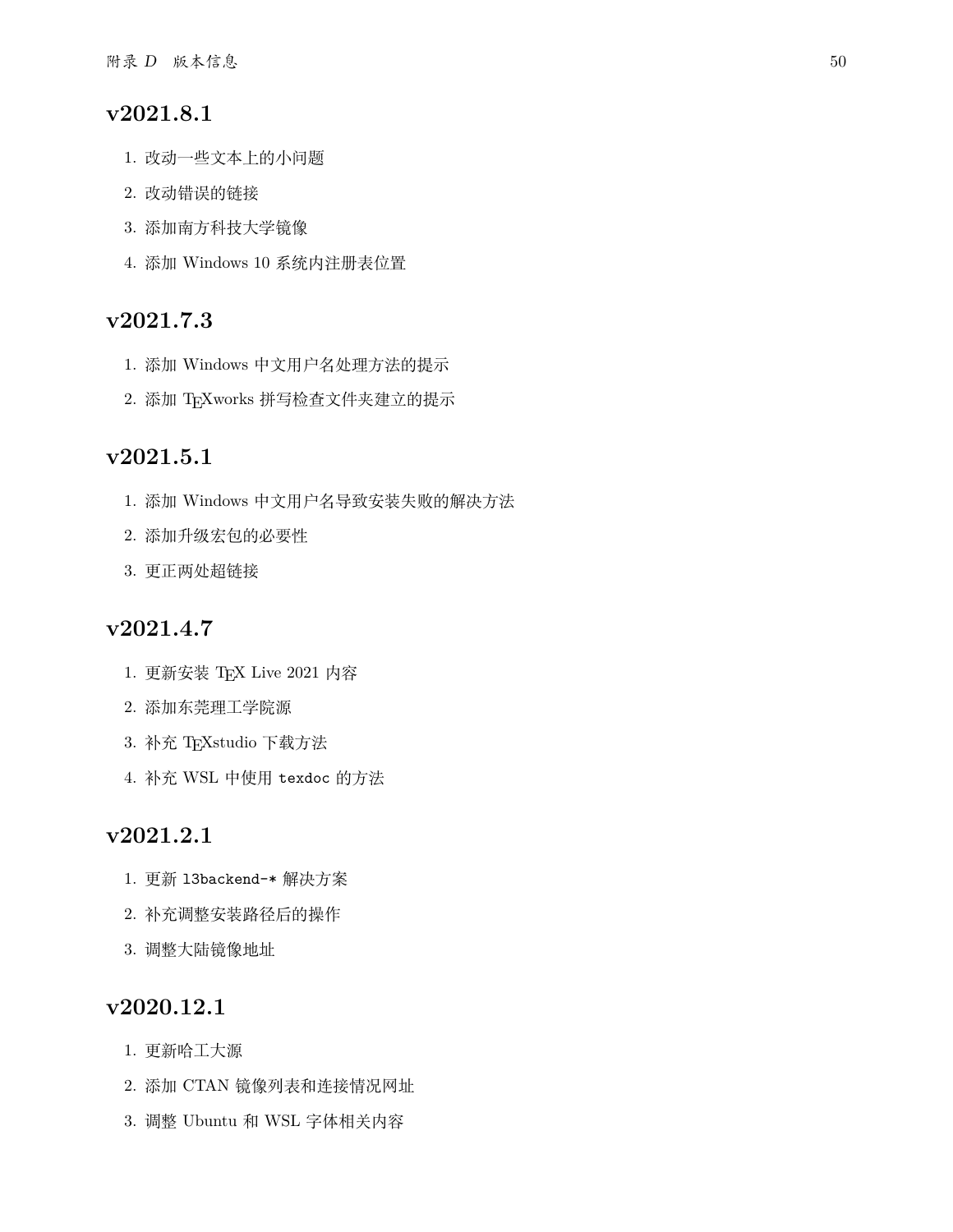### **v2021.8.1**

- 1. 改动一些文本上的小问题
- 2. 改动错误的链接
- 3. 添加南方科技大学镜像
- 4. 添加 Windows 10 系统内注册表位置

### **v2021.7.3**

- 1. 添加 Windows 中文用户名处理方法的提示
- 2. 添加 TEXworks 拼写检查文件夹建立的提示

### **v2021.5.1**

- 1. 添加 Windows 中文用户名导致安装失败的解决方法
- 2. 添加升级宏包的必要性
- 3. 更正两处超链接

### **v2021.4.7**

- 1. 更新安装 TEX Live 2021 内容
- 2. 添加东莞理工学院源
- 3. 补充 TEXstudio 下载方法
- 4. 补充 WSL 中使用 texdoc 的方法

### **v2021.2.1**

- 1. 更新 l3backend-\* 解决方案
- 2. 补充调整安装路径后的操作
- 3. 调整大陆镜像地址

### **v2020.12.1**

- 1. 更新哈工大源
- 2. 添加 CTAN 镜像列表和连接情况网址
- 3. 调整 Ubuntu 和 WSL 字体相关内容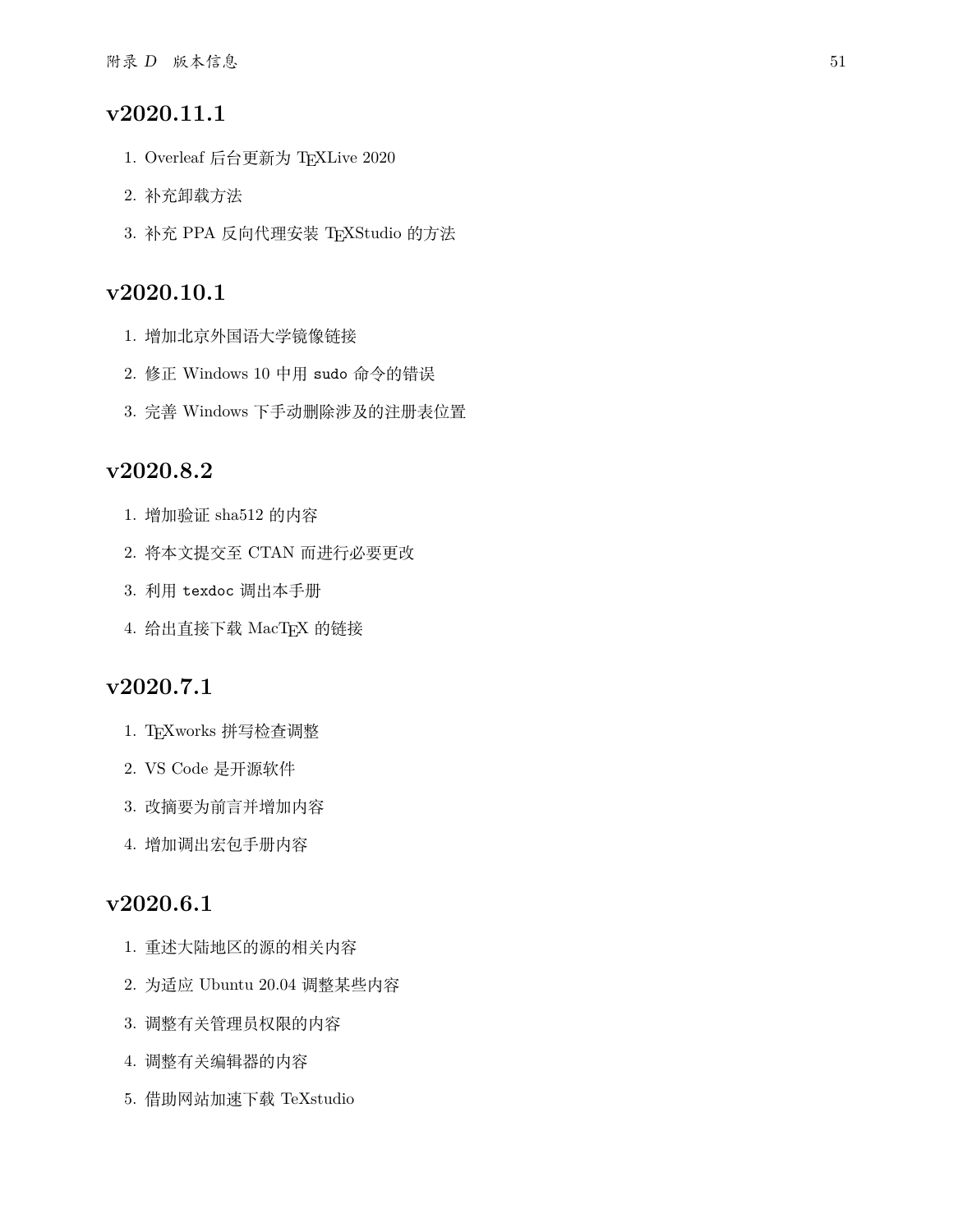### **v2020.11.1**

- 1. Overleaf 后台更新为 TEXLive 2020
- 2. 补充卸载方法
- 3. 补充 PPA 反向代理安装 TEXStudio 的方法

### **v2020.10.1**

- 1. 增加北京外国语大学镜像链接
- 2. 修正 Windows 10 中用 sudo 命令的错误
- 3. 完善 Windows 下手动删除涉及的注册表位置

### **v2020.8.2**

- 1. 增加验证 sha512 的内容
- 2. 将本文提交至 CTAN 而进行必要更改
- 3. 利用 texdoc 调出本手册
- 4. 给出直接下载 MacTEX 的链接

### **v2020.7.1**

- 1. TEXworks 拼写检查调整
- 2. VS Code 是开源软件
- 3. 改摘要为前言并增加内容
- 4. 增加调出宏包手册内容

# **v2020.6.1**

- 1. 重述大陆地区的源的相关内容
- 2. 为适应 Ubuntu 20.04 调整某些内容
- 3. 调整有关管理员权限的内容
- 4. 调整有关编辑器的内容
- 5. 借助网站加速下载 TeXstudio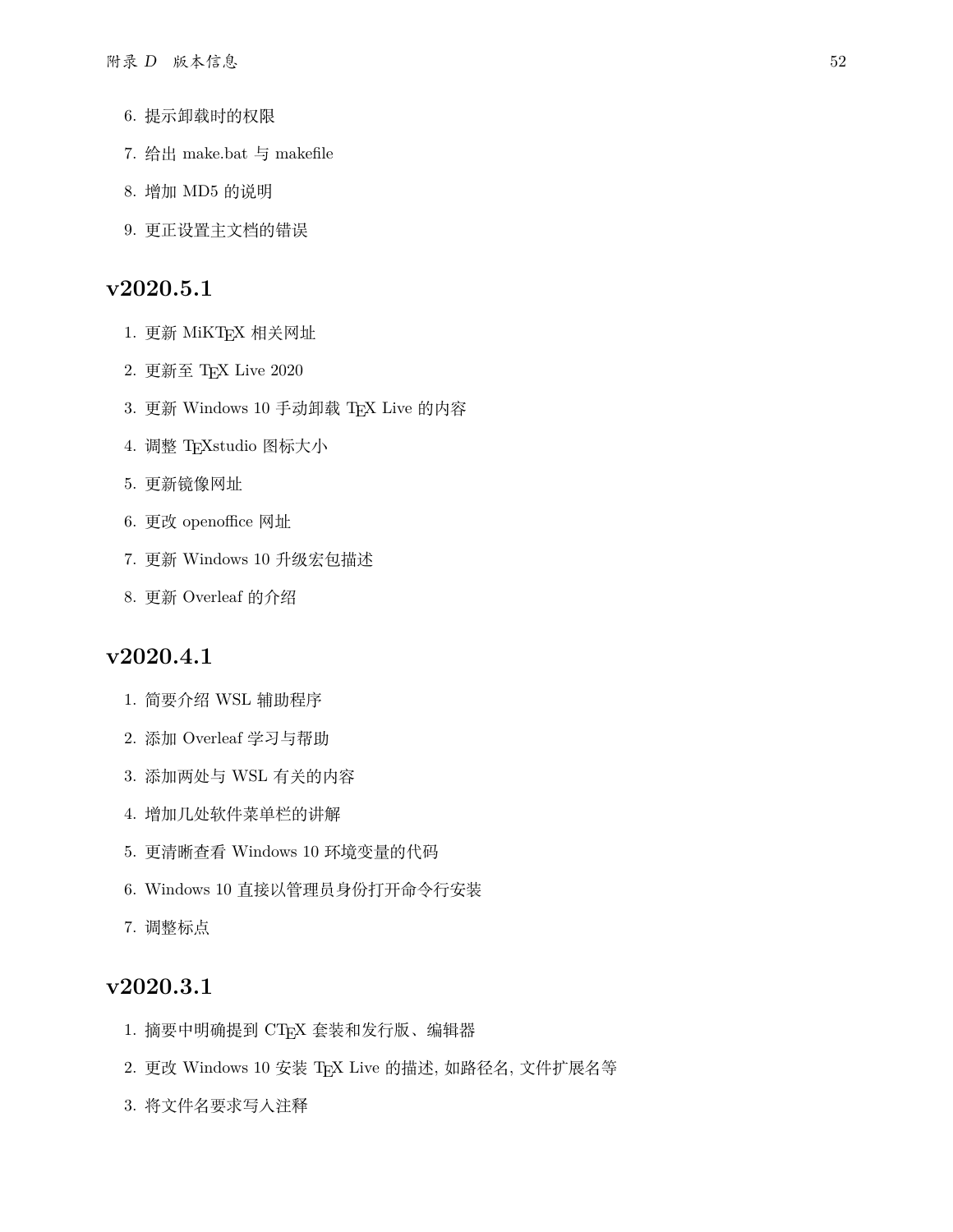- 6. 提示卸载时的权限
- 7. 给出 make.bat 与 makefile
- 8. 增加 MD5 的说明
- 9. 更正设置主文档的错误

### **v2020.5.1**

- 1. 更新 MiKTFX 相关网址
- 2. 更新至 TEX Live 2020
- 3. 更新 Windows 10 手动卸载 TFX Live 的内容
- 4. 调整 TFXstudio 图标大小
- 5. 更新镜像网址
- 6. 更改 openoffice 网址
- 7. 更新 Windows 10 升级宏包描述
- 8. 更新 Overleaf 的介绍

### **v2020.4.1**

- 1. 简要介绍 WSL 辅助程序
- 2. 添加 Overleaf 学习与帮助
- 3. 添加两处与 WSL 有关的内容
- 4. 增加几处软件菜单栏的讲解
- 5. 更清晰查看 Windows 10 环境变量的代码
- 6. Windows 10 直接以管理员身份打开命令行安装
- 7. 调整标点

### **v2020.3.1**

- 1. 摘要中明确提到 CTEX 套装和发行版、编辑器
- 2. 更改 Windows 10 安装 TEX Live 的描述, 如路径名, 文件扩展名等
- 3. 将文件名要求写入注释